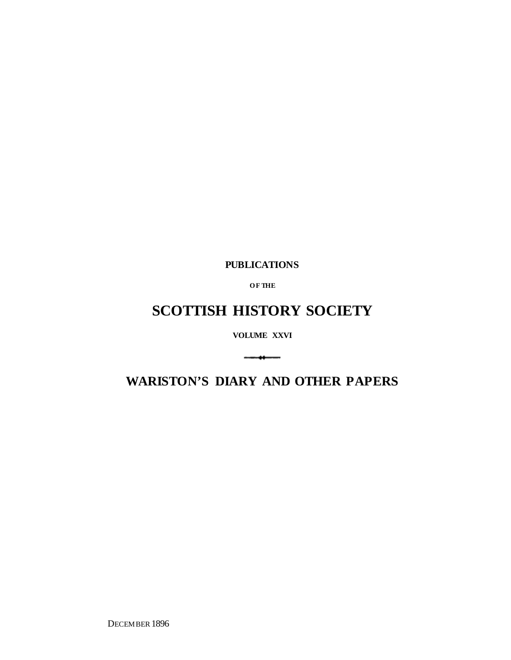**PUBLICATIONS**

**O F THE**

## **SCOTTISH HISTORY SOCIETY**

**VOLUME XXVI**

**WARISTON'S DIARY AND OTHER PAPERS**

 $\overbrace{\hspace{27mm}}^{}$ 

DECEMBER 1896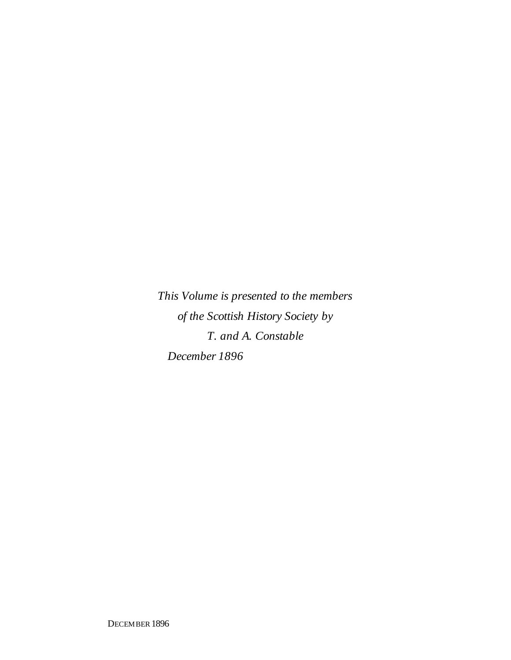*This Volume is presented to the members of the Scottish History Society by T. and A. Constable December 1896*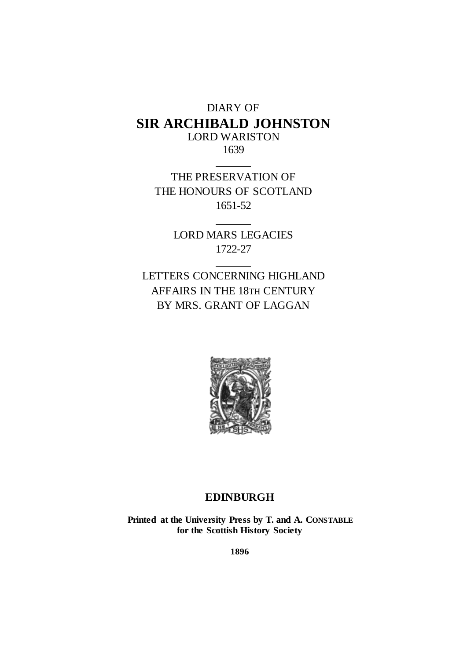### DIARY OF **SIR ARCHIBALD JOHNSTON** LORD WARISTON

1639

THE PRESERVATION OF THE HONOURS OF SCOTLAND 1651-52

> LORD MARS LEGACIES 1722-27

LETTERS CONCERNING HIGHLAND AFFAIRS IN THE 18TH CENTURY BY MRS. GRANT OF LAGGAN



### **EDINBURGH**

**Printed at the University Press by T. and A. CONSTABLE for the Scottish History Society**

**1896**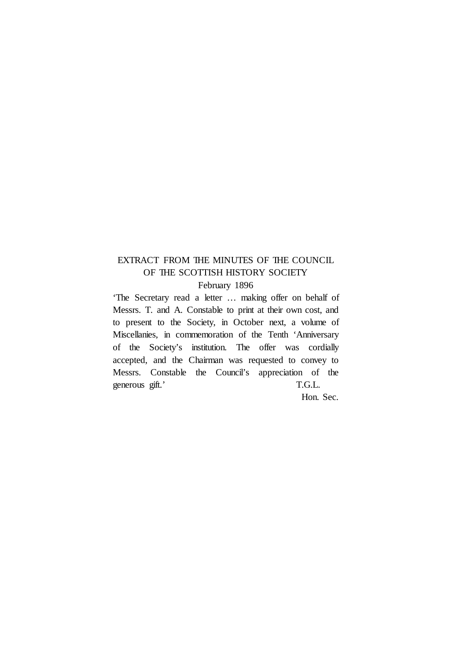### EXTRACT FROM THE MINUTES OF THE COUNCIL OF THE SCOTTISH HISTORY SOCIETY

February 1896

'The Secretary read a letter … making offer on behalf of Messrs. T. and A. Constable to print at their own cost, and to present to the Society, in October next, a volume of Miscellanies, in commemoration of the Tenth 'Anniversary of the Society's institution. The offer was cordially accepted, and the Chairman was requested to convey to Messrs. Constable the Council's appreciation of the generous gift.' T.G.L.

Hon. Sec.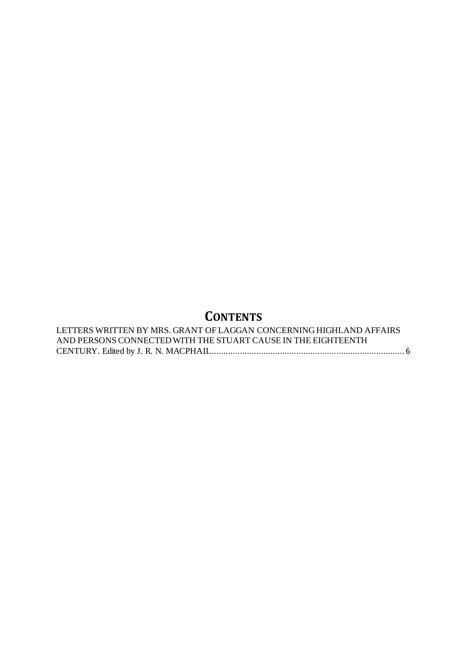### **CONTENTS**

| LETTERS WRITTEN BY MRS. GRANT OF LAGGAN CONCERNING HIGHLAND AFFAIRS |  |
|---------------------------------------------------------------------|--|
| AND PERSONS CONNECTED WITH THE STUART CAUSE IN THE EIGHTEENTH       |  |
|                                                                     |  |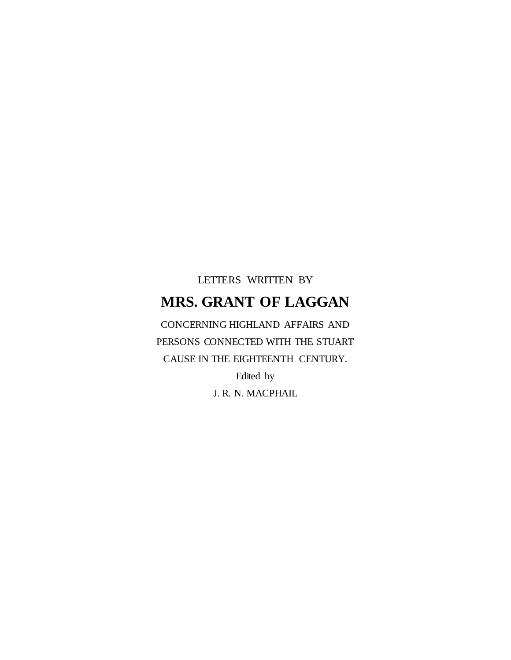# LETTERS WRITTEN BY **MRS. GRANT OF LAGGAN**

<span id="page-5-0"></span>CONCERNING HIGHLAND AFFAIRS AND PERSONS CONNECTED WITH THE STUART CAUSE IN THE EIGHTEENTH CENTURY. Edited by

J. R. N. MACPHAIL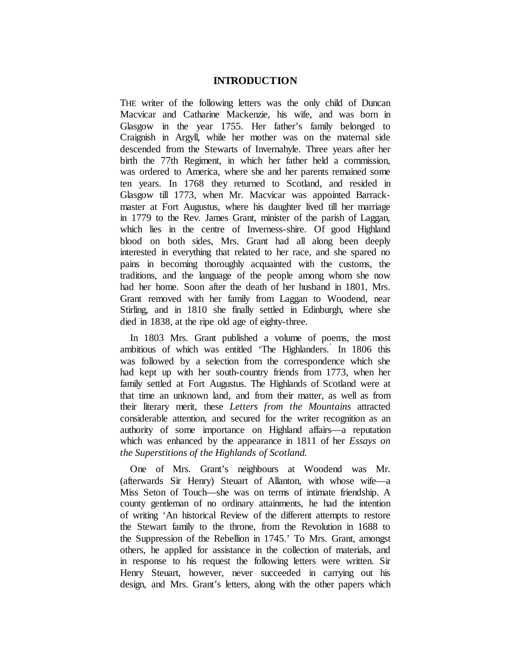#### **INTRODUCTION**

THE writer of the following letters was the only child of Duncan Macvicar and Catharine Mackenzie, his wife, and was born in Glasgow in the year 1755. Her father's family belonged to Craignish in Argyll, while her mother was on the maternal side descended from the Stewarts of Invernahyle. Three years after her birth the 77th Regiment, in which her father held a commission, was ordered to America, where she and her parents remained some ten years. In 1768 they returned to Scotland, and resided in Glasgow till 1773, when Mr. Macvicar was appointed Barrackmaster at Fort Augustus, where his daughter lived till her marriage in 1779 to the Rev. James Grant, minister of the parish of Laggan, which lies in the centre of Inverness-shire. Of good Highland blood on both sides, Mrs. Grant had all along been deeply interested in everything that related to her race, and she spared no pains in becoming thoroughly acquainted with the customs, the traditions, and the language of the people among whom she now had her home. Soon after the death of her husband in 1801, Mrs. Grant removed with her family from Laggan to Woodend, near Stirling, and in 1810 she finally settled in Edinburgh, where she died in 1838, at the ripe old age of eighty-three.

In 1803 Mrs. Grant published a volume of poems, the most ambitious of which was entitled 'The Highlanders.' In 1806 this was followed by a selection from the correspondence which she had kept up with her south-country friends from 1773, when her family settled at Fort Augustus. The Highlands of Scotland were at that time an unknown land, and from their matter, as well as from their literary merit, these *Letters from the Mountains* attracted considerable attention, and secured for the writer recognition as an authority of some importance on Highland affairs—a reputation which was enhanced by the appearance in 1811 of her *Essays on the Superstitions of the Highlands of Scotland.*

One of Mrs. Grant's neighbours at Woodend was Mr. (afterwards Sir Henry) Steuart of Allanton, with whose wife—a Miss Seton of Touch—she was on terms of intimate friendship. A county gentleman of no ordinary attainments, he had the intention of writing 'An historical Review of the different attempts to restore the Stewart family to the throne, from the Revolution in 1688 to the Suppression of the Rebellion in 1745.' To Mrs. Grant, amongst others, he applied for assistance in the collection of materials, and in response to his request the following letters were written. Sir Henry Steuart, however, never succeeded in carrying out his design, and Mrs. Grant's letters, along with the other papers which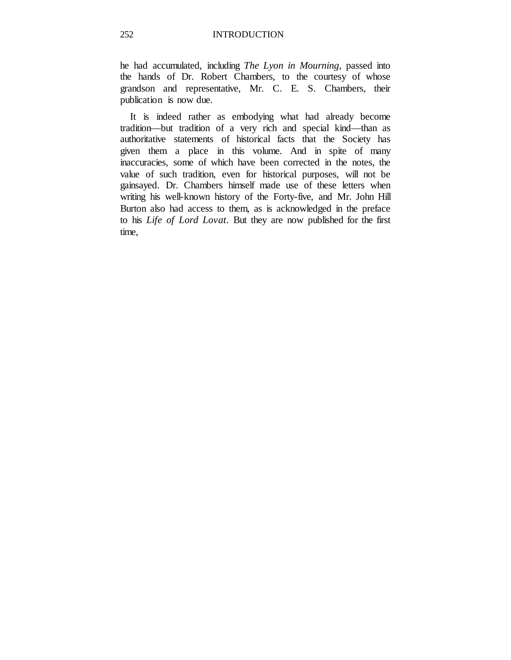he had accumulated, including *The Lyon in Mourning,* passed into the hands of Dr. Robert Chambers, to the courtesy of whose grandson and representative, Mr. C. E. S. Chambers, their publication is now due.

It is indeed rather as embodying what had already become tradition—but tradition of a very rich and special kind—than as authoritative statements of historical facts that the Society has given them a place in this volume. And in spite of many inaccuracies, some of which have been corrected in the notes, the value of such tradition, even for historical purposes, will not be gainsayed. Dr. Chambers himself made use of these letters when writing his well-known history of the Forty-five, and Mr. John Hill Burton also had access to them, as is acknowledged in the preface to his *Life of Lord Lovat.* But they are now published for the first time,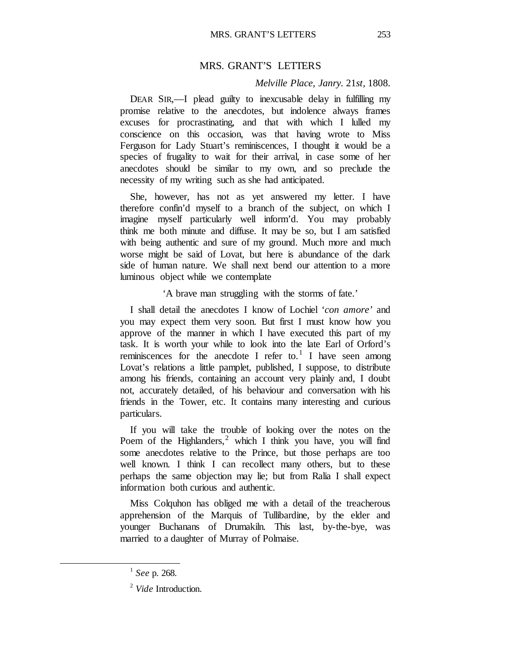#### MRS. GRANT'S LETTERS

#### *Melville Place, Janry.* 21*st,* 1808.

DEAR SIR,—I plead guilty to inexcusable delay in fulfilling my promise relative to the anecdotes, but indolence always frames excuses for procrastinating, and that with which I lulled my conscience on this occasion, was that having wrote to Miss Ferguson for Lady Stuart's reminiscences, I thought it would be a species of frugality to wait for their arrival, in case some of her anecdotes should be similar to my own, and so preclude the necessity of my writing such as she had anticipated.

She, however, has not as yet answered my letter. I have therefore confin'd myself to a branch of the subject, on which I imagine myself particularly well inform'd. You may probably think me both minute and diffuse. It may be so, but I am satisfied with being authentic and sure of my ground. Much more and much worse might be said of Lovat, but here is abundance of the dark side of human nature. We shall next bend our attention to a more luminous object while we contemplate

'A brave man struggling with the storms of fate.'

I shall detail the anecdotes I know of Lochiel '*con amore'* and you may expect them very soon. But first I must know how you approve of the manner in which I have executed this part of my task. It is worth your while to look into the late Earl of Orford's reminiscences for the anecdote I refer to.<sup>[1](#page-8-0)</sup> I have seen among Lovat's relations a little pamplet, published, I suppose, to distribute among his friends, containing an account very plainly and, I doubt not, accurately detailed, of his behaviour and conversation with his friends in the Tower, etc. It contains many interesting and curious particulars.

If you will take the trouble of looking over the notes on the Poem of the Highlanders, $^2$  $^2$  which I think you have, you will find some anecdotes relative to the Prince, but those perhaps are too well known. I think I can recollect many others, but to these perhaps the same objection may lie; but from Ralia I shall expect information both curious and authentic.

Miss Colquhon has obliged me with a detail of the treacherous apprehension of the Marquis of Tullibardine, by the elder and younger Buchanans of Drumakiln. This last, by-the-bye, was married to a daughter of Murray of Polmaise.

<span id="page-8-0"></span><sup>1</sup> *See* p. 268.

<span id="page-8-1"></span><sup>2</sup> *Vide* Introduction.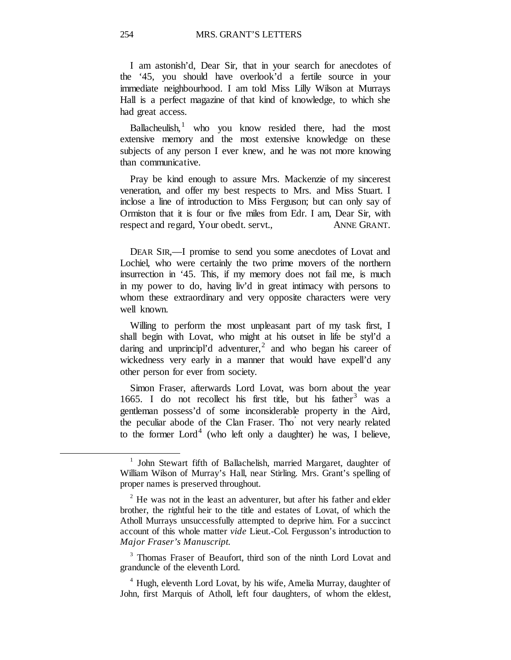I am astonish'd, Dear Sir, that in your search for anecdotes of the '45, you should have overlook'd a fertile source in your immediate neighbourhood. I am told Miss Lilly Wilson at Murrays Hall is a perfect magazine of that kind of knowledge, to which she had great access.

Ballacheulish, $\frac{1}{1}$  $\frac{1}{1}$  $\frac{1}{1}$  who you know resided there, had the most extensive memory and the most extensive knowledge on these subjects of any person I ever knew, and he was not more knowing than communicative.

Pray be kind enough to assure Mrs. Mackenzie of my sincerest veneration, and offer my best respects to Mrs. and Miss Stuart. I inclose a line of introduction to Miss Ferguson; but can only say of Ormiston that it is four or five miles from Edr. I am, Dear Sir, with respect and regard, Your obedt. servt., ANNE GRANT.

DEAR SIR,—I promise to send you some anecdotes of Lovat and Lochiel, who were certainly the two prime movers of the northern insurrection in '45. This, if my memory does not fail me, is much in my power to do, having liv'd in great intimacy with persons to whom these extraordinary and very opposite characters were very well known.

Willing to perform the most unpleasant part of my task first, I shall begin with Lovat, who might at his outset in life be styl'd a daring and unprincipl'd adventurer,<sup>[2](#page-9-1)</sup> and who began his career of wickedness very early in a manner that would have expell'd any other person for ever from society.

Simon Fraser, afterwards Lord Lovat, was born about the year 1665. I do not recollect his first title, but his father  $3$  was a gentleman possess'd of some inconsiderable property in the Aird, the peculiar abode of the Clan Fraser. Tho' not very nearly related to the former  $Lord<sup>4</sup>$  $Lord<sup>4</sup>$  $Lord<sup>4</sup>$  (who left only a daughter) he was, I believe,

<span id="page-9-0"></span><sup>&</sup>lt;sup>1</sup> John Stewart fifth of Ballachelish, married Margaret, daughter of William Wilson of Murray's Hall, near Stirling. Mrs. Grant's spelling of proper names is preserved throughout.

<span id="page-9-1"></span> $2$  He was not in the least an adventurer, but after his father and elder brother, the rightful heir to the title and estates of Lovat, of which the Atholl Murrays unsuccessfully attempted to deprive him. For a succinct account of this whole matter *vide* Lieut.-Col. Fergusson's introduction to *Major Fraser's Manuscript.*

<span id="page-9-2"></span><sup>&</sup>lt;sup>3</sup> Thomas Fraser of Beaufort, third son of the ninth Lord Lovat and granduncle of the eleventh Lord.

<span id="page-9-3"></span><sup>&</sup>lt;sup>4</sup> Hugh, eleventh Lord Lovat, by his wife, Amelia Murray, daughter of John, first Marquis of Atholl, left four daughters, of whom the eldest,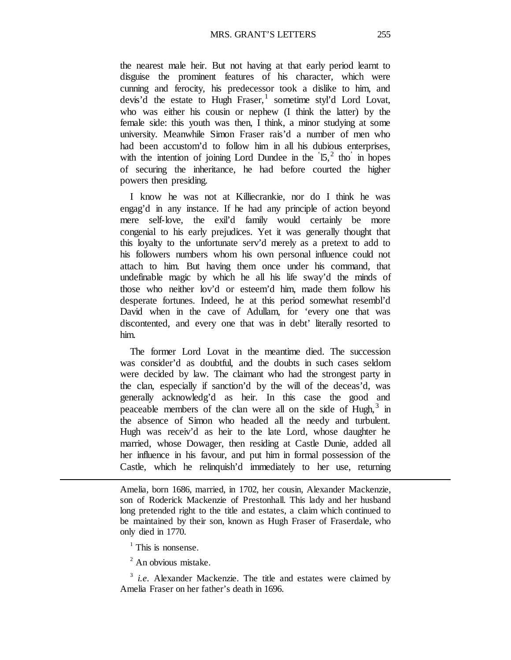MRS. GRANT'S LETTERS 255

the nearest male heir. But not having at that early period learnt to disguise the prominent features of his character, which were cunning and ferocity, his predecessor took a dislike to him, and devis'd the estate to Hugh Fraser, sometime styl'd Lord Lovat, who was either his cousin or nephew (I think the latter) by the female side: this youth was then, I think, a minor studying at some university. Meanwhile Simon Fraser rais'd a number of men who had been accustom'd to follow him in all his dubious enterprises, with the intention of joining Lord Dundee in the  $15<sup>2</sup>$  $15<sup>2</sup>$  $15<sup>2</sup>$  tho in hopes of securing the inheritance, he had before courted the higher powers then presiding.

I know he was not at Killiecrankie, nor do I think he was engag'd in any instance. If he had any principle of action beyond mere self-love, the exil'd family would certainly be more congenial to his early prejudices. Yet it was generally thought that this loyalty to the unfortunate serv'd merely as a pretext to add to his followers numbers whom his own personal influence could not attach to him. But having them once under his command, that undefinable magic by which he all his life sway'd the minds of those who neither lov'd or esteem'd him, made them follow his desperate fortunes. Indeed, he at this period somewhat resembl'd David when in the cave of Adullam, for 'every one that was discontented, and every one that was in debt' literally resorted to him.

The former Lord Lovat in the meantime died. The succession was consider'd as doubtful, and the doubts in such cases seldom were decided by law. The claimant who had the strongest party in the clan, especially if sanction'd by the will of the deceas'd, was generally acknowledg'd as heir. In this case the good and peaceable members of the clan were all on the side of Hugh,  $3\text{ in}$  $3\text{ in}$ the absence of Simon who headed all the needy and turbulent. Hugh was receiv'd as heir to the late Lord, whose daughter he married, whose Dowager, then residing at Castle Dunie, added all her influence in his favour, and put him in formal possession of the Castle, which he relinquish'd immediately to her use, returning

Amelia, born 1686, married, in 1702, her cousin, Alexander Mackenzie, son of Roderick Mackenzie of Prestonhall. This lady and her husband long pretended right to the title and estates, a claim which continued to be maintained by their son, known as Hugh Fraser of Fraserdale, who only died in 1770.

 $<sup>1</sup>$  This is nonsense.</sup>

<sup>&</sup>lt;sup>2</sup> An obvious mistake.

<span id="page-10-2"></span><span id="page-10-1"></span><span id="page-10-0"></span><sup>&</sup>lt;sup>3</sup> *i.e.* Alexander Mackenzie. The title and estates were claimed by Amelia Fraser on her father's death in 1696.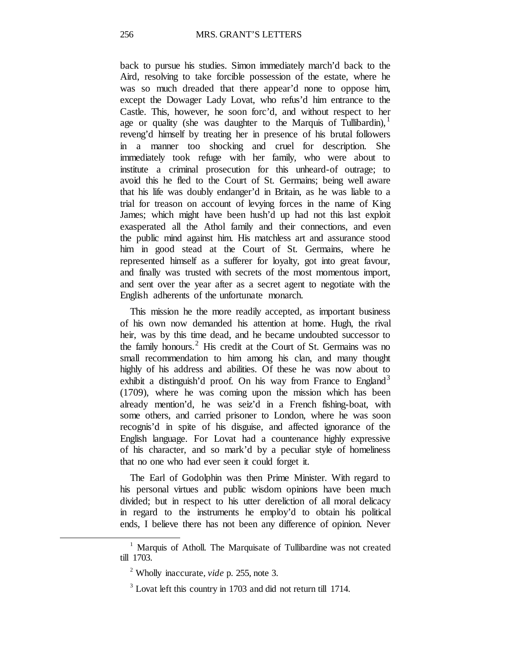back to pursue his studies. Simon immediately march'd back to the Aird, resolving to take forcible possession of the estate, where he was so much dreaded that there appear'd none to oppose him, except the Dowager Lady Lovat, who refus'd him entrance to the Castle. This, however, he soon forc'd, and without respect to her age or quality (she was daughter to the Marquis of Tullibardin),  $\frac{1}{1}$  $\frac{1}{1}$  $\frac{1}{1}$ reveng'd himself by treating her in presence of his brutal followers in a manner too shocking and cruel for description. She immediately took refuge with her family, who were about to institute a criminal prosecution for this unheard-of outrage; to avoid this he fled to the Court of St. Germains; being well aware that his life was doubly endanger'd in Britain, as he was liable to a trial for treason on account of levying forces in the name of King James; which might have been hush'd up had not this last exploit exasperated all the Athol family and their connections, and even the public mind against him. His matchless art and assurance stood him in good stead at the Court of St. Germains, where he represented himself as a sufferer for loyalty, got into great favour, and finally was trusted with secrets of the most momentous import, and sent over the year after as a secret agent to negotiate with the English adherents of the unfortunate monarch.

This mission he the more readily accepted, as important business of his own now demanded his attention at home. Hugh, the rival heir, was by this time dead, and he became undoubted successor to the family honours.<sup>[2](#page-11-1)</sup> His credit at the Court of St. Germains was no small recommendation to him among his clan, and many thought highly of his address and abilities. Of these he was now about to exhibit a distinguish'd proof. On his way from France to England<sup>[3](#page-11-2)</sup> (1709), where he was coming upon the mission which has been already mention'd, he was seiz'd in a French fishing-boat, with some others, and carried prisoner to London, where he was soon recognis'd in spite of his disguise, and affected ignorance of the English language. For Lovat had a countenance highly expressive of his character, and so mark'd by a peculiar style of homeliness that no one who had ever seen it could forget it.

The Earl of Godolphin was then Prime Minister. With regard to his personal virtues and public wisdom opinions have been much divided; but in respect to his utter dereliction of all moral delicacy in regard to the instruments he employ'd to obtain his political ends, I believe there has not been any difference of opinion. Never

<span id="page-11-2"></span><span id="page-11-1"></span><span id="page-11-0"></span><sup>&</sup>lt;sup>1</sup> Marquis of Atholl. The Marquisate of Tullibardine was not created till 1703.

<sup>2</sup> Wholly inaccurate, *vide* p. 255, note 3.

 $3$  Lovat left this country in 1703 and did not return till 1714.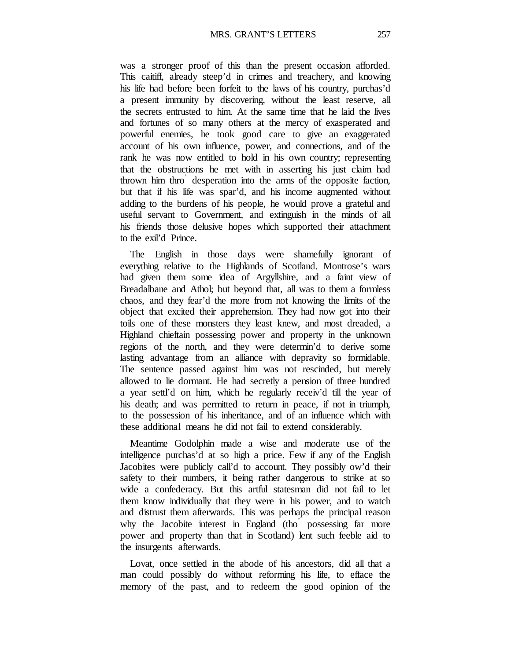was a stronger proof of this than the present occasion afforded. This caitiff, already steep'd in crimes and treachery, and knowing his life had before been forfeit to the laws of his country, purchas'd a present immunity by discovering, without the least reserve, all the secrets entrusted to him. At the same time that he laid the lives and fortunes of so many others at the mercy of exasperated and powerful enemies, he took good care to give an exaggerated account of his own influence, power, and connections, and of the rank he was now entitled to hold in his own country; representing that the obstructions he met with in asserting his just claim had thrown him thro' desperation into the arms of the opposite faction, but that if his life was spar'd, and his income augmented without adding to the burdens of his people, he would prove a grateful and useful servant to Government, and extinguish in the minds of all his friends those delusive hopes which supported their attachment to the exil'd Prince.

The English in those days were shamefully ignorant of everything relative to the Highlands of Scotland. Montrose's wars had given them some idea of Argyllshire, and a faint view of Breadalbane and Athol; but beyond that, all was to them a formless chaos, and they fear'd the more from not knowing the limits of the object that excited their apprehension. They had now got into their toils one of these monsters they least knew, and most dreaded, a Highland chieftain possessing power and property in the unknown regions of the north, and they were determin'd to derive some lasting advantage from an alliance with depravity so formidable. The sentence passed against him was not rescinded, but merely allowed to lie dormant. He had secretly a pension of three hundred a year settl'd on him, which he regularly receiv'd till the year of his death; and was permitted to return in peace, if not in triumph, to the possession of his inheritance, and of an influence which with these additional means he did not fail to extend considerably.

Meantime Godolphin made a wise and moderate use of the intelligence purchas'd at so high a price. Few if any of the English Jacobites were publicly call'd to account. They possibly ow'd their safety to their numbers, it being rather dangerous to strike at so wide a confederacy. But this artful statesman did not fail to let them know individually that they were in his power, and to watch and distrust them afterwards. This was perhaps the principal reason why the Jacobite interest in England (tho) possessing far more power and property than that in Scotland) lent such feeble aid to the insurgents afterwards.

Lovat, once settled in the abode of his ancestors, did all that a man could possibly do without reforming his life, to efface the memory of the past, and to redeem the good opinion of the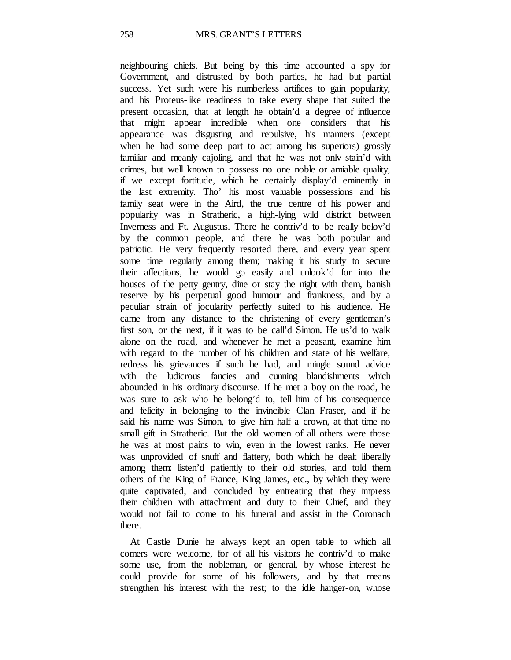neighbouring chiefs. But being by this time accounted a spy for Government, and distrusted by both parties, he had but partial success. Yet such were his numberless artifices to gain popularity, and his Proteus-like readiness to take every shape that suited the present occasion, that at length he obtain'd a degree of influence that might appear incredible when one considers that his appearance was disgusting and repulsive, his manners (except when he had some deep part to act among his superiors) grossly familiar and meanly cajoling, and that he was not onlv stain'd with crimes, but well known to possess no one noble or amiable quality, if we except fortitude, which he certainly display'd eminently in the last extremity. Tho' his most valuable possessions and his family seat were in the Aird, the true centre of his power and popularity was in Stratheric, a high-lying wild district between Inverness and Ft. Augustus. There he contriv'd to be really belov'd by the common people, and there he was both popular and patriotic. He very frequently resorted there, and every year spent some time regularly among them; making it his study to secure their affections, he would go easily and unlook'd for into the houses of the petty gentry, dine or stay the night with them, banish reserve by his perpetual good humour and frankness, and by a peculiar strain of jocularity perfectly suited to his audience. He came from any distance to the christening of every gentleman's first son, or the next, if it was to be call'd Simon. He us'd to walk alone on the road, and whenever he met a peasant, examine him with regard to the number of his children and state of his welfare, redress his grievances if such he had, and mingle sound advice with the ludicrous fancies and cunning blandishments which abounded in his ordinary discourse. If he met a boy on the road, he was sure to ask who he belong'd to, tell him of his consequence and felicity in belonging to the invincible Clan Fraser, and if he said his name was Simon, to give him half a crown, at that time no small gift in Stratheric. But the old women of all others were those he was at most pains to win, even in the lowest ranks. He never was unprovided of snuff and flattery, both which he dealt liberally among them: listen'd patiently to their old stories, and told them others of the King of France, King James, etc., by which they were quite captivated, and concluded by entreating that they impress their children with attachment and duty to their Chief, and they would not fail to come to his funeral and assist in the Coronach there.

At Castle Dunie he always kept an open table to which all comers were welcome, for of all his visitors he contriv'd to make some use, from the nobleman, or general, by whose interest he could provide for some of his followers, and by that means strengthen his interest with the rest; to the idle hanger-on, whose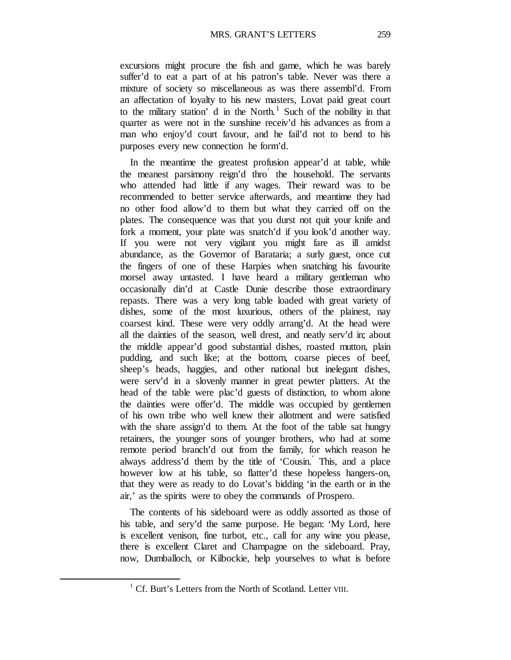excursions might procure the fish and game, which he was barely suffer'd to eat a part of at his patron's table. Never was there a mixture of society so miscellaneous as was there assembl'd. From an affectation of loyalty to his new masters, Lovat paid great court to the military station' d in the North.<sup>[1](#page-14-0)</sup> Such of the nobility in that quarter as were not in the sunshine receiv'd his advances as from a man who enjoy'd court favour, and he fail'd not to bend to his purposes every new connection he form'd.

In the meantime the greatest profusion appear'd at table, while the meanest parsimony reign'd thro' the household. The servants who attended had little if any wages. Their reward was to be recommended to better service afterwards, and meantime they had no other food allow'd to them but what they carried off on the plates. The consequence was that you durst not quit your knife and fork a moment, your plate was snatch'd if you look'd another way. If you were not very vigilant you might fare as ill amidst abundance, as the Governor of Barataria; a surly guest, once cut the fingers of one of these Harpies when snatching his favourite morsel away untasted. I have heard a military gentleman who occasionally din'd at Castle Dunie describe those extraordinary repasts. There was a very long table loaded with great variety of dishes, some of the most luxurious, others of the plainest, nay coarsest kind. These were very oddly arrang'd. At the head were all the dainties of the season, well drest, and neatly serv'd in; about the middle appear'd good substantial dishes, roasted mutton, plain pudding, and such like; at the bottom, coarse pieces of beef, sheep's heads, haggies, and other national but inelegant dishes, were serv'd in a slovenly manner in great pewter platters. At the head of the table were plac'd guests of distinction, to whom alone the dainties were offer'd. The middle was occupied by gentlemen of his own tribe who well knew their allotment and were satisfied with the share assign'd to them. At the foot of the table sat hungry retainers, the younger sons of younger brothers, who had at some remote period branch'd out from the family, for which reason he always address'd them by the title of 'Cousin.' This, and a place however low at his table, so flatter'd these hopeless hangers-on, that they were as ready to do Lovat's bidding 'in the earth or in the air,' as the spirits were to obey the commands of Prospero.

The contents of his sideboard were as oddly assorted as those of his table, and sery'd the same purpose. He began: 'My Lord, here is excellent venison, fine turbot, etc., call for any wine you please, there is excellent Claret and Champagne on the sideboard. Pray, now, Dumballoch, or Kilbockie, help yourselves to what is before

<span id="page-14-0"></span><sup>&</sup>lt;sup>1</sup> Cf. Burt's Letters from the North of Scotland. Letter VIII.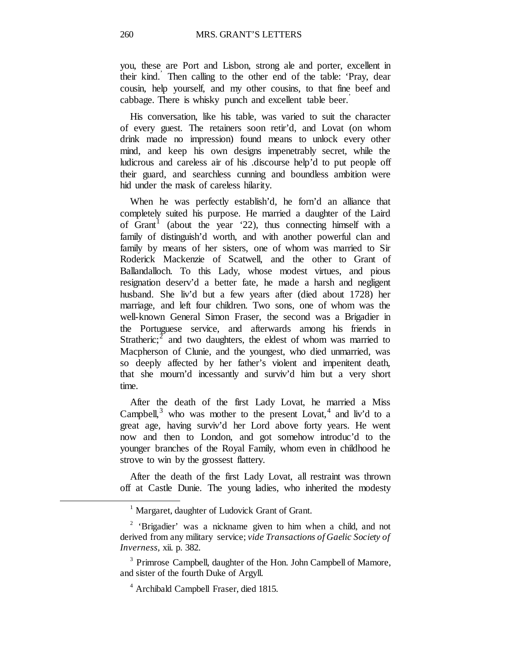you, these are Port and Lisbon, strong ale and porter, excellent in their kind.' Then calling to the other end of the table: 'Pray, dear cousin, help yourself, and my other cousins, to that fine beef and cabbage. There is whisky punch and excellent table beer.'

His conversation, like his table, was varied to suit the character of every guest. The retainers soon retir'd, and Lovat (on whom drink made no impression) found means to unlock every other mind, and keep his own designs impenetrably secret, while the ludicrous and careless air of his .discourse help'd to put people off their guard, and searchless cunning and boundless ambition were hid under the mask of careless hilarity.

When he was perfectly establish'd, he forn'd an alliance that completely suited his purpose. He married a daughter of the Laird of Grant<sup>[1](#page-15-0)</sup> (about the year  $22$ ), thus connecting himself with a family of distinguish'd worth, and with another powerful clan and family by means of her sisters, one of whom was married to Sir Roderick Mackenzie of Scatwell, and the other to Grant of Ballandalloch. To this Lady, whose modest virtues, and pious resignation deserv'd a better fate, he made a harsh and negligent husband. She liv'd but a few years after (died about 1728) her marriage, and left four children. Two sons, one of whom was the well-known General Simon Fraser, the second was a Brigadier in the Portuguese service, and afterwards among his friends in Stratheric;<sup>[2](#page-15-1)</sup> and two daughters, the eldest of whom was married to Macpherson of Clunie, and the youngest, who died unmarried, was so deeply affected by her father's violent and impenitent death, that she mourn'd incessantly and surviv'd him but a very short time.

After the death of the first Lady Lovat, he married a Miss Campbell, $3$  who was mother to the present Lovat,  $4$  and liv'd to a great age, having surviv'd her Lord above forty years. He went now and then to London, and got somehow introduc'd to the younger branches of the Royal Family, whom even in childhood he strove to win by the grossest flattery.

After the death of the first Lady Lovat, all restraint was thrown off at Castle Dunie. The young ladies, who inherited the modesty

<sup>&</sup>lt;sup>1</sup> Margaret, daughter of Ludovick Grant of Grant.

<span id="page-15-1"></span><span id="page-15-0"></span><sup>&</sup>lt;sup>2</sup> 'Brigadier' was a nickname given to him when a child, and not derived from any military service; *vide Transactions of Gaelic Society of Inverness,* xii. p. 382.

<span id="page-15-3"></span><span id="page-15-2"></span><sup>&</sup>lt;sup>3</sup> Primrose Campbell, daughter of the Hon. John Campbell of Mamore, and sister of the fourth Duke of Argyll.

<sup>4</sup> Archibald Campbell Fraser, died 1815.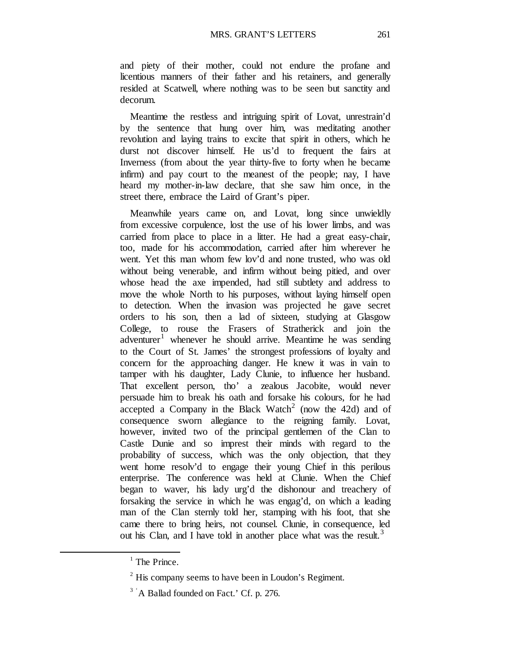and piety of their mother, could not endure the profane and licentious manners of their father and his retainers, and generally resided at Scatwell, where nothing was to be seen but sanctity and decorum.

Meantime the restless and intriguing spirit of Lovat, unrestrain'd by the sentence that hung over him, was meditating another revolution and laying trains to excite that spirit in others, which he durst not discover himself. He us'd to frequent the fairs at Inverness (from about the year thirty-five to forty when he became infirm) and pay court to the meanest of the people; nay, I have heard my mother-in-law declare, that she saw him once, in the street there, embrace the Laird of Grant's piper.

Meanwhile years came on, and Lovat, long since unwieldly from excessive corpulence, lost the use of his lower limbs, and was carried from place to place in a litter. He had a great easy-chair, too, made for his accommodation, carried after him wherever he went. Yet this man whom few lov'd and none trusted, who was old without being venerable, and infirm without being pitied, and over whose head the axe impended, had still subtlety and address to move the whole North to his purposes, without laying himself open to detection. When the invasion was projected he gave secret orders to his son, then a lad of sixteen, studying at Glasgow College, to rouse the Frasers of Stratherick and join the adventurer<sup>[1](#page-16-0)</sup> whenever he should arrive. Meantime he was sending to the Court of St. James' the strongest professions of loyalty and concern for the approaching danger. He knew it was in vain to tamper with his daughter, Lady Clunie, to influence her husband. That excellent person, tho' a zealous Jacobite, would never persuade him to break his oath and forsake his colours, for he had accepted a Company in the Black Watch<sup>[2](#page-16-1)</sup> (now the 42d) and of consequence sworn allegiance to the reigning family. Lovat, however, invited two of the principal gentlemen of the Clan to Castle Dunie and so imprest their minds with regard to the probability of success, which was the only objection, that they went home resolv'd to engage their young Chief in this perilous enterprise. The conference was held at Clunie. When the Chief began to waver, his lady urg'd the dishonour and treachery of forsaking the service in which he was engag'd, on which a leading man of the Clan sternly told her, stamping with his foot, that she came there to bring heirs, not counsel. Clunie, in consequence, led out his Clan, and I have told in another place what was the result.<sup>[3](#page-16-2)</sup>

<span id="page-16-0"></span> $<sup>1</sup>$  The Prince.</sup>

<span id="page-16-1"></span> $2$ <sup>2</sup> His company seems to have been in Loudon's Regiment.

<span id="page-16-2"></span> $3$   $\cdot$  A Ballad founded on Fact.' Cf. p. 276.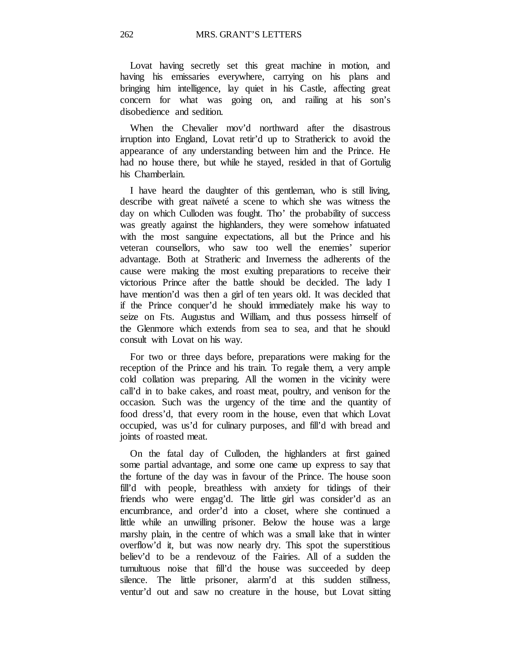Lovat having secretly set this great machine in motion, and having his emissaries everywhere, carrying on his plans and bringing him intelligence, lay quiet in his Castle, affecting great concern for what was going on, and railing at his son's disobedience and sedition.

When the Chevalier mov'd northward after the disastrous irruption into England, Lovat retir'd up to Stratherick to avoid the appearance of any understanding between him and the Prince. He had no house there, but while he stayed, resided in that of Gortulig his Chamberlain.

I have heard the daughter of this gentleman, who is still living, describe with great naïveté a scene to which she was witness the day on which Culloden was fought. Tho' the probability of success was greatly against the highlanders, they were somehow infatuated with the most sanguine expectations, all but the Prince and his veteran counsellors, who saw too well the enemies' superior advantage. Both at Stratheric and Inverness the adherents of the cause were making the most exulting preparations to receive their victorious Prince after the battle should be decided. The lady I have mention'd was then a girl of ten years old. It was decided that if the Prince conquer'd he should immediately make his way to seize on Fts. Augustus and William, and thus possess himself of the Glenmore which extends from sea to sea, and that he should consult with Lovat on his way.

For two or three days before, preparations were making for the reception of the Prince and his train. To regale them, a very ample cold collation was preparing. All the women in the vicinity were call'd in to bake cakes, and roast meat, poultry, and venison for the occasion. Such was the urgency of the time and the quantity of food dress'd, that every room in the house, even that which Lovat occupied, was us'd for culinary purposes, and fill'd with bread and joints of roasted meat.

On the fatal day of Culloden, the highlanders at first gained some partial advantage, and some one came up express to say that the fortune of the day was in favour of the Prince. The house soon fill'd with people, breathless with anxiety for tidings of their friends who were engag'd. The little girl was consider'd as an encumbrance, and order'd into a closet, where she continued a little while an unwilling prisoner. Below the house was a large marshy plain, in the centre of which was a small lake that in winter overflow'd it, but was now nearly dry. This spot the superstitious believ'd to be a rendevouz of the Fairies. All of a sudden the tumultuous noise that fill'd the house was succeeded by deep silence. The little prisoner, alarm'd at this sudden stillness, ventur'd out and saw no creature in the house, but Lovat sitting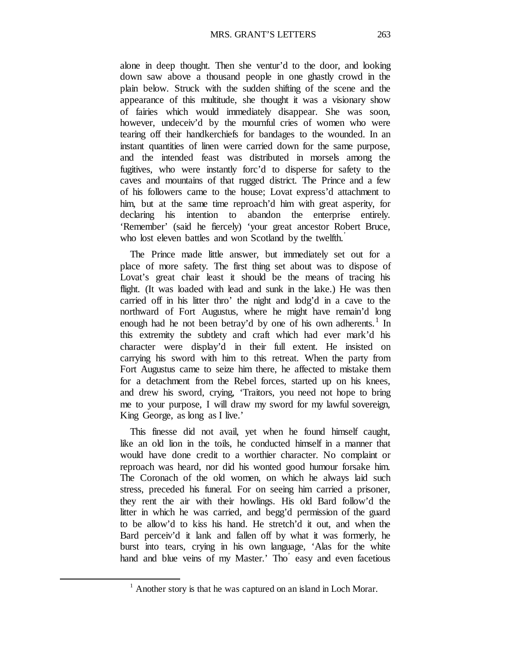alone in deep thought. Then she ventur'd to the door, and looking down saw above a thousand people in one ghastly crowd in the plain below. Struck with the sudden shifting of the scene and the appearance of this multitude, she thought it was a visionary show of fairies which would immediately disappear. She was soon, however, undeceiv'd by the mournful cries of women who were tearing off their handkerchiefs for bandages to the wounded. In an instant quantities of linen were carried down for the same purpose, and the intended feast was distributed in morsels among the fugitives, who were instantly forc'd to disperse for safety to the caves and mountains of that rugged district. The Prince and a few of his followers came to the house; Lovat express'd attachment to him, but at the same time reproach'd him with great asperity, for declaring his intention to abandon the enterprise entirely. 'Remember' (said he fiercely) 'your great ancestor Robert Bruce, who lost eleven battles and won Scotland by the twelfth.<sup>'</sup>

The Prince made little answer, but immediately set out for a place of more safety. The first thing set about was to dispose of Lovat's great chair least it should be the means of tracing his flight. (It was loaded with lead and sunk in the lake.) He was then carried off in his litter thro' the night and lodg'd in a cave to the northward of Fort Augustus, where he might have remain'd long enough had he not been betray'd by one of his own adherents.<sup>[1](#page-18-0)</sup> In this extremity the subtlety and craft which had ever mark'd his character were display'd in their full extent. He insisted on carrying his sword with him to this retreat. When the party from Fort Augustus came to seize him there, he affected to mistake them for a detachment from the Rebel forces, started up on his knees, and drew his sword, crying, 'Traitors, you need not hope to bring me to your purpose, I will draw my sword for my lawful sovereign, King George, as long as I live.'

This finesse did not avail, yet when he found himself caught, like an old lion in the toils, he conducted himself in a manner that would have done credit to a worthier character. No complaint or reproach was heard, nor did his wonted good humour forsake him. The Coronach of the old women, on which he always laid such stress, preceded his funeral. For on seeing him carried a prisoner, they rent the air with their howlings. His old Bard follow'd the litter in which he was carried, and begg'd permission of the guard to be allow'd to kiss his hand. He stretch'd it out, and when the Bard perceiv'd it lank and fallen off by what it was formerly, he burst into tears, crying in his own language, 'Alas for the white hand and blue veins of my Master.' Tho' easy and even facetious

<span id="page-18-0"></span> $<sup>1</sup>$  Another story is that he was captured on an island in Loch Morar.</sup>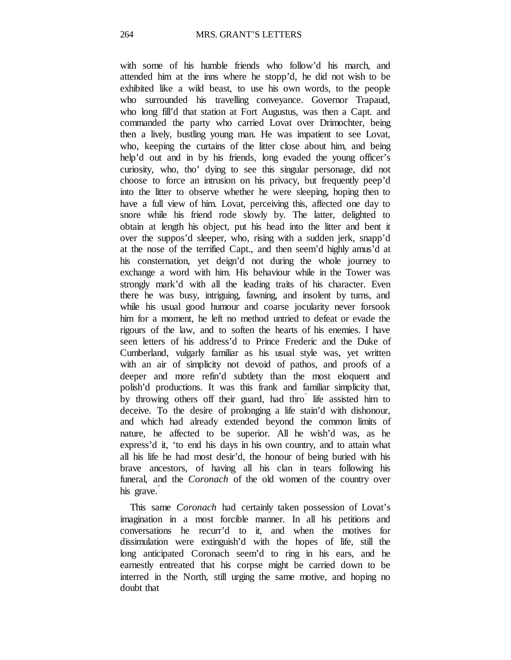with some of his humble friends who follow'd his march, and attended him at the inns where he stopp'd, he did not wish to be exhibited like a wild beast, to use his own words, to the people who surrounded his travelling conveyance. Governor Trapaud, who long fill'd that station at Fort Augustus, was then a Capt. and commanded the party who carried Lovat over Drimochter, being then a lively, bustling young man. He was impatient to see Lovat, who, keeping the curtains of the litter close about him, and being help'd out and in by his friends, long evaded the young officer's curiosity, who, tho' dying to see this singular personage, did not choose to force an intrusion on his privacy, but frequently peep'd into the litter to observe whether he were sleeping, hoping then to have a full view of him. Lovat, perceiving this, affected one day to snore while his friend rode slowly by. The latter, delighted to obtain at length his object, put his head into the litter and bent it over the suppos'd sleeper, who, rising with a sudden jerk, snapp'd at the nose of the terrified Capt., and then seem'd highly amus'd at his consternation, yet deign'd not during the whole journey to exchange a word with him. His behaviour while in the Tower was strongly mark'd with all the leading traits of his character. Even there he was busy, intriguing, fawning, and insolent by turns, and while his usual good humour and coarse jocularity never forsook him for a moment, he left no method untried to defeat or evade the rigours of the law, and to soften the hearts of his enemies. I have seen letters of his address'd to Prince Frederic and the Duke of Cumberland, vulgarly familiar as his usual style was, yet written with an air of simplicity not devoid of pathos, and proofs of a deeper and more refin'd subtlety than the most eloquent and polish'd productions. It was this frank and familiar simplicity that, by throwing others off their guard, had thro' life assisted him to deceive. To the desire of prolonging a life stain'd with dishonour, and which had already extended beyond the common limits of nature, he affected to be superior. All he wish'd was, as he express'd it, 'to end his days in his own country, and to attain what all his life he had most desir'd, the honour of being buried with his brave ancestors, of having all his clan in tears following his funeral, and the *Coronach* of the old women of the country over his grave.'

This same *Coronach* had certainly taken possession of Lovat's imagination in a most forcible manner. In all his petitions and conversations he recurr'd to it, and when the motives for dissimulation were extinguish'd with the hopes of life, still the long anticipated Coronach seem'd to ring in his ears, and he earnestly entreated that his corpse might be carried down to be interred in the North, still urging the same motive, and hoping no doubt that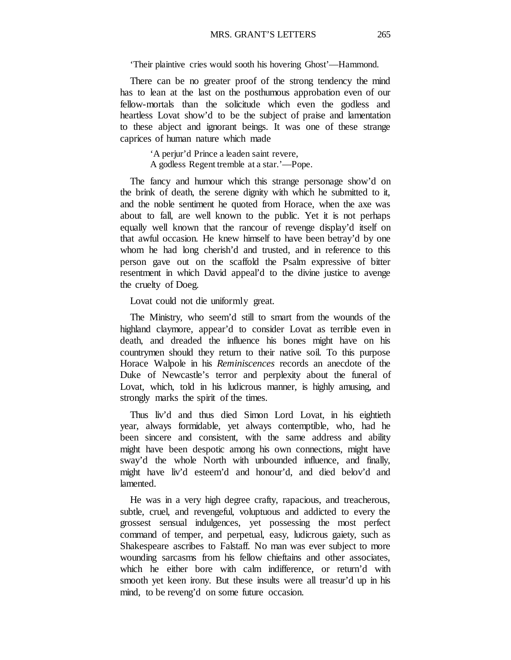'Their plaintive cries would sooth his hovering Ghost'—Hammond.

There can be no greater proof of the strong tendency the mind has to lean at the last on the posthumous approbation even of our fellow-mortals than the solicitude which even the godless and heartless Lovat show'd to be the subject of praise and lamentation to these abject and ignorant beings. It was one of these strange caprices of human nature which made

> 'A perjur'd Prince a leaden saint revere, A godless Regent tremble at a star.'—Pope.

The fancy and humour which this strange personage show'd on the brink of death, the serene dignity with which he submitted to it, and the noble sentiment he quoted from Horace, when the axe was about to fall, are well known to the public. Yet it is not perhaps equally well known that the rancour of revenge display'd itself on that awful occasion. He knew himself to have been betray'd by one whom he had long cherish'd and trusted, and in reference to this person gave out on the scaffold the Psalm expressive of bitter resentment in which David appeal'd to the divine justice to avenge the cruelty of Doeg.

Lovat could not die uniformly great.

The Ministry, who seem'd still to smart from the wounds of the highland claymore, appear'd to consider Lovat as terrible even in death, and dreaded the influence his bones might have on his countrymen should they return to their native soil. To this purpose Horace Walpole in his *Reminiscences* records an anecdote of the Duke of Newcastle's terror and perplexity about the funeral of Lovat, which, told in his ludicrous manner, is highly amusing, and strongly marks the spirit of the times.

Thus liv'd and thus died Simon Lord Lovat, in his eightieth year, always formidable, yet always contemptible, who, had he been sincere and consistent, with the same address and ability might have been despotic among his own connections, might have sway'd the whole North with unbounded influence, and finally, might have liv'd esteem'd and honour'd, and died belov'd and lamented.

He was in a very high degree crafty, rapacious, and treacherous, subtle, cruel, and revengeful, voluptuous and addicted to every the grossest sensual indulgences, yet possessing the most perfect command of temper, and perpetual, easy, ludicrous gaiety, such as Shakespeare ascribes to Falstaff. No man was ever subject to more wounding sarcasms from his fellow chieftains and other associates, which he either bore with calm indifference, or return'd with smooth yet keen irony. But these insults were all treasur'd up in his mind, to be reveng'd on some future occasion.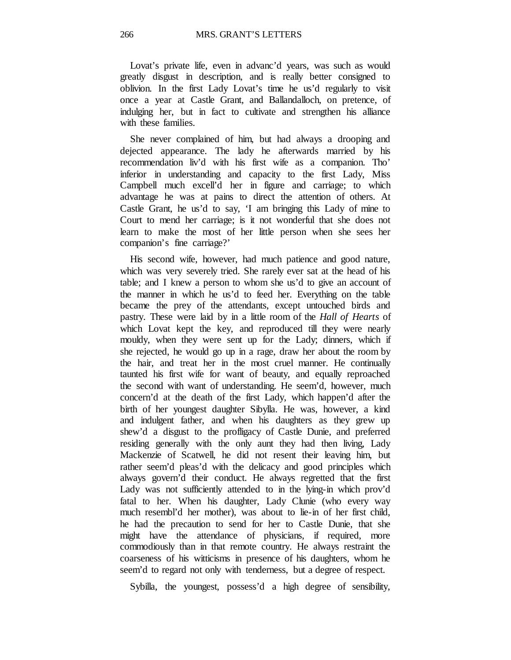Lovat's private life, even in advanc'd years, was such as would greatly disgust in description, and is really better consigned to oblivion. In the first Lady Lovat's time he us'd regularly to visit once a year at Castle Grant, and Ballandalloch, on pretence, of indulging her, but in fact to cultivate and strengthen his alliance with these families.

She never complained of him, but had always a drooping and dejected appearance. The lady he afterwards married by his recommendation liv'd with his first wife as a companion. Tho' inferior in understanding and capacity to the first Lady, Miss Campbell much excell'd her in figure and carriage; to which advantage he was at pains to direct the attention of others. At Castle Grant, he us'd to say, 'I am bringing this Lady of mine to Court to mend her carriage; is it not wonderful that she does not learn to make the most of her little person when she sees her companion's fine carriage?'

His second wife, however, had much patience and good nature, which was very severely tried. She rarely ever sat at the head of his table; and I knew a person to whom she us'd to give an account of the manner in which he us'd to feed her. Everything on the table became the prey of the attendants, except untouched birds and pastry. These were laid by in a little room of the *Hall of Hearts* of which Lovat kept the key, and reproduced till they were nearly mouldy, when they were sent up for the Lady; dinners, which if she rejected, he would go up in a rage, draw her about the room by the hair, and treat her in the most cruel manner. He continually taunted his first wife for want of beauty, and equally reproached the second with want of understanding. He seem'd, however, much concern'd at the death of the first Lady, which happen'd after the birth of her youngest daughter Sibylla. He was, however, a kind and indulgent father, and when his daughters as they grew up shew'd a disgust to the profligacy of Castle Dunie, and preferred residing generally with the only aunt they had then living, Lady Mackenzie of Scatwell, he did not resent their leaving him, but rather seem'd pleas'd with the delicacy and good principles which always govern'd their conduct. He always regretted that the first Lady was not sufficiently attended to in the lying-in which prov'd fatal to her. When his daughter, Lady Clunie (who every way much resembl'd her mother), was about to lie-in of her first child, he had the precaution to send for her to Castle Dunie, that she might have the attendance of physicians, if required, more commodiously than in that remote country. He always restraint the coarseness of his witticisms in presence of his daughters, whom he seem'd to regard not only with tenderness, but a degree of respect.

Sybilla, the youngest, possess'd a high degree of sensibility,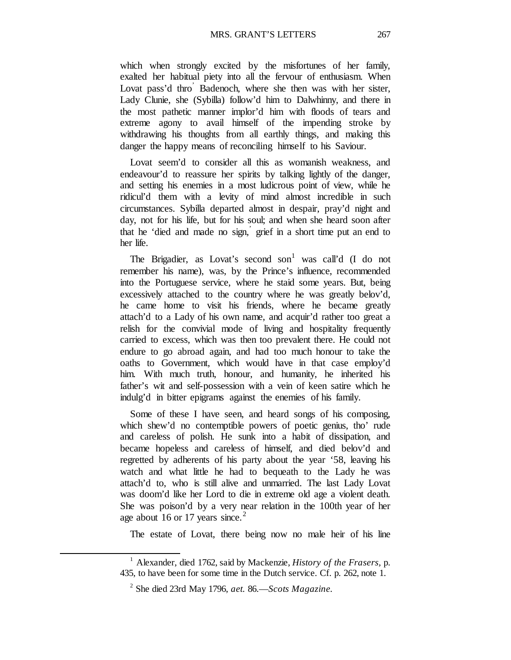which when strongly excited by the misfortunes of her family, exalted her habitual piety into all the fervour of enthusiasm. When Lovat pass'd thro Badenoch, where she then was with her sister, Lady Clunie, she (Sybilla) follow'd him to Dalwhinny, and there in the most pathetic manner implor'd him with floods of tears and extreme agony to avail himself of the impending stroke by withdrawing his thoughts from all earthly things, and making this danger the happy means of reconciling himself to his Saviour.

Lovat seem'd to consider all this as womanish weakness, and endeavour'd to reassure her spirits by talking lightly of the danger, and setting his enemies in a most ludicrous point of view, while he ridicul'd them with a levity of mind almost incredible in such circumstances. Sybilla departed almost in despair, pray'd night and day, not for his life, but for his soul; and when she heard soon after that he 'died and made no sign, ' grief in a short time put an end to her life.

The Brigadier, as Lovat's second son<sup>[1](#page-22-0)</sup> was call'd  $(I \text{ do not}$ remember his name), was, by the Prince's influence, recommended into the Portuguese service, where he staid some years. But, being excessively attached to the country where he was greatly belov'd, he came home to visit his friends, where he became greatly attach'd to a Lady of his own name, and acquir'd rather too great a relish for the convivial mode of living and hospitality frequently carried to excess, which was then too prevalent there. He could not endure to go abroad again, and had too much honour to take the oaths to Government, which would have in that case employ'd him. With much truth, honour, and humanity, he inherited his father's wit and self-possession with a vein of keen satire which he indulg'd in bitter epigrams against the enemies of his family.

Some of these I have seen, and heard songs of his composing, which shew'd no contemptible powers of poetic genius, tho' rude and careless of polish. He sunk into a habit of dissipation, and became hopeless and careless of himself, and died belov'd and regretted by adherents of his party about the year '58, leaving his watch and what little he had to bequeath to the Lady he was attach'd to, who is still alive and unmarried. The last Lady Lovat was doom'd like her Lord to die in extreme old age a violent death. She was poison'd by a very near relation in the 100th year of her age about 16 or 17 years since.<sup>[2](#page-22-1)</sup>

The estate of Lovat, there being now no male heir of his line

<span id="page-22-1"></span><span id="page-22-0"></span><sup>1</sup> Alexander, died 1762, said by Mackenzie, *History of the Frasers,* p. 435, to have been for some time in the Dutch service. Cf. p. 262, note 1.

<sup>2</sup> She died 23rd May 1796, *aet.* 86.—*Scots Magazine.*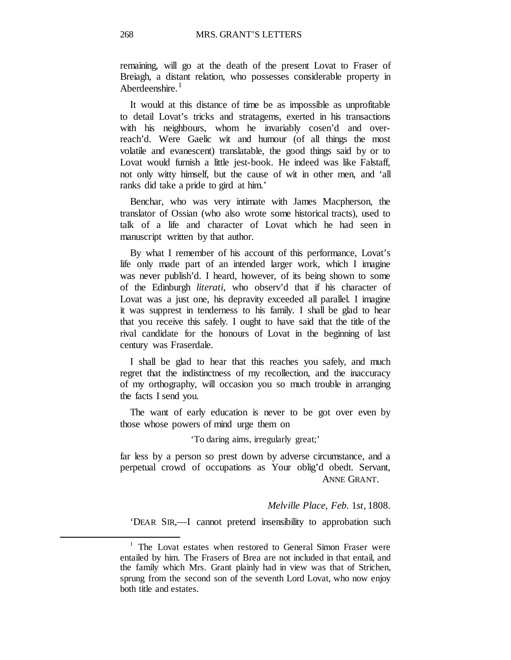remaining, will go at the death of the present Lovat to Fraser of Breiagh, a distant relation, who possesses considerable property in Aberdeenshire. $<sup>1</sup>$  $<sup>1</sup>$  $<sup>1</sup>$ </sup>

It would at this distance of time be as impossible as unprofitable to detail Lovat's tricks and stratagems, exerted in his transactions with his neighbours, whom he invariably cosen'd and overreach'd. Were Gaelic wit and humour (of all things the most volatile and evanescent) translatable, the good things said by or to Lovat would furnish a little jest-book. He indeed was like Falstaff, not only witty himself, but the cause of wit in other men, and 'all ranks did take a pride to gird at him.'

Benchar, who was very intimate with James Macpherson, the translator of Ossian (who also wrote some historical tracts), used to talk of a life and character of Lovat which he had seen in manuscript written by that author.

By what I remember of his account of this performance, Lovat's life only made part of an intended larger work, which I imagine was never publish'd. I heard, however, of its being shown to some of the Edinburgh *literati,* who observ'd that if his character of Lovat was a just one, his depravity exceeded all parallel. I imagine it was supprest in tenderness to his family. I shall be glad to hear that you receive this safely. I ought to have said that the title of the rival candidate for the honours of Lovat in the beginning of last century was Fraserdale.

I shall be glad to hear that this reaches you safely, and much regret that the indistinctness of my recollection, and the inaccuracy of my orthography, will occasion you so much trouble in arranging the facts I send you.

The want of early education is never to be got over even by those whose powers of mind urge them on

#### 'To daring aims, irregularly great;'

far less by a person so prest down by adverse circumstance, and a perpetual crowd of occupations as Your oblig'd obedt. Servant, ANNE GRANT.

#### *Melville Place, Feb.* 1*st,* 1808.

'DEAR SIR,—I cannot pretend insensibility to approbation such

<span id="page-23-0"></span> $1$  The Lovat estates when restored to General Simon Fraser were entailed by him. The Frasers of Brea are not included in that entail, and the family which Mrs. Grant plainly had in view was that of Strichen, sprung from the second son of the seventh Lord Lovat, who now enjoy both title and estates.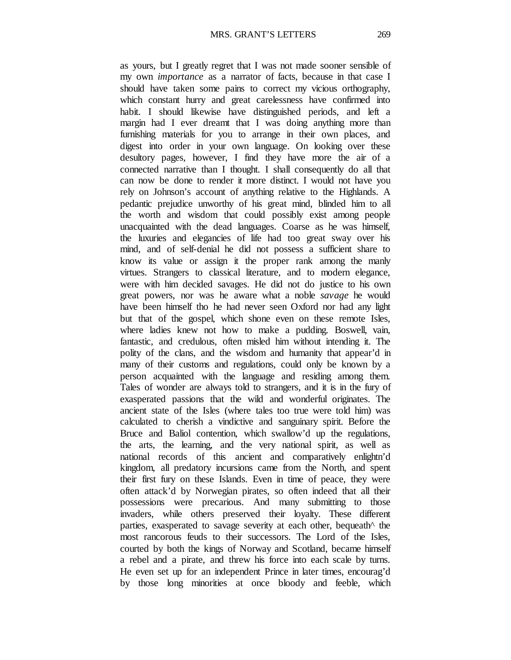as yours, but I greatly regret that I was not made sooner sensible of my own *importance* as a narrator of facts, because in that case I should have taken some pains to correct my vicious orthography, which constant hurry and great carelessness have confirmed into habit. I should likewise have distinguished periods, and left a margin had I ever dreamt that I was doing anything more than furnishing materials for you to arrange in their own places, and digest into order in your own language. On looking over these desultory pages, however, I find they have more the air of a connected narrative than I thought. I shall consequently do all that can now be done to render it more distinct. I would not have you rely on Johnson's account of anything relative to the Highlands. A pedantic prejudice unworthy of his great mind, blinded him to all the worth and wisdom that could possibly exist among people unacquainted with the dead languages. Coarse as he was himself, the luxuries and elegancies of life had too great sway over his mind, and of self-denial he did not possess a sufficient share to know its value or assign it the proper rank among the manly virtues. Strangers to classical literature, and to modern elegance, were with him decided savages. He did not do justice to his own great powers, nor was he aware what a noble *savage* he would have been himself tho he had never seen Oxford nor had any light but that of the gospel, which shone even on these remote Isles, where ladies knew not how to make a pudding. Boswell, vain, fantastic, and credulous, often misled him without intending it. The polity of the clans, and the wisdom and humanity that appear'd in many of their customs and regulations, could only be known by a person acquainted with the language and residing among them. Tales of wonder are always told to strangers, and it is in the fury of exasperated passions that the wild and wonderful originates. The ancient state of the Isles (where tales too true were told him) was calculated to cherish a vindictive and sanguinary spirit. Before the Bruce and Baliol contention, which swallow'd up the regulations, the arts, the learning, and the very national spirit, as well as national records of this ancient and comparatively enlightn'd kingdom, all predatory incursions came from the North, and spent their first fury on these Islands. Even in time of peace, they were often attack'd by Norwegian pirates, so often indeed that all their possessions were precarious. And many submitting to those invaders, while others preserved their loyalty. These different parties, exasperated to savage severity at each other, bequeath^ the most rancorous feuds to their successors. The Lord of the Isles, courted by both the kings of Norway and Scotland, became himself a rebel and a pirate, and threw his force into each scale by turns. He even set up for an independent Prince in later times, encourag'd by those long minorities at once bloody and feeble, which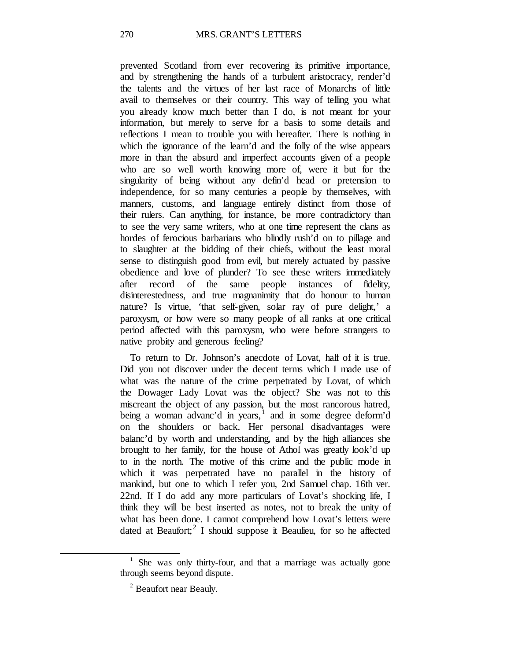prevented Scotland from ever recovering its primitive importance, and by strengthening the hands of a turbulent aristocracy, render'd the talents and the virtues of her last race of Monarchs of little avail to themselves or their country. This way of telling you what you already know much better than I do, is not meant for your information, but merely to serve for a basis to some details and reflections I mean to trouble you with hereafter. There is nothing in which the ignorance of the learn'd and the folly of the wise appears more in than the absurd and imperfect accounts given of a people who are so well worth knowing more of, were it but for the singularity of being without any defin'd head or pretension to independence, for so many centuries a people by themselves, with manners, customs, and language entirely distinct from those of their rulers. Can anything, for instance, be more contradictory than to see the very same writers, who at one time represent the clans as hordes of ferocious barbarians who blindly rush'd on to pillage and to slaughter at the bidding of their chiefs, without the least moral sense to distinguish good from evil, but merely actuated by passive obedience and love of plunder? To see these writers immediately after record of the same people instances of fidelity, disinterestedness, and true magnanimity that do honour to human nature? Is virtue, 'that self-given, solar ray of pure delight,' a paroxysm, or how were so many people of all ranks at one critical period affected with this paroxysm, who were before strangers to native probity and generous feeling?

To return to Dr. Johnson's anecdote of Lovat, half of it is true. Did you not discover under the decent terms which I made use of what was the nature of the crime perpetrated by Lovat, of which the Dowager Lady Lovat was the object? She was not to this miscreant the object of any passion, but the most rancorous hatred, being a woman advanc'd in years, $\frac{1}{1}$  $\frac{1}{1}$  $\frac{1}{1}$  and in some degree deform'd on the shoulders or back. Her personal disadvantages were balanc'd by worth and understanding, and by the high alliances she brought to her family, for the house of Athol was greatly look'd up to in the north. The motive of this crime and the public mode in which it was perpetrated have no parallel in the history of mankind, but one to which I refer you, 2nd Samuel chap. 16th ver. 22nd. If I do add any more particulars of Lovat's shocking life, I think they will be best inserted as notes, not to break the unity of what has been done. I cannot comprehend how Lovat's letters were dated at Beaufort; $2$  I should suppose it Beaulieu, for so he affected

<span id="page-25-1"></span><span id="page-25-0"></span><sup>&</sup>lt;sup>1</sup> She was only thirty-four, and that a marriage was actually gone through seems beyond dispute.

<sup>2</sup> Beaufort near Beauly.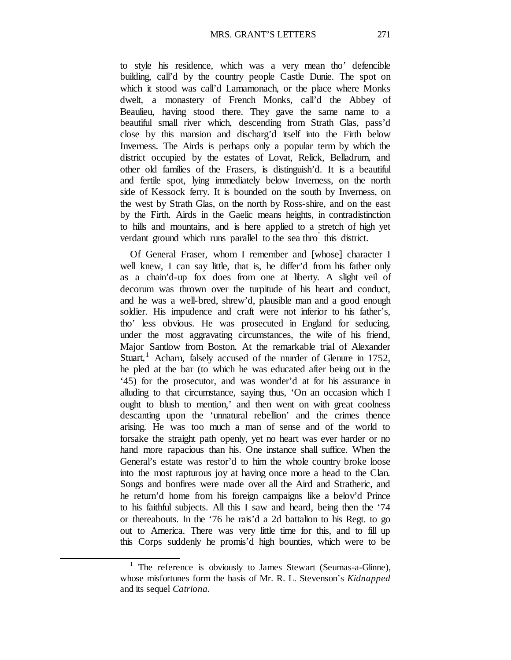to style his residence, which was a very mean tho' defencible building, call'd by the country people Castle Dunie. The spot on which it stood was call'd Lamamonach, or the place where Monks dwelt, a monastery of French Monks, call'd the Abbey of Beaulieu, having stood there. They gave the same name to a beautiful small river which, descending from Strath Glas, pass'd close by this mansion and discharg'd itself into the Firth below Inverness. The Airds is perhaps only a popular term by which the district occupied by the estates of Lovat, Relick, Belladrum, and other old families of the Frasers, is distinguish'd. It is a beautiful and fertile spot, lying immediately below Inverness, on the north side of Kessock ferry. It is bounded on the south by Inverness, on the west by Strath Glas, on the north by Ross-shire, and on the east by the Firth. Airds in the Gaelic means heights, in contradistinction to hills and mountains, and is here applied to a stretch of high yet verdant ground which runs parallel to the sea thro' this district.

Of General Fraser, whom I remember and [whose] character I well knew, I can say little, that is, he differ'd from his father only as a chain'd-up fox does from one at liberty. A slight veil of decorum was thrown over the turpitude of his heart and conduct, and he was a well-bred, shrew'd, plausible man and a good enough soldier. His impudence and craft were not inferior to his father's, tho' less obvious. He was prosecuted in England for seducing, under the most aggravating circumstances, the wife of his friend, Major Santlow from Boston. At the remarkable trial of Alexander Stuart,<sup>[1](#page-26-0)</sup> Acharn, falsely accused of the murder of Glenure in 1752, he pled at the bar (to which he was educated after being out in the '45) for the prosecutor, and was wonder'd at for his assurance in alluding to that circumstance, saying thus, 'On an occasion which I ought to blush to mention,' and then went on with great coolness descanting upon the 'unnatural rebellion' and the crimes thence arising. He was too much a man of sense and of the world to forsake the straight path openly, yet no heart was ever harder or no hand more rapacious than his. One instance shall suffice. When the General's estate was restor'd to him the whole country broke loose into the most rapturous joy at having once more a head to the Clan. Songs and bonfires were made over all the Aird and Stratheric, and he return'd home from his foreign campaigns like a belov'd Prince to his faithful subjects. All this I saw and heard, being then the '74 or thereabouts. In the '76 he rais'd a 2d battalion to his Regt. to go out to America. There was very little time for this, and to fill up this Corps suddenly he promis'd high bounties, which were to be

<span id="page-26-0"></span><sup>&</sup>lt;sup>1</sup> The reference is obviously to James Stewart (Seumas-a-Glinne), whose misfortunes form the basis of Mr. R. L. Stevenson's *Kidnapped*  and its sequel *Catriona.*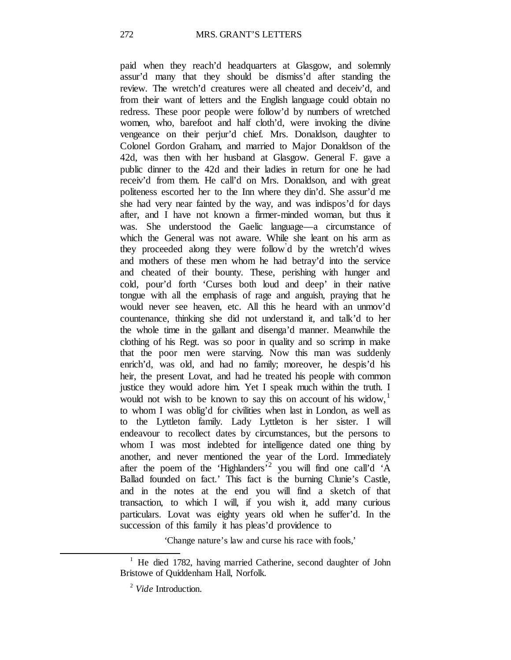paid when they reach'd headquarters at Glasgow, and solemnly assur'd many that they should be dismiss'd after standing the review. The wretch'd creatures were all cheated and deceiv'd, and from their want of letters and the English language could obtain no redress. These poor people were follow'd by numbers of wretched women, who, barefoot and half cloth'd, were invoking the divine vengeance on their perjur'd chief. Mrs. Donaldson, daughter to Colonel Gordon Graham, and married to Major Donaldson of the 42d, was then with her husband at Glasgow. General F. gave a public dinner to the 42d and their ladies in return for one he had receiv'd from them. He call'd on Mrs. Donaldson, and with great politeness escorted her to the Inn where they din'd. She assur'd me she had very near fainted by the way, and was indispos'd for days after, and I have not known a firmer-minded woman, but thus it was. She understood the Gaelic language—a circumstance of which the General was not aware. While she leant on his arm as they proceeded along they were follow' d by the wretch'd wives and mothers of these men whom he had betray'd into the service and cheated of their bounty. These, perishing with hunger and cold, pour'd forth 'Curses both loud and deep' in their native tongue with all the emphasis of rage and anguish, praying that he would never see heaven, etc. All this he heard with an unmov'd countenance, thinking she did not understand it, and talk'd to her the whole time in the gallant and disenga'd manner. Meanwhile the clothing of his Regt. was so poor in quality and so scrimp in make that the poor men were starving. Now this man was suddenly enrich'd, was old, and had no family; moreover, he despis'd his heir, the present Lovat, and had he treated his people with common justice they would adore him. Yet I speak much within the truth. I would not wish to be known to say this on account of his widow,<sup>[1](#page-27-0)</sup> to whom I was oblig'd for civilities when last in London, as well as to the Lyttleton family. Lady Lyttleton is her sister. I will endeavour to recollect dates by circumstances, but the persons to whom I was most indebted for intelligence dated one thing by another, and never mentioned the year of the Lord. Immediately after the poem of the 'Highlanders<sup>'[2](#page-27-1)</sup> you will find one call'd 'A Ballad founded on fact.' This fact is the burning Clunie's Castle, and in the notes at the end you will find a sketch of that transaction, to which I will, if you wish it, add many curious particulars. Lovat was eighty years old when he suffer'd. In the succession of this family it has pleas'd providence to

*'*Change nature's law and curse his race with fools,'

<span id="page-27-1"></span><span id="page-27-0"></span><sup>&</sup>lt;sup>1</sup> He died 1782, having married Catherine, second daughter of John Bristowe of Quiddenham Hall, Norfolk.

<sup>2</sup> *Vide* Introduction.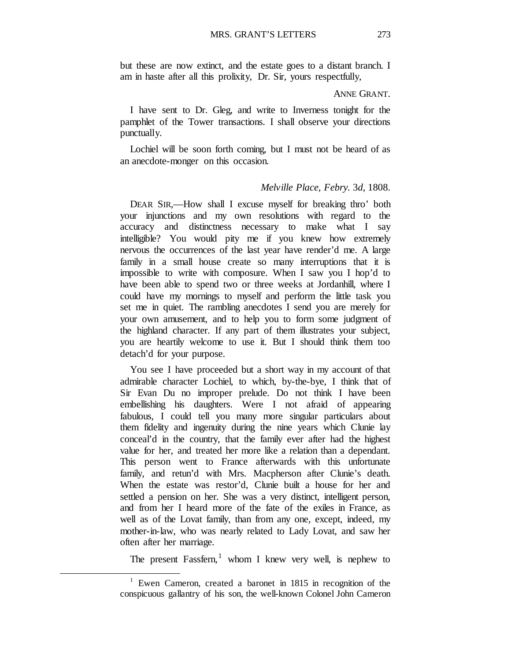but these are now extinct, and the estate goes to a distant branch. I am in haste after all this prolixity, Dr. Sir, yours respectfully,

#### ANNE GRANT.

I have sent to Dr. Gleg, and write to Inverness tonight for the pamphlet of the Tower transactions. I shall observe your directions punctually.

Lochiel will be soon forth coming, but I must not be heard of as an anecdote-monger on this occasion.

#### *Melville Place, Febry.* 3*d,* 1808.

DEAR SIR,—How shall I excuse myself for breaking thro' both your injunctions and my own resolutions with regard to the accuracy and distinctness necessary to make what I say intelligible? You would pity me if you knew how extremely nervous the occurrences of the last year have render'd me. A large family in a small house create so many interruptions that it is impossible to write with composure. When I saw you I hop'd to have been able to spend two or three weeks at Jordanhill, where I could have my mornings to myself and perform the little task you set me in quiet. The rambling anecdotes I send you are merely for your own amusement, and to help you to form some judgment of the highland character. If any part of them illustrates your subject, you are heartily welcome to use it. But I should think them too detach'd for your purpose.

You see I have proceeded but a short way in my account of that admirable character Lochiel, to which, by-the-bye, I think that of Sir Evan Du no improper prelude. Do not think I have been embellishing his daughters. Were I not afraid of appearing fabulous, I could tell you many more singular particulars about them fidelity and ingenuity during the nine years which Clunie lay conceal'd in the country, that the family ever after had the highest value for her, and treated her more like a relation than a dependant. This person went to France afterwards with this unfortunate family, and retun'd with Mrs. Macpherson after Clunie's death. When the estate was restor'd, Clunie built a house for her and settled a pension on her. She was a very distinct, intelligent person, and from her I heard more of the fate of the exiles in France, as well as of the Lovat family, than from any one, except, indeed, my mother-in-law, who was nearly related to Lady Lovat, and saw her often after her marriage.

The present Fassfern,  $\frac{1}{1}$  $\frac{1}{1}$  $\frac{1}{1}$  whom I knew very well, is nephew to

<span id="page-28-0"></span><sup>&</sup>lt;sup>1</sup> Ewen Cameron, created a baronet in 1815 in recognition of the conspicuous gallantry of his son, the well-known Colonel John Cameron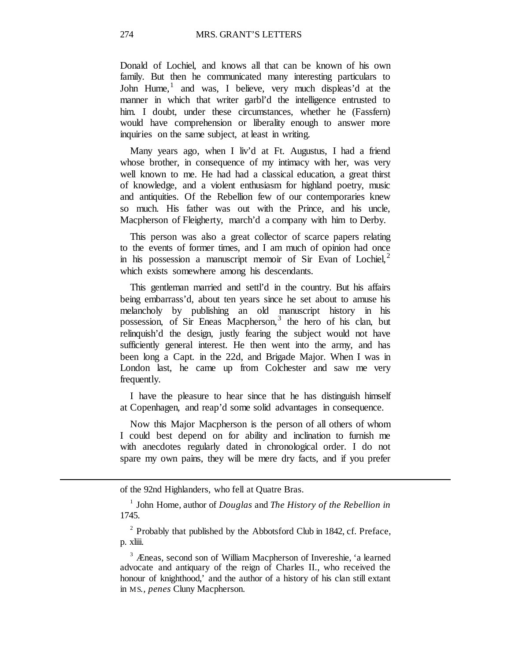Donald of Lochiel, and knows all that can be known of his own family. But then he communicated many interesting particulars to John Hume, $\frac{1}{1}$  $\frac{1}{1}$  $\frac{1}{1}$  and was, I believe, very much displeas'd at the manner in which that writer garbl'd the intelligence entrusted to him. I doubt, under these circumstances, whether he (Fassfern) would have comprehension or liberality enough to answer more inquiries on the same subject, at least in writing.

Many years ago, when I liv'd at Ft. Augustus, I had a friend whose brother, in consequence of my intimacy with her, was very well known to me. He had had a classical education, a great thirst of knowledge, and a violent enthusiasm for highland poetry, music and antiquities. Of the Rebellion few of our contemporaries knew so much. His father was out with the Prince, and his uncle, Macpherson of Fleigherty, march'd a company with him to Derby.

This person was also a great collector of scarce papers relating to the events of former times, and I am much of opinion had once in his possession a manuscript memoir of Sir Evan of Lochiel, $2$ which exists somewhere among his descendants.

This gentleman married and settl'd in the country. But his affairs being embarrass'd, about ten years since he set about to amuse his melancholy by publishing an old manuscript history in his possession, of Sir Eneas Macpherson,<sup>[3](#page-29-2)</sup> the hero of his clan, but relinquish'd the design, justly fearing the subject would not have sufficiently general interest. He then went into the army, and has been long a Capt. in the 22d, and Brigade Major. When I was in London last, he came up from Colchester and saw me very frequently.

I have the pleasure to hear since that he has distinguish himself at Copenhagen, and reap'd some solid advantages in consequence.

Now this Major Macpherson is the person of all others of whom I could best depend on for ability and inclination to furnish me with anecdotes regularly dated in chronological order. I do not spare my own pains, they will be mere dry facts, and if you prefer

of the 92nd Highlanders, who fell at Quatre Bras.

<span id="page-29-2"></span><span id="page-29-1"></span><span id="page-29-0"></span> $\overline{a}$ 

<sup>1</sup> John Home, author of *Douglas* and *The History of the Rebellion in*  1745.

<sup>2</sup> Probably that published by the Abbotsford Club in 1842, cf. Preface, p. xliii.

<sup>3</sup> Æneas, second son of William Macpherson of Invereshie, 'a learned advocate and antiquary of the reign of Charles II., who received the honour of knighthood,' and the author of a history of his clan still extant in MS*., penes* Cluny Macpherson.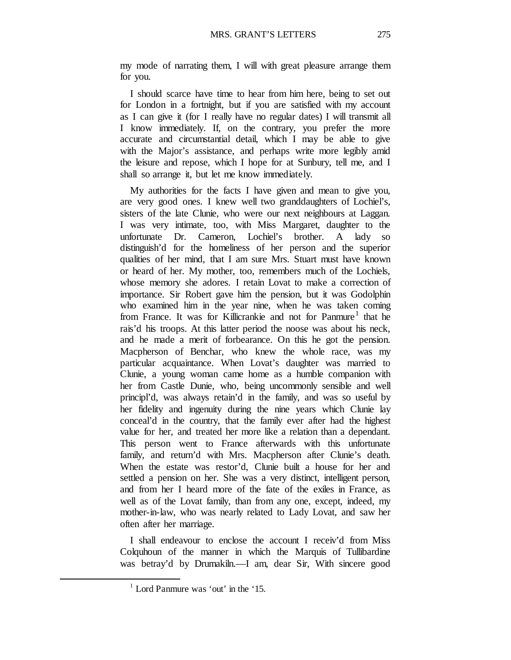my mode of narrating them, I will with great pleasure arrange them for you.

I should scarce have time to hear from him here, being to set out for London in a fortnight, but if you are satisfied with my account as I can give it (for I really have no regular dates) I will transmit all I know immediately. If, on the contrary, you prefer the more accurate and circumstantial detail, which I may be able to give with the Major's assistance, and perhaps write more legibly amid the leisure and repose, which I hope for at Sunbury, tell me, and I shall so arrange it, but let me know immediately.

My authorities for the facts I have given and mean to give you, are very good ones. I knew well two granddaughters of Lochiel's, sisters of the late Clunie, who were our next neighbours at Laggan. I was very intimate, too, with Miss Margaret, daughter to the unfortunate Dr. Cameron, Lochiel's brother. A lady so distinguish'd for the homeliness of her person and the superior qualities of her mind, that I am sure Mrs. Stuart must have known or heard of her. My mother, too, remembers much of the Lochiels, whose memory she adores. I retain Lovat to make a correction of importance. Sir Robert gave him the pension, but it was Godolphin who examined him in the year nine, when he was taken coming from France. It was for Killicrankie and not for Panmure<sup>[1](#page-30-0)</sup> that he rais'd his troops. At this latter period the noose was about his neck, and he made a merit of forbearance. On this he got the pension. Macpherson of Benchar, who knew the whole race, was my particular acquaintance. When Lovat's daughter was married to Clunie, a young woman came home as a humble companion with her from Castle Dunie, who, being uncommonly sensible and well principl'd, was always retain'd in the family, and was so useful by her fidelity and ingenuity during the nine years which Clunie lay conceal'd in the country, that the family ever after had the highest value for her, and treated her more like a relation than a dependant. This person went to France afterwards with this unfortunate family, and return'd with Mrs. Macpherson after Clunie's death. When the estate was restor'd, Clunie built a house for her and settled a pension on her. She was a very distinct, intelligent person, and from her I heard more of the fate of the exiles in France, as well as of the Lovat family, than from any one, except, indeed, my mother-in-law, who was nearly related to Lady Lovat, and saw her often after her marriage.

I shall endeavour to enclose the account I receiv'd from Miss Colquhoun of the manner in which the Marquis of Tullibardine was betray'd by Drumakiln.—I am, dear Sir, With sincere good

<span id="page-30-0"></span> $1$  Lord Panmure was 'out' in the '15.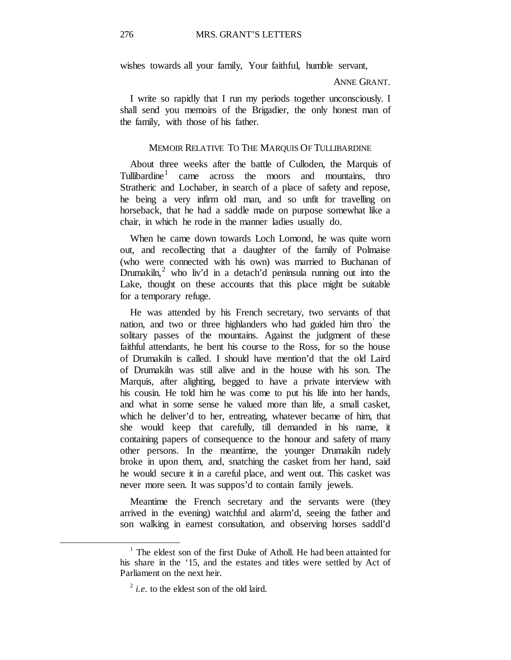wishes towards all your family, Your faithful, humble servant,

#### ANNE GRANT.

I write so rapidly that I run my periods together unconsciously. I shall send you memoirs of the Brigadier, the only honest man of the family, with those of his father.

#### MEMOIR RELATIVE TO THE MARQUIS OF TULLIBARDINE

About three weeks after the battle of Culloden, the Marquis of Tullibardine[1](#page-31-0) came across the moors and mountains, thro Stratheric and Lochaber, in search of a place of safety and repose, he being a very infirm old man, and so unfit for travelling on horseback, that he had a saddle made on purpose somewhat like a chair, in which he rode in the manner ladies usually do.

When he came down towards Loch Lomond, he was quite worn out, and recollecting that a daughter of the family of Polmaise (who were connected with his own) was married to Buchanan of Drumakiln,<sup>[2](#page-31-1)</sup> who liv'd in a detach'd peninsula running out into the Lake, thought on these accounts that this place might be suitable for a temporary refuge.

He was attended by his French secretary, two servants of that nation, and two or three highlanders who had guided him thro' the solitary passes of the mountains. Against the judgment of these faithful attendants, he bent his course to the Ross, for so the house of Drumakiln is called. I should have mention'd that the old Laird of Drumakiln was still alive and in the house with his son. The Marquis, after alighting, begged to have a private interview with his cousin. He told him he was come to put his life into her hands, and what in some sense he valued more than life, a small casket, which he deliver'd to her, entreating, whatever became of him, that she would keep that carefully, till demanded in his name, it containing papers of consequence to the honour and safety of many other persons. In the meantime, the younger Drumakiln rudely broke in upon them, and, snatching the casket from her hand, said he would secure it in a careful place, and went out. This casket was never more seen. It was suppos'd to contain family jewels.

Meantime the French secretary and the servants were (they arrived in the evening) watchful and alarm'd, seeing the father and son walking in earnest consultation, and observing horses saddl'd

<span id="page-31-1"></span><span id="page-31-0"></span><sup>&</sup>lt;sup>1</sup> The eldest son of the first Duke of Atholl. He had been attainted for his share in the '15, and the estates and titles were settled by Act of Parliament on the next heir.

<sup>&</sup>lt;sup>2</sup> *i.e.* to the eldest son of the old laird.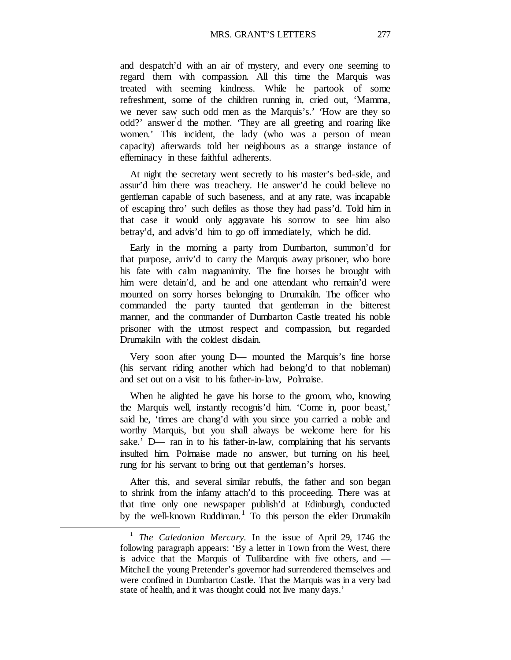and despatch'd with an air of mystery, and every one seeming to regard them with compassion. All this time the Marquis was treated with seeming kindness. While he partook of some refreshment, some of the children running in, cried out, 'Mamma, we never saw such odd men as the Marquis's.' 'How are they so odd?' answer' d the mother. 'They are all greeting and roaring like women.' This incident, the lady (who was a person of mean capacity) afterwards told her neighbours as a strange instance of effeminacy in these faithful adherents.

At night the secretary went secretly to his master's bed-side, and assur'd him there was treachery. He answer'd he could believe no gentleman capable of such baseness, and at any rate, was incapable of escaping thro' such defiles as those they had pass'd. Told him in that case it would only aggravate his sorrow to see him also betray'd, and advis'd him to go off immediately, which he did.

Early in the morning a party from Dumbarton, summon'd for that purpose, arriv'd to carry the Marquis away prisoner, who bore his fate with calm magnanimity. The fine horses he brought with him were detain'd, and he and one attendant who remain'd were mounted on sorry horses belonging to Drumakiln. The officer who commanded the party taunted that gentleman in the bitterest manner, and the commander of Dumbarton Castle treated his noble prisoner with the utmost respect and compassion, but regarded Drumakiln with the coldest disdain.

Very soon after young D— mounted the Marquis's fine horse (his servant riding another which had belong'd to that nobleman) and set out on a visit to his father-in-law, Polmaise.

When he alighted he gave his horse to the groom, who, knowing the Marquis well, instantly recognis'd him. 'Come in, poor beast,' said he, 'times are chang'd with you since you carried a noble and worthy Marquis, but you shall always be welcome here for his sake.' D— ran in to his father-in-law, complaining that his servants insulted him. Polmaise made no answer, but turning on his heel, rung for his servant to bring out that gentleman's horses.

After this, and several similar rebuffs, the father and son began to shrink from the infamy attach'd to this proceeding. There was at that time only one newspaper publish'd at Edinburgh, conducted by the well-known Ruddiman.<sup>[1](#page-32-0)</sup> To this person the elder Drumakiln

<span id="page-32-0"></span><sup>1</sup> *The Caledonian Mercury.* In the issue of April 29, 1746 the following paragraph appears: 'By a letter in Town from the West, there is advice that the Marquis of Tullibardine with five others, and — Mitchell the young Pretender's governor had surrendered themselves and were confined in Dumbarton Castle. That the Marquis was in a very bad state of health, and it was thought could not live many days.'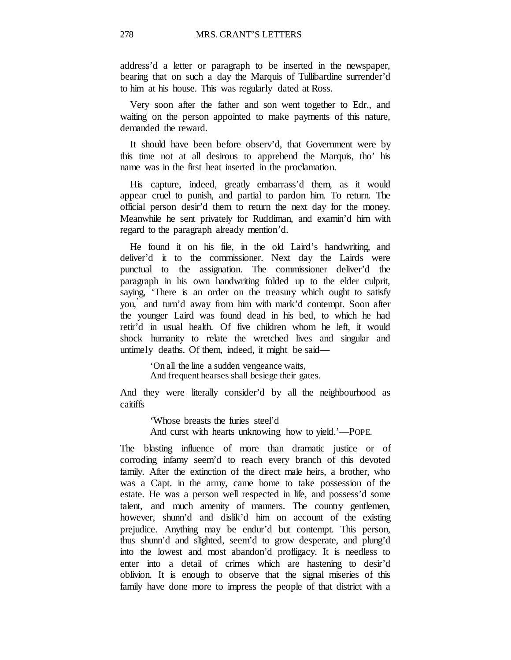address'd a letter or paragraph to be inserted in the newspaper, bearing that on such a day the Marquis of Tullibardine surrender'd to him at his house. This was regularly dated at Ross.

Very soon after the father and son went together to Edr., and waiting on the person appointed to make payments of this nature, demanded the reward.

It should have been before observ'd, that Government were by this time not at all desirous to apprehend the Marquis, tho' his name was in the first heat inserted in the proclamation.

His capture, indeed, greatly embarrass'd them, as it would appear cruel to punish, and partial to pardon him. To return. The official person desir'd them to return the next day for the money. Meanwhile he sent privately for Ruddiman, and examin'd him with regard to the paragraph already mention'd.

He found it on his file, in the old Laird's handwriting, and deliver'd it to the commissioner. Next day the Lairds were punctual to the assignation. The commissioner deliver'd the paragraph in his own handwriting folded up to the elder culprit, saying, 'There is an order on the treasury which ought to satisfy you,' and turn'd away from him with mark'd contempt. Soon after the younger Laird was found dead in his bed, to which he had retir'd in usual health. Of five children whom he left, it would shock humanity to relate the wretched lives and singular and untimely deaths. Of them, indeed, it might be said—

> 'On all the line a sudden vengeance waits, And frequent hearses shall besiege their gates.

And they were literally consider'd by all the neighbourhood as caitiffs

> 'Whose breasts the furies steel'd And curst with hearts unknowing how to yield.'—POPE.

The blasting influence of more than dramatic justice or of corroding infamy seem'd to reach every branch of this devoted family. After the extinction of the direct male heirs, a brother, who was a Capt. in the army, came home to take possession of the estate. He was a person well respected in life, and possess'd some talent, and much amenity of manners. The country gentlemen, however, shunn'd and dislik'd him on account of the existing prejudice. Anything may be endur'd but contempt. This person, thus shunn'd and slighted, seem'd to grow desperate, and plung'd into the lowest and most abandon'd profligacy. It is needless to enter into a detail of crimes which are hastening to desir'd oblivion. It is enough to observe that the signal miseries of this family have done more to impress the people of that district with a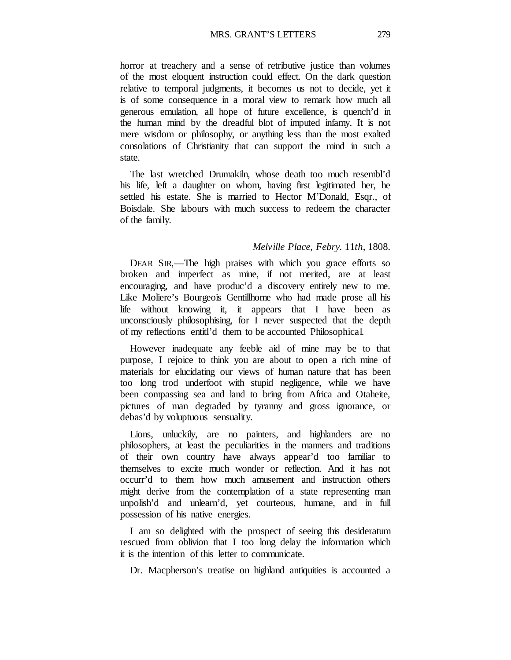MRS. GRANT'S LETTERS 279

horror at treachery and a sense of retributive justice than volumes of the most eloquent instruction could effect. On the dark question relative to temporal judgments, it becomes us not to decide, yet it is of some consequence in a moral view to remark how much all generous emulation, all hope of future excellence, is quench'd in the human mind by the dreadful blot of imputed infamy. It is not mere wisdom or philosophy, or anything less than the most exalted consolations of Christianity that can support the mind in such a state.

The last wretched Drumakiln, whose death too much resembl'd his life, left a daughter on whom, having first legitimated her, he settled his estate. She is married to Hector M'Donald, Esqr., of Boisdale. She labours with much success to redeem the character of the family.

#### *Melville Place, Febry.* 11*th,* 1808.

DEAR SIR,—The high praises with which you grace efforts so broken and imperfect as mine, if not merited, are at least encouraging, and have produc'd a discovery entirely new to me. Like Moliere's Bourgeois Gentillhome who had made prose all his life without knowing it, it appears that I have been as unconsciously philosophising, for I never suspected that the depth of my reflections entitl'd them to be accounted Philosophical.

However inadequate any feeble aid of mine may be to that purpose, I rejoice to think you are about to open a rich mine of materials for elucidating our views of human nature that has been too long trod underfoot with stupid negligence, while we have been compassing sea and land to bring from Africa and Otaheite, pictures of man degraded by tyranny and gross ignorance, or debas'd by voluptuous sensuality.

Lions, unluckily, are no painters, and highlanders are no philosophers, at least the peculiarities in the manners and traditions of their own country have always appear'd too familiar to themselves to excite much wonder or reflection. And it has not occurr'd to them how much amusement and instruction others might derive from the contemplation of a state representing man unpolish'd and unlearn'd, yet courteous, humane, and in full possession of his native energies.

I am so delighted with the prospect of seeing this desideratum rescued from oblivion that I too long delay the information which it is the intention of this letter to communicate.

Dr. Macpherson's treatise on highland antiquities is accounted a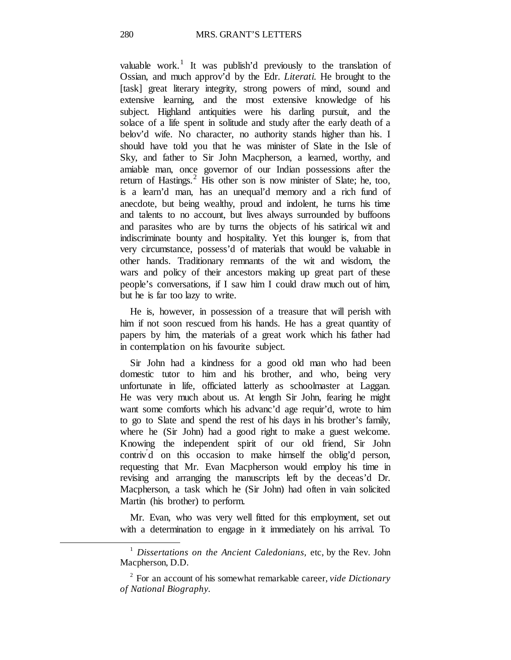valuable work.<sup>[1](#page-35-0)</sup> It was publish'd previously to the translation of Ossian, and much approv'd by the Edr. *Literati.* He brought to the [task] great literary integrity, strong powers of mind, sound and extensive learning, and the most extensive knowledge of his subject. Highland antiquities were his darling pursuit, and the solace of a life spent in solitude and study after the early death of a belov'd wife. No character, no authority stands higher than his. I should have told you that he was minister of Slate in the Isle of Sky, and father to Sir John Macpherson, a learned, worthy, and amiable man, once governor of our Indian possessions after the return of Hastings.<sup>[2](#page-35-1)</sup> His other son is now minister of Slate; he, too, is a learn'd man, has an unequal'd memory and a rich fund of anecdote, but being wealthy, proud and indolent, he turns his time and talents to no account, but lives always surrounded by buffoons and parasites who are by turns the objects of his satirical wit and indiscriminate bounty and hospitality. Yet this lounger is, from that very circumstance, possess'd of materials that would be valuable in other hands. Traditionary remnants of the wit and wisdom, the wars and policy of their ancestors making up great part of these people's conversations, if I saw him I could draw much out of him, but he is far too lazy to write.

He is, however, in possession of a treasure that will perish with him if not soon rescued from his hands. He has a great quantity of papers by him, the materials of a great work which his father had in contemplation on his favourite subject.

Sir John had a kindness for a good old man who had been domestic tutor to him and his brother, and who, being very unfortunate in life, officiated latterly as schoolmaster at Laggan. He was very much about us. At length Sir John, fearing he might want some comforts which his advanc'd age requir'd, wrote to him to go to Slate and spend the rest of his days in his brother's family, where he (Sir John) had a good right to make a guest welcome. Knowing the independent spirit of our old friend, Sir John contriv' d on this occasion to make himself the oblig'd person, requesting that Mr. Evan Macpherson would employ his time in revising and arranging the manuscripts left by the deceas'd Dr. Macpherson, a task which he (Sir John) had often in vain solicited Martin (his brother) to perform.

Mr. Evan, who was very well fitted for this employment, set out with a determination to engage in it immediately on his arrival. To

<span id="page-35-0"></span><sup>&</sup>lt;sup>1</sup> Dissertations on the Ancient Caledonians, etc, by the Rev. John Macpherson, D.D.

<span id="page-35-1"></span><sup>2</sup> For an account of his somewhat remarkable career, *vide Dictionary of National Biography.*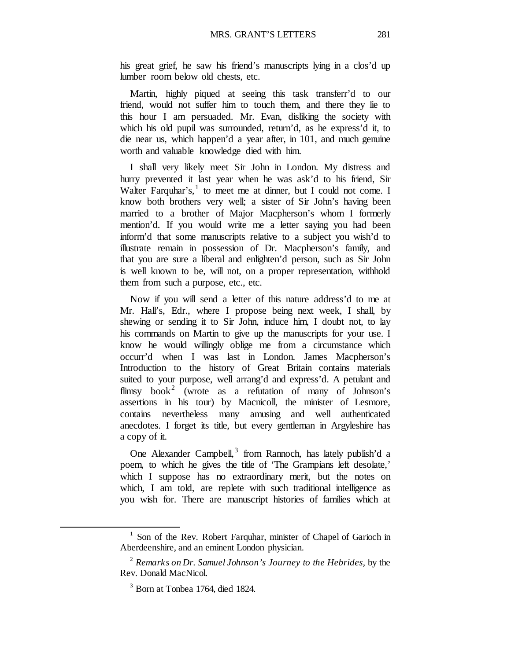his great grief, he saw his friend's manuscripts lying in a clos'd up lumber room below old chests, etc.

Martin, highly piqued at seeing this task transferr'd to our friend, would not suffer him to touch them, and there they lie to this hour I am persuaded. Mr. Evan, disliking the society with which his old pupil was surrounded, return'd, as he express'd it, to die near us, which happen'd a year after, in 101, and much genuine worth and valuable knowledge died with him.

I shall very likely meet Sir John in London. My distress and hurry prevented it last year when he was ask'd to his friend, Sir Walter Farquhar's, $<sup>1</sup>$  $<sup>1</sup>$  $<sup>1</sup>$  to meet me at dinner, but I could not come. I</sup> know both brothers very well; a sister of Sir John's having been married to a brother of Major Macpherson's whom I formerly mention'd. If you would write me a letter saying you had been inform'd that some manuscripts relative to a subject you wish'd to illustrate remain in possession of Dr. Macpherson's family, and that you are sure a liberal and enlighten'd person, such as Sir John is well known to be, will not, on a proper representation, withhold them from such a purpose, etc., etc.

Now if you will send a letter of this nature address'd to me at Mr. Hall's, Edr., where I propose being next week, I shall, by shewing or sending it to Sir John, induce him, I doubt not, to lay his commands on Martin to give up the manuscripts for your use. I know he would willingly oblige me from a circumstance which occurr'd when I was last in London. James Macpherson's Introduction to the history of Great Britain contains materials suited to your purpose, well arrang'd and express'd. A petulant and flimsy book<sup>[2](#page-36-1)</sup> (wrote as a refutation of many of Johnson's assertions in his tour) by Macnicoll, the minister of Lesmore, contains nevertheless many amusing and well authenticated anecdotes. I forget its title, but every gentleman in Argyleshire has a copy of it.

One Alexander Campbell,<sup>[3](#page-36-2)</sup> from Rannoch, has lately publish'd a poem, to which he gives the title of 'The Grampians left desolate,' which I suppose has no extraordinary merit, but the notes on which, I am told, are replete with such traditional intelligence as you wish for. There are manuscript histories of families which at

<span id="page-36-0"></span> $1$  Son of the Rev. Robert Farquhar, minister of Chapel of Garioch in Aberdeenshire, and an eminent London physician.

<span id="page-36-2"></span><span id="page-36-1"></span><sup>2</sup> *Remarks on Dr. Samuel Johnson's Journey to the Hebrides,* by the Rev. Donald MacNicol.

<sup>&</sup>lt;sup>3</sup> Born at Tonbea 1764, died 1824.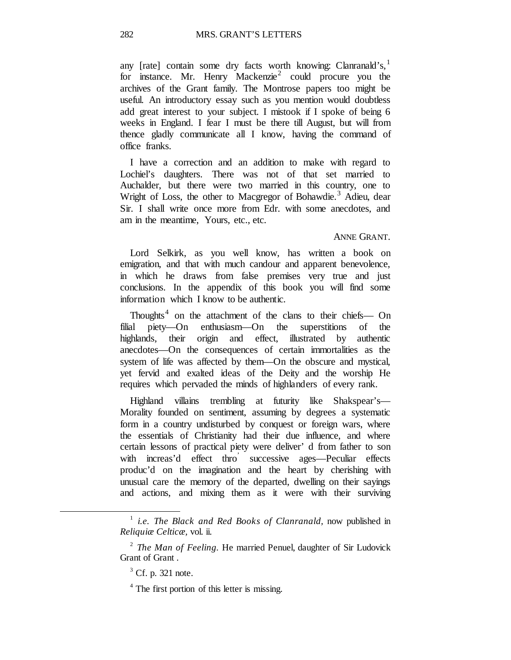any [rate] contain some dry facts worth knowing: Clanranald's, $<sup>1</sup>$  $<sup>1</sup>$  $<sup>1</sup>$ </sup> for instance. Mr. Henry Mackenzie<sup>[2](#page-37-1)</sup> could procure you the archives of the Grant family. The Montrose papers too might be useful. An introductory essay such as you mention would doubtless add great interest to your subject. I mistook if I spoke of being 6 weeks in England. I fear I must be there till August, but will from thence gladly communicate all I know, having the command of office franks.

I have a correction and an addition to make with regard to Lochiel's daughters. There was not of that set married to Auchalder, but there were two married in this country, one to Wright of Loss, the other to Macgregor of Bohawdie.<sup>[3](#page-37-2)</sup> Adieu, dear Sir. I shall write once more from Edr. with some anecdotes, and am in the meantime, Yours, etc., etc.

#### ANNE GRANT.

Lord Selkirk, as you well know, has written a book on emigration, and that with much candour and apparent benevolence, in which he draws from false premises very true and just conclusions. In the appendix of this book you will find some information which I know to be authentic.

Thoughts<sup>[4](#page-37-3)</sup> on the attachment of the clans to their chiefs— On filial piety—On enthusiasm—On the superstitions of the highlands, their origin and effect, illustrated by authentic anecdotes—On the consequences of certain immortalities as the system of life was affected by them—On the obscure and mystical, yet fervid and exalted ideas of the Deity and the worship He requires which pervaded the minds of highlanders of every rank.

Highland villains trembling at futurity like Shakspear's— Morality founded on sentiment, assuming by degrees a systematic form in a country undisturbed by conquest or foreign wars, where the essentials of Christianity had their due influence, and where certain lessons of practical piety were deliver' d from father to son with increas'd effect thro' successive ages—Peculiar effects produc'd on the imagination and the heart by cherishing with unusual care the memory of the departed, dwelling on their sayings and actions, and mixing them as it were with their surviving

<span id="page-37-0"></span><sup>1</sup> *i.e. The Black and Red Books of Clanranald,* now published in *Reliquiæ Celticæ,* vol. ii.

<span id="page-37-3"></span><span id="page-37-2"></span><span id="page-37-1"></span><sup>2</sup> *The Man of Feeling.* He married Penuel, daughter of Sir Ludovick Grant of Grant .

 $3^3$  Cf. p. 321 note.

 $4$  The first portion of this letter is missing.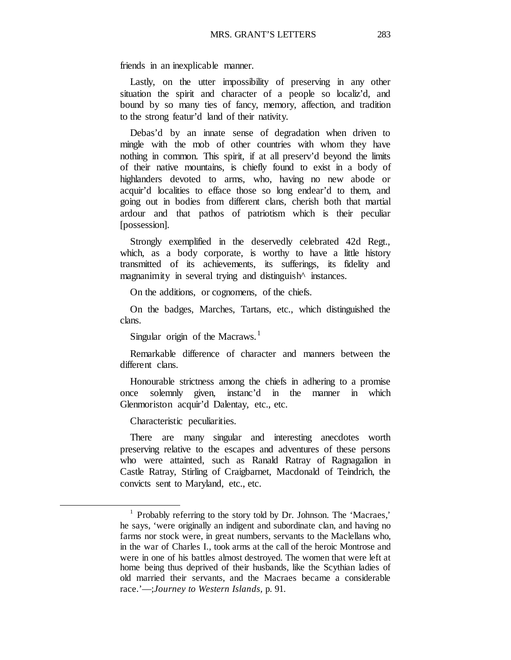friends in an inexplicable manner.

Lastly, on the utter impossibility of preserving in any other situation the spirit and character of a people so localiz'd, and bound by so many ties of fancy, memory, affection, and tradition to the strong featur'd land of their nativity.

Debas'd by an innate sense of degradation when driven to mingle with the mob of other countries with whom they have nothing in common. This spirit, if at all preserv'd beyond the limits of their native mountains, is chiefly found to exist in a body of highlanders devoted to arms, who, having no new abode or acquir'd localities to efface those so long endear'd to them, and going out in bodies from different clans, cherish both that martial ardour and that pathos of patriotism which is their peculiar [possession].

Strongly exemplified in the deservedly celebrated 42d Regt., which, as a body corporate, is worthy to have a little history transmitted of its achievements, its sufferings, its fidelity and magnanimity in several trying and distinguish instances.

On the additions, or cognomens, of the chiefs.

On the badges, Marches, Tartans, etc., which distinguished the clans.

Singular origin of the Macraws.<sup>[1](#page-38-0)</sup>

Remarkable difference of character and manners between the different clans.

Honourable strictness among the chiefs in adhering to a promise once solemnly given, instanc'd in the manner in which Glenmoriston acquir'd Dalentay, etc., etc.

Characteristic peculiarities.

<span id="page-38-0"></span> $\overline{a}$ 

There are many singular and interesting anecdotes worth preserving relative to the escapes and adventures of these persons who were attainted, such as Ranald Ratray of Ragnagalion in Castle Ratray, Stirling of Craigbarnet, Macdonald of Teindrich, the convicts sent to Maryland, etc., etc.

<sup>1</sup> Probably referring to the story told by Dr. Johnson. The 'Macraes,' he says, 'were originally an indigent and subordinate clan, and having no farms nor stock were, in great numbers, servants to the Maclellans who, in the war of Charles I., took arms at the call of the heroic Montrose and were in one of his battles almost destroyed. The women that were left at home being thus deprived of their husbands, like the Scythian ladies of old married their servants, and the Macraes became a considerable race.'—;*Journey to Western Islands,* p. 91.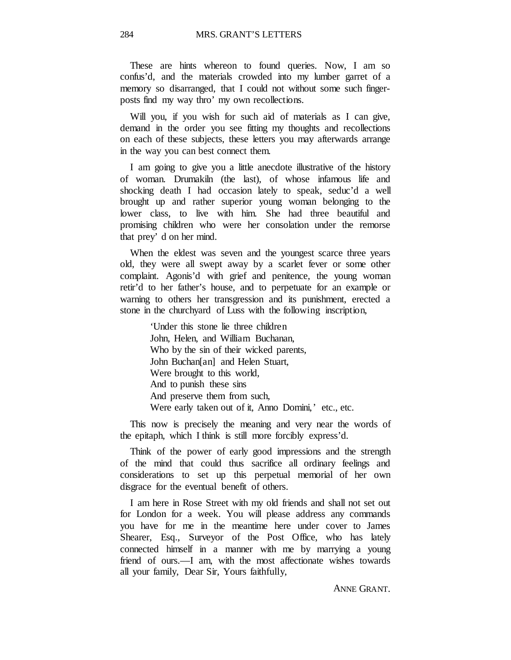These are hints whereon to found queries. Now, I am so confus'd, and the materials crowded into my lumber garret of a memory so disarranged, that I could not without some such fingerposts find my way thro' my own recollections.

Will you, if you wish for such aid of materials as I can give, demand in the order you see fitting my thoughts and recollections on each of these subjects, these letters you may afterwards arrange in the way you can best connect them.

I am going to give you a little anecdote illustrative of the history of woman. Drumakiln (the last), of whose infamous life and shocking death I had occasion lately to speak, seduc'd a well brought up and rather superior young woman belonging to the lower class, to live with him. She had three beautiful and promising children who were her consolation under the remorse that prey' d on her mind.

When the eldest was seven and the youngest scarce three years old, they were all swept away by a scarlet fever or some other complaint. Agonis'd with grief and penitence, the young woman retir'd to her father's house, and to perpetuate for an example or warning to others her transgression and its punishment, erected a stone in the churchyard of Luss with the following inscription,

> 'Under this stone lie three children John, Helen, and William Buchanan, Who by the sin of their wicked parents, John Buchan[an] and Helen Stuart, Were brought to this world, And to punish these sins And preserve them from such, Were early taken out of it, Anno Domini,' etc., etc.

This now is precisely the meaning and very near the words of the epitaph, which I think is still more forcibly express'd.

Think of the power of early good impressions and the strength of the mind that could thus sacrifice all ordinary feelings and considerations to set up this perpetual memorial of her own disgrace for the eventual benefit of others.

I am here in Rose Street with my old friends and shall not set out for London for a week. You will please address any commands you have for me in the meantime here under cover to James Shearer, Esq., Surveyor of the Post Office, who has lately connected himself in a manner with me by marrying a young friend of ours.—I am, with the most affectionate wishes towards all your family, Dear Sir, Yours faithfully,

ANNE GRANT.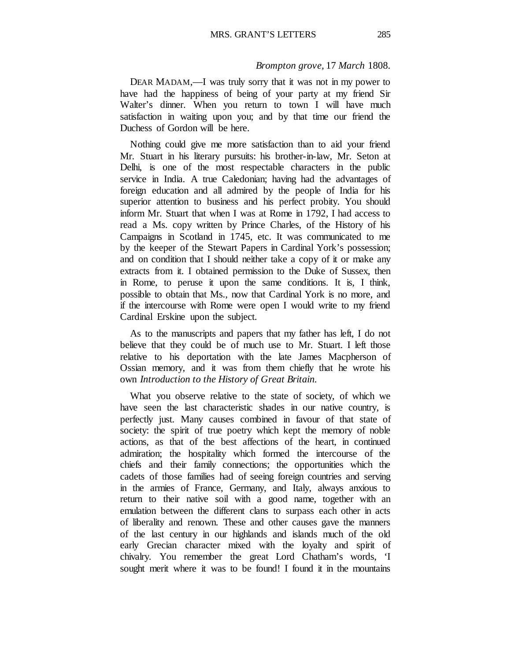#### *Brompton grove,* 17 *March* 1808.

DEAR MADAM,—I was truly sorry that it was not in my power to have had the happiness of being of your party at my friend Sir Walter's dinner. When you return to town I will have much satisfaction in waiting upon you; and by that time our friend the Duchess of Gordon will be here.

Nothing could give me more satisfaction than to aid your friend Mr. Stuart in his literary pursuits: his brother-in-law, Mr. Seton at Delhi, is one of the most respectable characters in the public service in India. A true Caledonian; having had the advantages of foreign education and all admired by the people of India for his superior attention to business and his perfect probity. You should inform Mr. Stuart that when I was at Rome in 1792, I had access to read a Ms. copy written by Prince Charles, of the History of his Campaigns in Scotland in 1745, etc. It was communicated to me by the keeper of the Stewart Papers in Cardinal York's possession; and on condition that I should neither take a copy of it or make any extracts from it. I obtained permission to the Duke of Sussex, then in Rome, to peruse it upon the same conditions. It is, I think, possible to obtain that Ms., now that Cardinal York is no more, and if the intercourse with Rome were open I would write to my friend Cardinal Erskine upon the subject.

As to the manuscripts and papers that my father has left, I do not believe that they could be of much use to Mr. Stuart. I left those relative to his deportation with the late James Macpherson of Ossian memory, and it was from them chiefly that he wrote his own *Introduction to the History of Great Britain.*

What you observe relative to the state of society, of which we have seen the last characteristic shades in our native country, is perfectly just. Many causes combined in favour of that state of society: the spirit of true poetry which kept the memory of noble actions, as that of the best affections of the heart, in continued admiration; the hospitality which formed the intercourse of the chiefs and their family connections; the opportunities which the cadets of those families had of seeing foreign countries and serving in the armies of France, Germany, and Italy, always anxious to return to their native soil with a good name, together with an emulation between the different clans to surpass each other in acts of liberality and renown. These and other causes gave the manners of the last century in our highlands and islands much of the old early Grecian character mixed with the loyalty and spirit of chivalry. You remember the great Lord Chatham's words, 'I sought merit where it was to be found! I found it in the mountains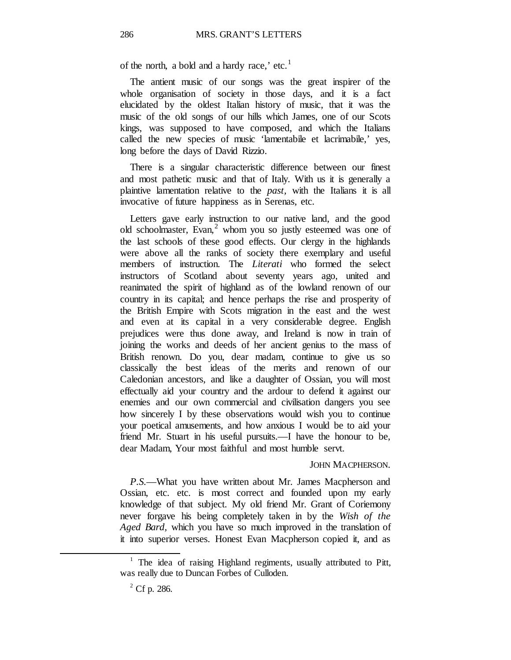of the north, a bold and a hardy race,' etc.<sup>[1](#page-41-0)</sup>

The antient music of our songs was the great inspirer of the whole organisation of society in those days, and it is a fact elucidated by the oldest Italian history of music, that it was the music of the old songs of our hills which James, one of our Scots kings, was supposed to have composed, and which the Italians called the new species of music 'lamentabile et lacrimabile,' yes, long before the days of David Rizzio.

There is a singular characteristic difference between our finest and most pathetic music and that of Italy. With us it is generally a plaintive lamentation relative to the *past,* with the Italians it is all invocative of future happiness as in Serenas, etc.

Letters gave early instruction to our native land, and the good old schoolmaster, Evan, $<sup>2</sup>$  $<sup>2</sup>$  $<sup>2</sup>$  whom you so justly esteemed was one of</sup> the last schools of these good effects. Our clergy in the highlands were above all the ranks of society there exemplary and useful members of instruction. The *Literati* who formed the select instructors of Scotland about seventy years ago, united and reanimated the spirit of highland as of the lowland renown of our country in its capital; and hence perhaps the rise and prosperity of the British Empire with Scots migration in the east and the west and even at its capital in a very considerable degree. English prejudices were thus done away, and Ireland is now in train of joining the works and deeds of her ancient genius to the mass of British renown. Do you, dear madam, continue to give us so classically the best ideas of the merits and renown of our Caledonian ancestors, and like a daughter of Ossian, you will most effectually aid your country and the ardour to defend it against our enemies and our own commercial and civilisation dangers you see how sincerely I by these observations would wish you to continue your poetical amusements, and how anxious I would be to aid your friend Mr. Stuart in his useful pursuits.—I have the honour to be, dear Madam, Your most faithful and most humble servt.

### JOHN MACPHERSON.

*P.S.*—What you have written about Mr. James Macpherson and Ossian, etc. etc. is most correct and founded upon my early knowledge of that subject. My old friend Mr. Grant of Coriemony never forgave his being completely taken in by the *Wish of the Aged Bard,* which you have so much improved in the translation of it into superior verses. Honest Evan Macpherson copied it, and as

<span id="page-41-1"></span><span id="page-41-0"></span><sup>&</sup>lt;sup>1</sup> The idea of raising Highland regiments, usually attributed to Pitt, was really due to Duncan Forbes of Culloden.

 $^{2}$  Cf p. 286.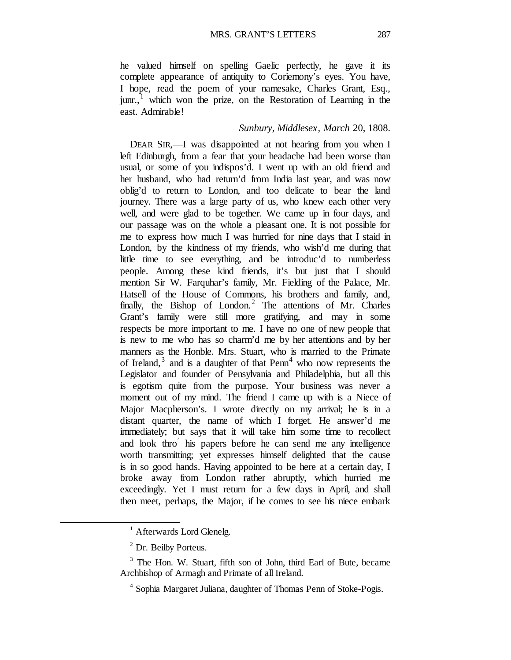he valued himself on spelling Gaelic perfectly, he gave it its complete appearance of antiquity to Coriemony's eyes. You have, I hope, read the poem of your namesake, Charles Grant, Esq.,  $j$ unr.,<sup>[1](#page-42-0)</sup> which won the prize, on the Restoration of Learning in the east. Admirable!

## *Sunbury, Middlesex, March* 20, 1808.

DEAR SIR,—I was disappointed at not hearing from you when I left Edinburgh, from a fear that your headache had been worse than usual, or some of you indispos'd. I went up with an old friend and her husband, who had return'd from India last year, and was now oblig'd to return to London, and too delicate to bear the land journey. There was a large party of us, who knew each other very well, and were glad to be together. We came up in four days, and our passage was on the whole a pleasant one. It is not possible for me to express how much I was hurried for nine days that I staid in London, by the kindness of my friends, who wish'd me during that little time to see everything, and be introduc'd to numberless people. Among these kind friends, it's but just that I should mention Sir W. Farquhar's family, Mr. Fielding of the Palace, Mr. Hatsell of the House of Commons, his brothers and family, and, finally, the Bishop of London.<sup>[2](#page-42-1)</sup> The attentions of Mr. Charles Grant's family were still more gratifying, and may in some respects be more important to me. I have no one of new people that is new to me who has so charm'd me by her attentions and by her manners as the Honble. Mrs. Stuart, who is married to the Primate of Ireland, $3$  and is a daughter of that Penn<sup>[4](#page-42-3)</sup> who now represents the Legislator and founder of Pensylvania and Philadelphia, but all this is egotism quite from the purpose. Your business was never a moment out of my mind. The friend I came up with is a Niece of Major Macpherson's. I wrote directly on my arrival; he is in a distant quarter, the name of which I forget. He answer'd me immediately; but says that it will take him some time to recollect and look thro' his papers before he can send me any intelligence worth transmitting; yet expresses himself delighted that the cause is in so good hands. Having appointed to be here at a certain day, I broke away from London rather abruptly, which hurried me exceedingly. Yet I must return for a few days in April, and shall then meet, perhaps, the Major, if he comes to see his niece embark

<sup>&</sup>lt;sup>1</sup> Afterwards Lord Glenelg.

<sup>2</sup> Dr. Beilby Porteus.

<span id="page-42-3"></span><span id="page-42-2"></span><span id="page-42-1"></span><span id="page-42-0"></span><sup>&</sup>lt;sup>3</sup> The Hon. W. Stuart, fifth son of John, third Earl of Bute, became Archbishop of Armagh and Primate of all Ireland.

<sup>4</sup> Sophia Margaret Juliana, daughter of Thomas Penn of Stoke-Pogis.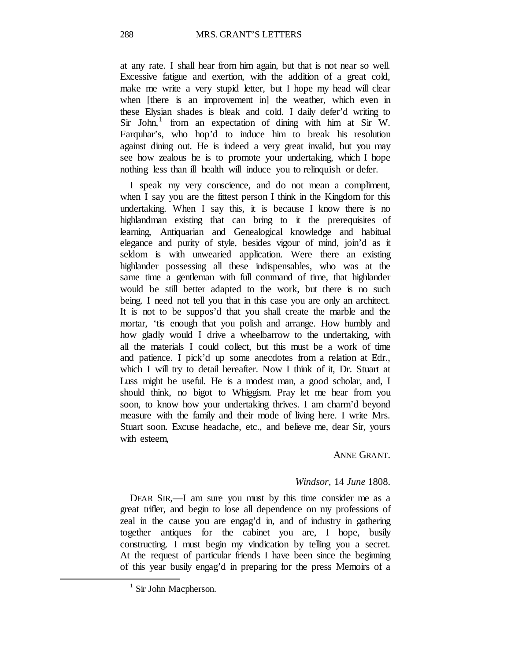at any rate. I shall hear from him again, but that is not near so well. Excessive fatigue and exertion, with the addition of a great cold, make me write a very stupid letter, but I hope my head will clear when [there is an improvement in] the weather, which even in these Elysian shades is bleak and cold. I daily defer'd writing to  $Sir$  John, from an expectation of dining with him at Sir W. Farquhar's, who hop'd to induce him to break his resolution against dining out. He is indeed a very great invalid, but you may see how zealous he is to promote your undertaking, which I hope nothing less than ill health will induce you to relinquish or defer.

I speak my very conscience, and do not mean a compliment, when I say you are the fittest person I think in the Kingdom for this undertaking. When I say this, it is because I know there is no highlandman existing that can bring to it the prerequisites of learning, Antiquarian and Genealogical knowledge and habitual elegance and purity of style, besides vigour of mind, join'd as it seldom is with unwearied application. Were there an existing highlander possessing all these indispensables, who was at the same time a gentleman with full command of time, that highlander would be still better adapted to the work, but there is no such being. I need not tell you that in this case you are only an architect. It is not to be suppos'd that you shall create the marble and the mortar, 'tis enough that you polish and arrange. How humbly and how gladly would I drive a wheelbarrow to the undertaking, with all the materials I could collect, but this must be a work of time and patience. I pick'd up some anecdotes from a relation at Edr., which I will try to detail hereafter. Now I think of it, Dr. Stuart at Luss might be useful. He is a modest man, a good scholar, and, I should think, no bigot to Whiggism. Pray let me hear from you soon, to know how your undertaking thrives. I am charm'd beyond measure with the family and their mode of living here. I write Mrs. Stuart soon. Excuse headache, etc., and believe me, dear Sir, yours with esteem,

## ANNE GRANT.

## *Windsor,* 14 *June* 1808.

DEAR SIR,—I am sure you must by this time consider me as a great trifler, and begin to lose all dependence on my professions of zeal in the cause you are engag'd in, and of industry in gathering together antiques for the cabinet you are, I hope, busily constructing. I must begin my vindication by telling you a secret. At the request of particular friends I have been since the beginning of this year busily engag'd in preparing for the press Memoirs of a

<span id="page-43-0"></span> $<sup>1</sup>$  Sir John Macpherson.</sup>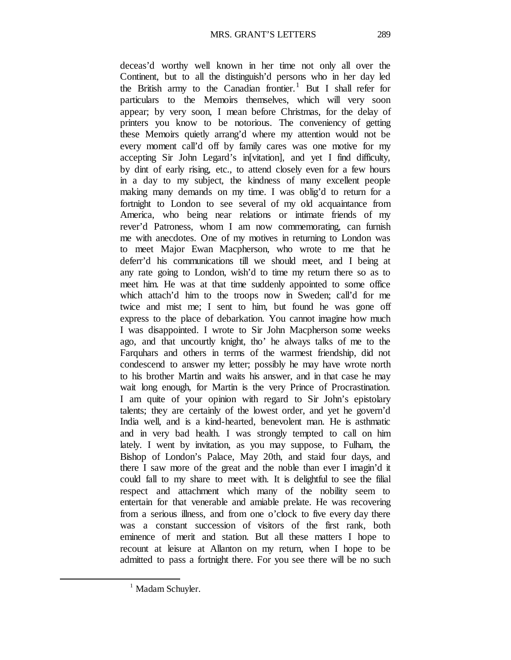deceas'd worthy well known in her time not only all over the Continent, but to all the distinguish'd persons who in her day led the British army to the Canadian frontier.<sup>[1](#page-44-0)</sup> But I shall refer for particulars to the Memoirs themselves, which will very soon appear; by very soon, I mean before Christmas, for the delay of printers you know to be notorious. The conveniency of getting these Memoirs quietly arrang'd where my attention would not be every moment call'd off by family cares was one motive for my accepting Sir John Legard's in[vitation], and yet I find difficulty, by dint of early rising, etc., to attend closely even for a few hours in a day to my subject, the kindness of many excellent people making many demands on my time. I was oblig'd to return for a fortnight to London to see several of my old acquaintance from America, who being near relations or intimate friends of my rever'd Patroness, whom I am now commemorating, can furnish me with anecdotes. One of my motives in returning to London was to meet Major Ewan Macpherson, who wrote to me that he deferr'd his communications till we should meet, and I being at any rate going to London, wish'd to time my return there so as to meet him. He was at that time suddenly appointed to some office which attach'd him to the troops now in Sweden; call'd for me twice and mist me; I sent to him, but found he was gone off express to the place of debarkation. You cannot imagine how much I was disappointed. I wrote to Sir John Macpherson some weeks ago, and that uncourtly knight, tho' he always talks of me to the Farquhars and others in terms of the warmest friendship, did not condescend to answer my letter; possibly he may have wrote north to his brother Martin and waits his answer, and in that case he may wait long enough, for Martin is the very Prince of Procrastination. I am quite of your opinion with regard to Sir John's epistolary talents; they are certainly of the lowest order, and yet he govern'd India well, and is a kind-hearted, benevolent man. He is asthmatic and in very bad health. I was strongly tempted to call on him lately. I went by invitation, as you may suppose, to Fulham, the Bishop of London's Palace, May 20th, and staid four days, and there I saw more of the great and the noble than ever I imagin'd it could fall to my share to meet with. It is delightful to see the filial respect and attachment which many of the nobility seem to entertain for that venerable and amiable prelate. He was recovering from a serious illness, and from one o'clock to five every day there was a constant succession of visitors of the first rank, both eminence of merit and station. But all these matters I hope to recount at leisure at Allanton on my return, when I hope to be admitted to pass a fortnight there. For you see there will be no such

<span id="page-44-0"></span><sup>&</sup>lt;sup>1</sup> Madam Schuyler.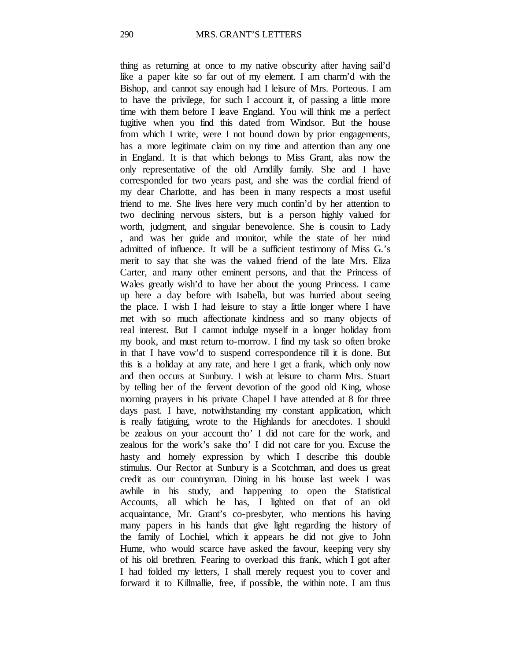thing as returning at once to my native obscurity after having sail'd like a paper kite so far out of my element. I am charm'd with the Bishop, and cannot say enough had I leisure of Mrs. Porteous. I am to have the privilege, for such I account it, of passing a little more time with them before I leave England. You will think me a perfect fugitive when you find this dated from Windsor. But the house from which I write, were I not bound down by prior engagements, has a more legitimate claim on my time and attention than any one in England. It is that which belongs to Miss Grant, alas now the only representative of the old Arndilly family. She and I have corresponded for two years past, and she was the cordial friend of my dear Charlotte, and has been in many respects a most useful friend to me. She lives here very much confin'd by her attention to two declining nervous sisters, but is a person highly valued for worth, judgment, and singular benevolence. She is cousin to Lady , and was her guide and monitor, while the state of her mind admitted of influence. It will be a sufficient testimony of Miss G.'s merit to say that she was the valued friend of the late Mrs. Eliza Carter, and many other eminent persons, and that the Princess of Wales greatly wish'd to have her about the young Princess. I came up here a day before with Isabella, but was hurried about seeing the place. I wish I had leisure to stay a little longer where I have met with so much affectionate kindness and so many objects of real interest. But I cannot indulge myself in a longer holiday from my book, and must return to-morrow. I find my task so often broke in that I have vow'd to suspend correspondence till it is done. But this is a holiday at any rate, and here I get a frank, which only now and then occurs at Sunbury. I wish at leisure to charm Mrs. Stuart by telling her of the fervent devotion of the good old King, whose morning prayers in his private Chapel I have attended at 8 for three days past. I have, notwithstanding my constant application, which is really fatiguing, wrote to the Highlands for anecdotes. I should be zealous on your account tho' I did not care for the work, and zealous for the work's sake tho' I did not care for you. Excuse the hasty and homely expression by which I describe this double stimulus. Our Rector at Sunbury is a Scotchman, and does us great credit as our countryman. Dining in his house last week I was awhile in his study, and happening to open the Statistical Accounts, all which he has, I lighted on that of an old acquaintance, Mr. Grant's co-presbyter, who mentions his having many papers in his hands that give light regarding the history of the family of Lochiel, which it appears he did not give to John Hume, who would scarce have asked the favour, keeping very shy of his old brethren. Fearing to overload this frank, which I got after I had folded my letters, I shall merely request you to cover and forward it to Killmallie, free, if possible, the within note. I am thus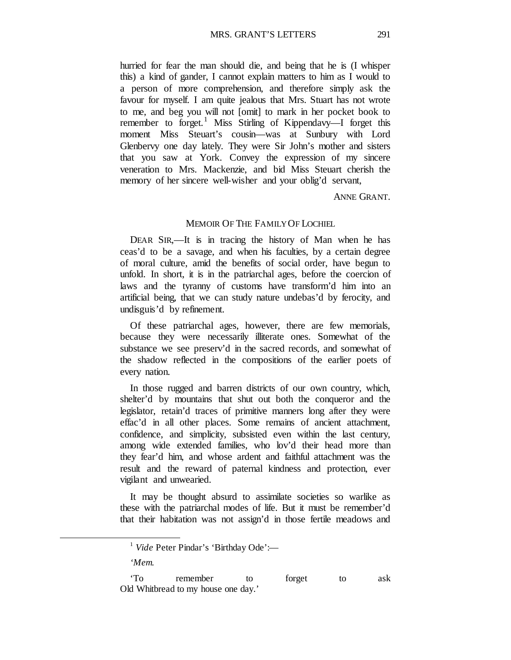hurried for fear the man should die, and being that he is (I whisper this) a kind of gander, I cannot explain matters to him as I would to a person of more comprehension, and therefore simply ask the favour for myself. I am quite jealous that Mrs. Stuart has not wrote to me, and beg you will not [omit] to mark in her pocket book to remember to forget.<sup>[1](#page-46-0)</sup> Miss Stirling of Kippendavy—I forget this moment Miss Steuart's cousin—was at Sunbury with Lord Glenbervy one day lately. They were Sir John's mother and sisters that you saw at York. Convey the expression of my sincere veneration to Mrs. Mackenzie, and bid Miss Steuart cherish the memory of her sincere well-wisher and your oblig'd servant,

ANNE GRANT.

#### MEMOIR OF THE FAMILY OF LOCHIEL

DEAR SIR,—It is in tracing the history of Man when he has ceas'd to be a savage, and when his faculties, by a certain degree of moral culture, amid the benefits of social order, have begun to unfold. In short, it is in the patriarchal ages, before the coercion of laws and the tyranny of customs have transform'd him into an artificial being, that we can study nature undebas'd by ferocity, and undisguis'd by refinement.

Of these patriarchal ages, however, there are few memorials, because they were necessarily illiterate ones. Somewhat of the substance we see preserv'd in the sacred records, and somewhat of the shadow reflected in the compositions of the earlier poets of every nation.

In those rugged and barren districts of our own country, which, shelter'd by mountains that shut out both the conqueror and the legislator, retain'd traces of primitive manners long after they were effac'd in all other places. Some remains of ancient attachment, confidence, and simplicity, subsisted even within the last century, among wide extended families, who lov'd their head more than they fear'd him, and whose ardent and faithful attachment was the result and the reward of paternal kindness and protection, ever vigilant and unwearied.

It may be thought absurd to assimilate societies so warlike as these with the patriarchal modes of life. But it must be remember'd that their habitation was not assign'd in those fertile meadows and

*'Mem.*

<sup>&</sup>lt;sup>1</sup> *Vide* Peter Pindar's 'Birthday Ode':—

<span id="page-46-0"></span><sup>&#</sup>x27;To remember to forget to ask Old Whitbread to my house one day.'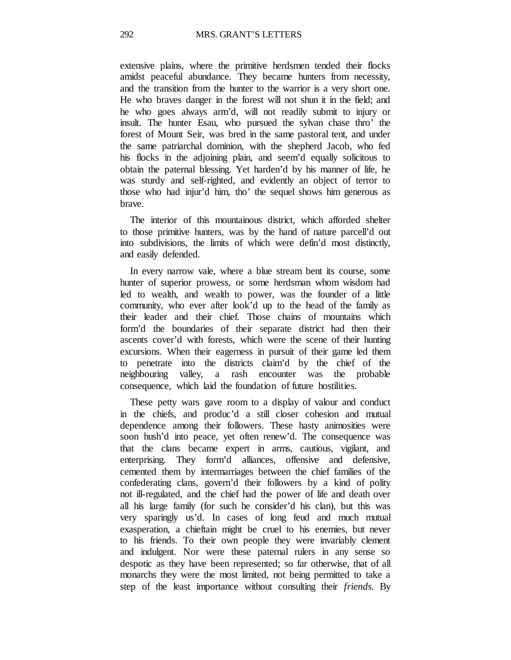extensive plains, where the primitive herdsmen tended their flocks amidst peaceful abundance. They became hunters from necessity, and the transition from the hunter to the warrior is a very short one. He who braves danger in the forest will not shun it in the field; and he who goes always arm'd, will not readily submit to injury or insult. The hunter Esau, who pursued the sylvan chase thro' the forest of Mount Seir, was bred in the same pastoral tent, and under the same patriarchal dominion, with the shepherd Jacob, who fed his flocks in the adjoining plain, and seem'd equally solicitous to obtain the paternal blessing. Yet harden'd by his manner of life, he was sturdy and self-righted, and evidently an object of terror to those who had injur'd him, tho' the sequel shows him generous as brave.

The interior of this mountainous district, which afforded shelter to those primitive hunters, was by the hand of nature parcell'd out into subdivisions, the limits of which were defin'd most distinctly, and easily defended.

In every narrow vale, where a blue stream bent its course, some hunter of superior prowess, or some herdsman whom wisdom had led to wealth, and wealth to power, was the founder of a little community, who ever after look'd up to the head of the family as their leader and their chief. Those chains of mountains which form'd the boundaries of their separate district had then their ascents cover'd with forests, which were the scene of their hunting excursions. When their eagerness in pursuit of their game led them to penetrate into the districts claim'd by the chief of the neighbouring valley, a rash encounter was the probable consequence, which laid the foundation of future hostilities.

These petty wars gave room to a display of valour and conduct in the chiefs, and produc'd a still closer cohesion and mutual dependence among their followers. These hasty animosities were soon hush'd into peace, yet often renew'd. The consequence was that the clans became expert in arms, cautious, vigilant, and enterprising. They form'd alliances, offensive and defensive, cemented them by intermarriages between the chief families of the confederating clans, govern'd their followers by a kind of polity not ill-regulated, and the chief had the power of life and death over all his large family (for such he consider'd his clan), but this was very sparingly us'd. In cases of long feud and much mutual exasperation, a chieftain might be cruel to his enemies, but never to his friends. To their own people they were invariably clement and indulgent. Nor were these paternal rulers in any sense so despotic as they have been represented; so far otherwise, that of all monarchs they were the most limited, not being permitted to take a step of the least importance without consulting their *friends.* By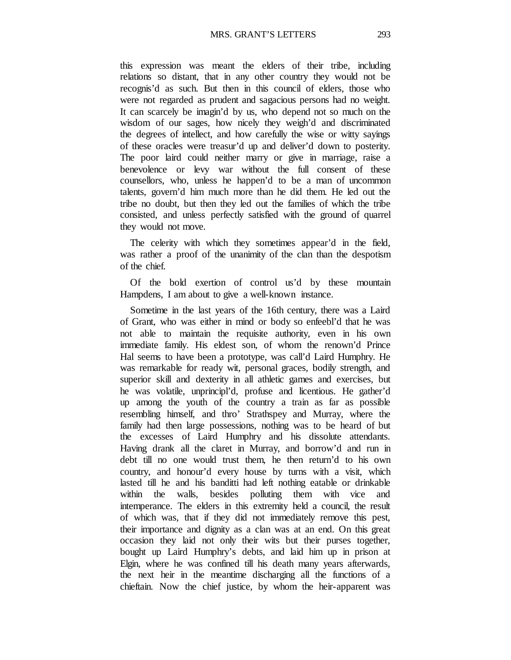this expression was meant the elders of their tribe, including relations so distant, that in any other country they would not be recognis'd as such. But then in this council of elders, those who were not regarded as prudent and sagacious persons had no weight. It can scarcely be imagin'd by us, who depend not so much on the wisdom of our sages, how nicely they weigh'd and discriminated the degrees of intellect, and how carefully the wise or witty sayings of these oracles were treasur'd up and deliver'd down to posterity. The poor laird could neither marry or give in marriage, raise a benevolence or levy war without the full consent of these counsellors, who, unless he happen'd to be a man of uncommon talents, govern'd him much more than he did them. He led out the tribe no doubt, but then they led out the families of which the tribe consisted, and unless perfectly satisfied with the ground of quarrel they would not move.

The celerity with which they sometimes appear'd in the field, was rather a proof of the unanimity of the clan than the despotism of the chief.

Of the bold exertion of control us'd by these mountain Hampdens, I am about to give a well-known instance.

Sometime in the last years of the 16th century, there was a Laird of Grant, who was either in mind or body so enfeebl'd that he was not able to maintain the requisite authority, even in his own immediate family. His eldest son, of whom the renown'd Prince Hal seems to have been a prototype, was call'd Laird Humphry. He was remarkable for ready wit, personal graces, bodily strength, and superior skill and dexterity in all athletic games and exercises, but he was volatile, unprincipl'd, profuse and licentious. He gather'd up among the youth of the country a train as far as possible resembling himself, and thro' Strathspey and Murray, where the family had then large possessions, nothing was to be heard of but the excesses of Laird Humphry and his dissolute attendants. Having drank all the claret in Murray, and borrow'd and run in debt till no one would trust them, he then return'd to his own country, and honour'd every house by turns with a visit, which lasted till he and his banditti had left nothing eatable or drinkable within the walls, besides polluting them with vice and intemperance. The elders in this extremity held a council, the result of which was, that if they did not immediately remove this pest, their importance and dignity as a clan was at an end. On this great occasion they laid not only their wits but their purses together, bought up Laird Humphry's debts, and laid him up in prison at Elgin, where he was confined till his death many years afterwards, the next heir in the meantime discharging all the functions of a chieftain. Now the chief justice, by whom the heir-apparent was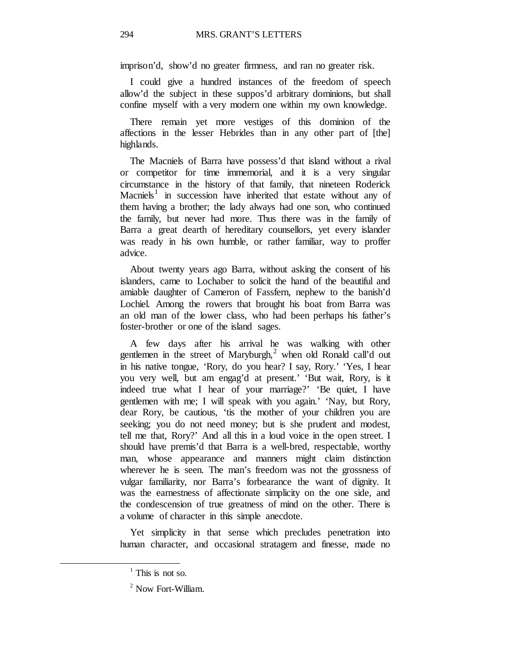imprison'd, show'd no greater firmness, and ran no greater risk.

I could give a hundred instances of the freedom of speech allow'd the subject in these suppos'd arbitrary dominions, but shall confine myself with a very modern one within my own knowledge.

There remain yet more vestiges of this dominion of the affections in the lesser Hebrides than in any other part of [the] highlands.

The Macniels of Barra have possess'd that island without a rival or competitor for time immemorial, and it is a very singular circumstance in the history of that family, that nineteen Roderick Macniels<sup>[1](#page-49-0)</sup> in succession have inherited that estate without any of them having a brother; the lady always had one son, who continued the family, but never had more. Thus there was in the family of Barra a great dearth of hereditary counsellors, yet every islander was ready in his own humble, or rather familiar, way to proffer advice.

About twenty years ago Barra, without asking the consent of his islanders, came to Lochaber to solicit the hand of the beautiful and amiable daughter of Cameron of Fassfern, nephew to the banish'd Lochiel. Among the rowers that brought his boat from Barra was an old man of the lower class, who had been perhaps his father's foster-brother or one of the island sages.

A few days after his arrival he was walking with other gentlemen in the street of Maryburgh, $<sup>2</sup>$  $<sup>2</sup>$  $<sup>2</sup>$  when old Ronald call'd out</sup> in his native tongue, 'Rory, do you hear? I say, Rory.' 'Yes, I hear you very well, but am engag'd at present.' 'But wait, Rory, is it indeed true what I hear of your marriage?' 'Be quiet, I have gentlemen with me; I will speak with you again.' 'Nay, but Rory, dear Rory, be cautious, 'tis the mother of your children you are seeking; you do not need money; but is she prudent and modest, tell me that, Rory?' And all this in a loud voice in the open street. I should have premis'd that Barra is a well-bred, respectable, worthy man, whose appearance and manners might claim distinction wherever he is seen. The man's freedom was not the grossness of vulgar familiarity, nor Barra's forbearance the want of dignity. It was the earnestness of affectionate simplicity on the one side, and the condescension of true greatness of mind on the other. There is a volume of character in this simple anecdote.

<span id="page-49-0"></span>Yet simplicity in that sense which precludes penetration into human character, and occasional stratagem and finesse, made no

 $<sup>1</sup>$  This is not so.</sup>

<span id="page-49-1"></span><sup>2</sup> Now Fort-William.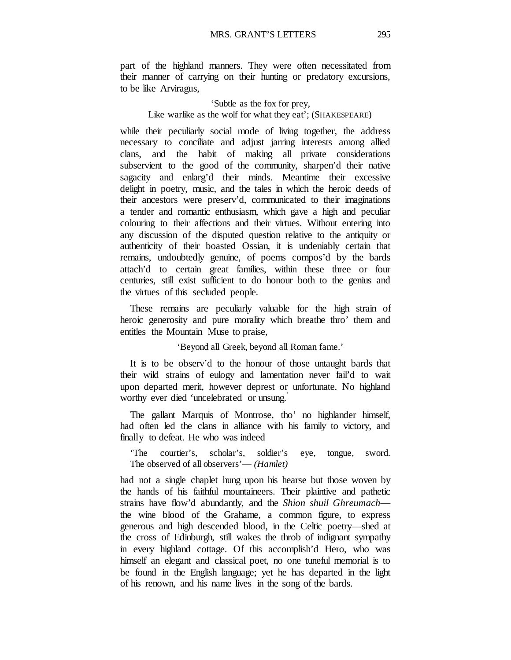part of the highland manners. They were often necessitated from their manner of carrying on their hunting or predatory excursions, to be like Arviragus,

# 'Subtle as the fox for prey, Like warlike as the wolf for what they eat'; (SHAKESPEARE)

while their peculiarly social mode of living together, the address necessary to conciliate and adjust jarring interests among allied clans, and the habit of making all private considerations subservient to the good of the community, sharpen'd their native sagacity and enlarg'd their minds. Meantime their excessive delight in poetry, music, and the tales in which the heroic deeds of their ancestors were preserv'd, communicated to their imaginations a tender and romantic enthusiasm, which gave a high and peculiar colouring to their affections and their virtues. Without entering into any discussion of the disputed question relative to the antiquity or authenticity of their boasted Ossian, it is undeniably certain that remains, undoubtedly genuine, of poems compos'd by the bards attach'd to certain great families, within these three or four centuries, still exist sufficient to do honour both to the genius and the virtues of this secluded people.

These remains are peculiarly valuable for the high strain of heroic generosity and pure morality which breathe thro' them and entitles the Mountain Muse to praise,

'Beyond all Greek, beyond all Roman fame.'

It is to be observ'd to the honour of those untaught bards that their wild strains of eulogy and lamentation never fail'd to wait upon departed merit, however deprest or unfortunate. No highland worthy ever died 'uncelebrated or unsung.'

The gallant Marquis of Montrose, tho' no highlander himself, had often led the clans in alliance with his family to victory, and finally to defeat. He who was indeed

'The courtier's, scholar's, soldier's eye, tongue, sword. The observed of all observers'— *(Hamlet)*

had not a single chaplet hung upon his hearse but those woven by the hands of his faithful mountaineers. Their plaintive and pathetic strains have flow'd abundantly, and the *Shion shuil Ghreumach* the wine blood of the Grahame, a common figure, to express generous and high descended blood, in the Celtic poetry—shed at the cross of Edinburgh, still wakes the throb of indignant sympathy in every highland cottage. Of this accomplish'd Hero, who was himself an elegant and classical poet, no one tuneful memorial is to be found in the English language; yet he has departed in the light of his renown, and his name lives in the song of the bards.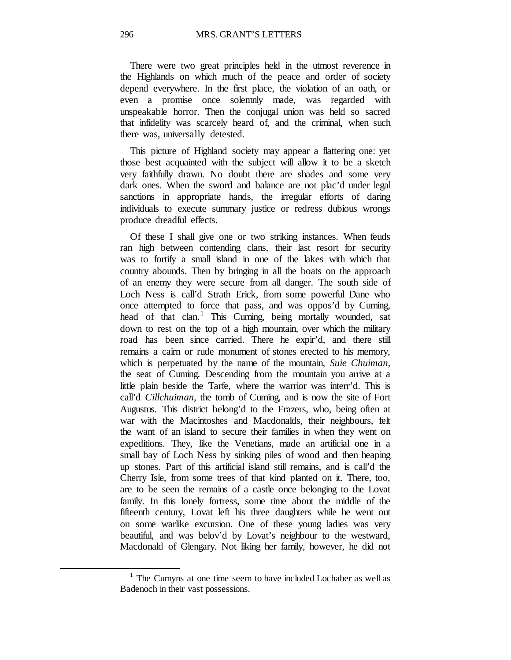There were two great principles held in the utmost reverence in the Highlands on which much of the peace and order of society depend everywhere. In the first place, the violation of an oath, or even a promise once solemnly made, was regarded with unspeakable horror. Then the conjugal union was held so sacred that infidelity was scarcely heard of, and the criminal, when such there was, universally detested.

This picture of Highland society may appear a flattering one: yet those best acquainted with the subject will allow it to be a sketch very faithfully drawn. No doubt there are shades and some very dark ones. When the sword and balance are not plac'd under legal sanctions in appropriate hands, the irregular efforts of daring individuals to execute summary justice or redress dubious wrongs produce dreadful effects.

Of these I shall give one or two striking instances. When feuds ran high between contending clans, their last resort for security was to fortify a small island in one of the lakes with which that country abounds. Then by bringing in all the boats on the approach of an enemy they were secure from all danger. The south side of Loch Ness is call'd Strath Erick, from some powerful Dane who once attempted to force that pass, and was oppos'd by Cuming, head of that clan.<sup>[1](#page-51-0)</sup> This Cuming, being mortally wounded, sat down to rest on the top of a high mountain, over which the military road has been since carried. There he expir'd, and there still remains a cairn or rude monument of stones erected to his memory, which is perpetuated by the name of the mountain, *Suie Chuiman,*  the seat of Cuming. Descending from the mountain you arrive at a little plain beside the Tarfe, where the warrior was interr'd. This is call'd *Cillchuiman,* the tomb of Cuming, and is now the site of Fort Augustus. This district belong'd to the Frazers, who, being often at war with the Macintoshes and Macdonalds, their neighbours, felt the want of an island to secure their families in when they went on expeditions. They, like the Venetians, made an artificial one in a small bay of Loch Ness by sinking piles of wood and then heaping up stones. Part of this artificial island still remains, and is call'd the Cherry Isle, from some trees of that kind planted on it. There, too, are to be seen the remains of a castle once belonging to the Lovat family. In this lonely fortress, some time about the middle of the fifteenth century, Lovat left his three daughters while he went out on some warlike excursion. One of these young ladies was very beautiful, and was belov'd by Lovat's neighbour to the westward, Macdonald of Glengary. Not liking her family, however, he did not

<span id="page-51-0"></span> $1$  The Cumyns at one time seem to have included Lochaber as well as Badenoch in their vast possessions.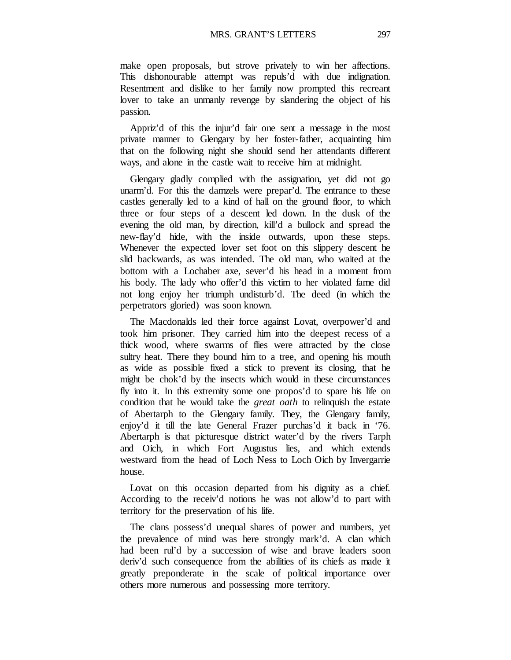make open proposals, but strove privately to win her affections. This dishonourable attempt was repuls'd with due indignation. Resentment and dislike to her family now prompted this recreant lover to take an unmanly revenge by slandering the object of his passion.

Appriz'd of this the injur'd fair one sent a message in the most private manner to Glengary by her foster-father, acquainting him that on the following night she should send her attendants different ways, and alone in the castle wait to receive him at midnight.

Glengary gladly complied with the assignation, yet did not go unarm'd. For this the damzels were prepar'd. The entrance to these castles generally led to a kind of hall on the ground floor, to which three or four steps of a descent led down. In the dusk of the evening the old man, by direction, kill'd a bullock and spread the new-flay'd hide, with the inside outwards, upon these steps. Whenever the expected lover set foot on this slippery descent he slid backwards, as was intended. The old man, who waited at the bottom with a Lochaber axe, sever'd his head in a moment from his body. The lady who offer'd this victim to her violated fame did not long enjoy her triumph undisturb'd. The deed (in which the perpetrators gloried) was soon known.

The Macdonalds led their force against Lovat, overpower'd and took him prisoner. They carried him into the deepest recess of a thick wood, where swarms of flies were attracted by the close sultry heat. There they bound him to a tree, and opening his mouth as wide as possible fixed a stick to prevent its closing, that he might be chok'd by the insects which would in these circumstances fly into it. In this extremity some one propos'd to spare his life on condition that he would take the *great oath* to relinquish the estate of Abertarph to the Glengary family. They, the Glengary family, enjoy'd it till the late General Frazer purchas'd it back in '76. Abertarph is that picturesque district water'd by the rivers Tarph and Oich, in which Fort Augustus lies, and which extends westward from the head of Loch Ness to Loch Oich by Invergarrie house.

Lovat on this occasion departed from his dignity as a chief. According to the receiv'd notions he was not allow'd to part with territory for the preservation of his life.

The clans possess'd unequal shares of power and numbers, yet the prevalence of mind was here strongly mark'd. A clan which had been rul'd by a succession of wise and brave leaders soon deriv'd such consequence from the abilities of its chiefs as made it greatly preponderate in the scale of political importance over others more numerous and possessing more territory.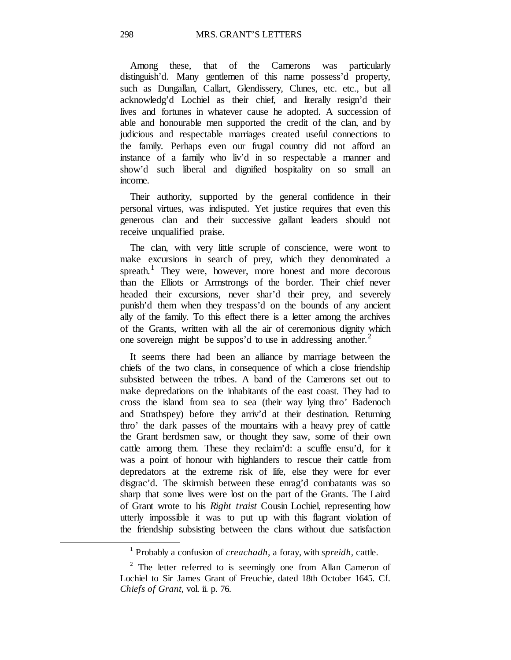Among these, that of the Camerons was particularly distinguish'd. Many gentlemen of this name possess'd property, such as Dungallan, Callart, Glendissery, Clunes, etc. etc., but all acknowledg'd Lochiel as their chief, and literally resign'd their lives and fortunes in whatever cause he adopted. A succession of able and honourable men supported the credit of the clan, and by judicious and respectable marriages created useful connections to the family. Perhaps even our frugal country did not afford an instance of a family who liv'd in so respectable a manner and show'd such liberal and dignified hospitality on so small an income.

Their authority, supported by the general confidence in their personal virtues, was indisputed. Yet justice requires that even this generous clan and their successive gallant leaders should not receive unqualified praise.

The clan, with very little scruple of conscience, were wont to make excursions in search of prey, which they denominated a spreath.<sup>[1](#page-53-0)</sup> They were, however, more honest and more decorous than the Elliots or Armstrongs of the border. Their chief never headed their excursions, never shar'd their prey, and severely punish'd them when they trespass'd on the bounds of any ancient ally of the family. To this effect there is a letter among the archives of the Grants, written with all the air of ceremonious dignity which one sovereign might be suppos'd to use in addressing another.<sup>[2](#page-53-1)</sup>

It seems there had been an alliance by marriage between the chiefs of the two clans, in consequence of which a close friendship subsisted between the tribes. A band of the Camerons set out to make depredations on the inhabitants of the east coast. They had to cross the island from sea to sea (their way lying thro' Badenoch and Strathspey) before they arriv'd at their destination. Returning thro' the dark passes of the mountains with a heavy prey of cattle the Grant herdsmen saw, or thought they saw, some of their own cattle among them. These they reclaim'd: a scuffle ensu'd, for it was a point of honour with highlanders to rescue their cattle from depredators at the extreme risk of life, else they were for ever disgrac'd. The skirmish between these enrag'd combatants was so sharp that some lives were lost on the part of the Grants. The Laird of Grant wrote to his *Right traist* Cousin Lochiel, representing how utterly impossible it was to put up with this flagrant violation of the friendship subsisting between the clans without due satisfaction

<sup>1</sup> Probably a confusion of *creachadh,* a foray, with *spreidh,* cattle.

<span id="page-53-1"></span><span id="page-53-0"></span> $2$  The letter referred to is seemingly one from Allan Cameron of Lochiel to Sir James Grant of Freuchie, dated 18th October 1645. Cf. *Chiefs of Grant,* vol. ii. p. 76.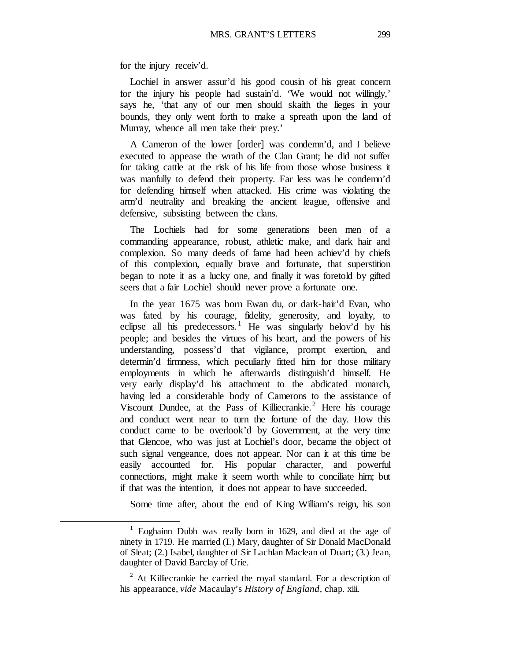for the injury receiv'd.

<span id="page-54-1"></span><span id="page-54-0"></span> $\overline{a}$ 

Lochiel in answer assur'd his good cousin of his great concern for the injury his people had sustain'd. 'We would not willingly,' says he, 'that any of our men should skaith the lieges in your bounds, they only went forth to make a spreath upon the land of Murray, whence all men take their prey.'

A Cameron of the lower [order] was condemn'd, and I believe executed to appease the wrath of the Clan Grant; he did not suffer for taking cattle at the risk of his life from those whose business it was manfully to defend their property. Far less was he condemn'd for defending himself when attacked. His crime was violating the arm'd neutrality and breaking the ancient league, offensive and defensive, subsisting between the clans.

The Lochiels had for some generations been men of a commanding appearance, robust, athletic make, and dark hair and complexion. So many deeds of fame had been achiev'd by chiefs of this complexion, equally brave and fortunate, that superstition began to note it as a lucky one, and finally it was foretold by gifted seers that a fair Lochiel should never prove a fortunate one.

In the year 1675 was born Ewan du, or dark-hair'd Evan, who was fated by his courage, fidelity, generosity, and loyalty, to eclipse all his predecessors.<sup>[1](#page-54-0)</sup> He was singularly belov'd by his people; and besides the virtues of his heart, and the powers of his understanding, possess'd that vigilance, prompt exertion, and determin'd firmness, which peculiarly fitted him for those military employments in which he afterwards distinguish'd himself. He very early display'd his attachment to the abdicated monarch, having led a considerable body of Camerons to the assistance of Viscount Dundee, at the Pass of Killiecrankie.<sup>[2](#page-54-1)</sup> Here his courage and conduct went near to turn the fortune of the day. How this conduct came to be overlook'd by Government, at the very time that Glencoe, who was just at Lochiel's door, became the object of such signal vengeance, does not appear. Nor can it at this time be easily accounted for. His popular character, and powerful connections, might make it seem worth while to conciliate him; but if that was the intention, it does not appear to have succeeded.

Some time after, about the end of King William's reign, his son

 $1$  Eoghainn Dubh was really born in 1629, and died at the age of ninety in 1719. He married (I.) Mary, daughter of Sir Donald MacDonald of Sleat; (2.) Isabel, daughter of Sir Lachlan Maclean of Duart; (3.) Jean, daughter of David Barclay of Urie.

 $2$  At Killiecrankie he carried the royal standard. For a description of his appearance, *vide* Macaulay's *History of England,* chap. xiii.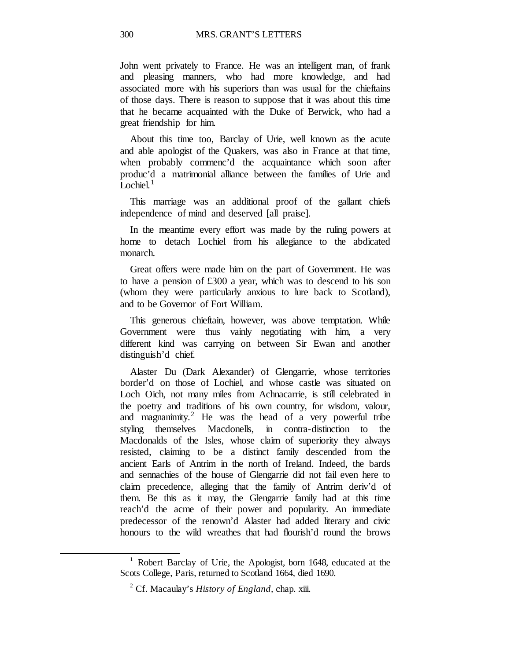John went privately to France. He was an intelligent man, of frank and pleasing manners, who had more knowledge, and had associated more with his superiors than was usual for the chieftains of those days. There is reason to suppose that it was about this time that he became acquainted with the Duke of Berwick, who had a great friendship for him.

About this time too, Barclay of Urie, well known as the acute and able apologist of the Quakers, was also in France at that time, when probably commenc'd the acquaintance which soon after produc'd a matrimonial alliance between the families of Urie and Lochiel. $<sup>1</sup>$  $<sup>1</sup>$  $<sup>1</sup>$ </sup>

This marriage was an additional proof of the gallant chiefs independence of mind and deserved [all praise].

In the meantime every effort was made by the ruling powers at home to detach Lochiel from his allegiance to the abdicated monarch.

Great offers were made him on the part of Government. He was to have a pension of £300 a year, which was to descend to his son (whom they were particularly anxious to lure back to Scotland), and to be Governor of Fort William.

This generous chieftain, however, was above temptation. While Government were thus vainly negotiating with him, a very different kind was carrying on between Sir Ewan and another distinguish'd chief.

Alaster Du (Dark Alexander) of Glengarrie, whose territories border'd on those of Lochiel, and whose castle was situated on Loch Oich, not many miles from Achnacarrie, is still celebrated in the poetry and traditions of his own country, for wisdom, valour, and magnanimity.<sup>[2](#page-55-1)</sup> He was the head of a very powerful tribe styling themselves Macdonells, in contra-distinction to the Macdonalds of the Isles, whose claim of superiority they always resisted, claiming to be a distinct family descended from the ancient Earls of Antrim in the north of Ireland. Indeed, the bards and sennachies of the house of Glengarrie did not fail even here to claim precedence, alleging that the family of Antrim deriv'd of them. Be this as it may, the Glengarrie family had at this time reach'd the acme of their power and popularity. An immediate predecessor of the renown'd Alaster had added literary and civic honours to the wild wreathes that had flourish'd round the brows

<span id="page-55-1"></span><span id="page-55-0"></span> $1$  Robert Barclay of Urie, the Apologist, born 1648, educated at the Scots College, Paris, returned to Scotland 1664, died 1690.

<sup>2</sup> Cf. Macaulay's *History of England,* chap. xiii.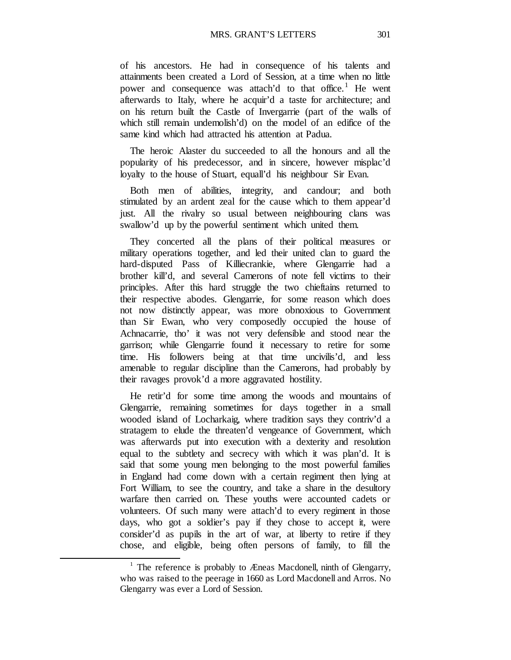MRS. GRANT'S LETTERS 301

of his ancestors. He had in consequence of his talents and attainments been created a Lord of Session, at a time when no little power and consequence was attach'd to that office.<sup>[1](#page-56-0)</sup> He went afterwards to Italy, where he acquir'd a taste for architecture; and on his return built the Castle of Invergarrie (part of the walls of which still remain undemolish'd) on the model of an edifice of the same kind which had attracted his attention at Padua.

The heroic Alaster du succeeded to all the honours and all the popularity of his predecessor, and in sincere, however misplac'd loyalty to the house of Stuart, equall'd his neighbour Sir Evan.

Both men of abilities, integrity, and candour; and both stimulated by an ardent zeal for the cause which to them appear'd just. All the rivalry so usual between neighbouring clans was swallow'd up by the powerful sentiment which united them.

They concerted all the plans of their political measures or military operations together, and led their united clan to guard the hard-disputed Pass of Killiecrankie, where Glengarrie had a brother kill'd, and several Camerons of note fell victims to their principles. After this hard struggle the two chieftains returned to their respective abodes. Glengarrie, for some reason which does not now distinctly appear, was more obnoxious to Government than Sir Ewan, who very composedly occupied the house of Achnacarrie, tho' it was not very defensible and stood near the garrison; while Glengarrie found it necessary to retire for some time. His followers being at that time uncivilis'd, and less amenable to regular discipline than the Camerons, had probably by their ravages provok'd a more aggravated hostility.

He retir'd for some time among the woods and mountains of Glengarrie, remaining sometimes for days together in a small wooded island of Locharkaig, where tradition says they contriv'd a stratagem to elude the threaten'd vengeance of Government, which was afterwards put into execution with a dexterity and resolution equal to the subtlety and secrecy with which it was plan'd. It is said that some young men belonging to the most powerful families in England had come down with a certain regiment then lying at Fort William, to see the country, and take a share in the desultory warfare then carried on. These youths were accounted cadets or volunteers. Of such many were attach'd to every regiment in those days, who got a soldier's pay if they chose to accept it, were consider'd as pupils in the art of war, at liberty to retire if they chose, and eligible, being often persons of family, to fill the

<span id="page-56-0"></span><sup>&</sup>lt;sup>1</sup> The reference is probably to Æneas Macdonell, ninth of Glengarry, who was raised to the peerage in 1660 as Lord Macdonell and Arros. No Glengarry was ever a Lord of Session.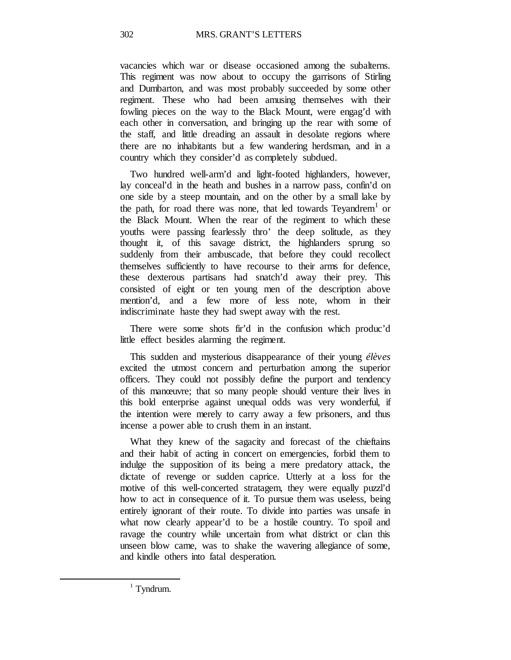vacancies which war or disease occasioned among the subalterns. This regiment was now about to occupy the garrisons of Stirling and Dumbarton, and was most probably succeeded by some other regiment. These who had been amusing themselves with their fowling pieces on the way to the Black Mount, were engag'd with each other in conversation, and bringing up the rear with some of the staff, and little dreading an assault in desolate regions where there are no inhabitants but a few wandering herdsman, and in a country which they consider'd as completely subdued.

Two hundred well-arm'd and light-footed highlanders, however, lay conceal'd in the heath and bushes in a narrow pass, confin'd on one side by a steep mountain, and on the other by a small lake by the path, for road there was none, that led towards  $Teyandrem<sup>1</sup>$  or the Black Mount. When the rear of the regiment to which these youths were passing fearlessly thro' the deep solitude, as they thought it, of this savage district, the highlanders sprung so suddenly from their ambuscade, that before they could recollect themselves sufficiently to have recourse to their arms for defence, these dexterous partisans had snatch'd away their prey. This consisted of eight or ten young men of the description above mention'd, and a few more of less note, whom in their indiscriminate haste they had swept away with the rest.

There were some shots fir'd in the confusion which produc'd little effect besides alarming the regiment.

This sudden and mysterious disappearance of their young *élèves* excited the utmost concern and perturbation among the superior officers. They could not possibly define the purport and tendency of this manœuvre; that so many people should venture their lives in this bold enterprise against unequal odds was very wonderful, if the intention were merely to carry away a few prisoners, and thus incense a power able to crush them in an instant.

What they knew of the sagacity and forecast of the chieftains and their habit of acting in concert on emergencies, forbid them to indulge the supposition of its being a mere predatory attack, the dictate of revenge or sudden caprice. Utterly at a loss for the motive of this well-concerted stratagem, they were equally puzzl'd how to act in consequence of it. To pursue them was useless, being entirely ignorant of their route. To divide into parties was unsafe in what now clearly appear'd to be a hostile country. To spoil and ravage the country while uncertain from what district or clan this unseen blow came, was to shake the wavering allegiance of some, and kindle others into fatal desperation.

<span id="page-57-0"></span> $1$  Tyndrum.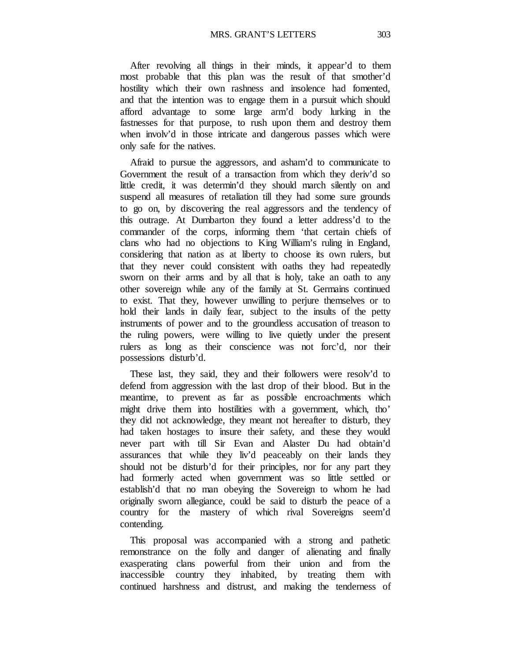MRS. GRANT'S LETTERS 303

After revolving all things in their minds, it appear'd to them most probable that this plan was the result of that smother'd hostility which their own rashness and insolence had fomented, and that the intention was to engage them in a pursuit which should afford advantage to some large arm'd body lurking in the fastnesses for that purpose, to rush upon them and destroy them when involv'd in those intricate and dangerous passes which were only safe for the natives.

Afraid to pursue the aggressors, and asham'd to communicate to Government the result of a transaction from which they deriv'd so little credit, it was determin'd they should march silently on and suspend all measures of retaliation till they had some sure grounds to go on, by discovering the real aggressors and the tendency of this outrage. At Dumbarton they found a letter address'd to the commander of the corps, informing them 'that certain chiefs of clans who had no objections to King William's ruling in England, considering that nation as at liberty to choose its own rulers, but that they never could consistent with oaths they had repeatedly sworn on their arms and by all that is holy, take an oath to any other sovereign while any of the family at St. Germains continued to exist. That they, however unwilling to perjure themselves or to hold their lands in daily fear, subject to the insults of the petty instruments of power and to the groundless accusation of treason to the ruling powers, were willing to live quietly under the present rulers as long as their conscience was not forc'd, nor their possessions disturb'd.

These last, they said, they and their followers were resolv'd to defend from aggression with the last drop of their blood. But in the meantime, to prevent as far as possible encroachments which might drive them into hostilities with a government, which, tho' they did not acknowledge, they meant not hereafter to disturb, they had taken hostages to insure their safety, and these they would never part with till Sir Evan and Alaster Du had obtain'd assurances that while they liv'd peaceably on their lands they should not be disturb'd for their principles, nor for any part they had formerly acted when government was so little settled or establish'd that no man obeying the Sovereign to whom he had originally sworn allegiance, could be said to disturb the peace of a country for the mastery of which rival Sovereigns seem'd contending.

This proposal was accompanied with a strong and pathetic remonstrance on the folly and danger of alienating and finally exasperating clans powerful from their union and from the inaccessible country they inhabited, by treating them with continued harshness and distrust, and making the tenderness of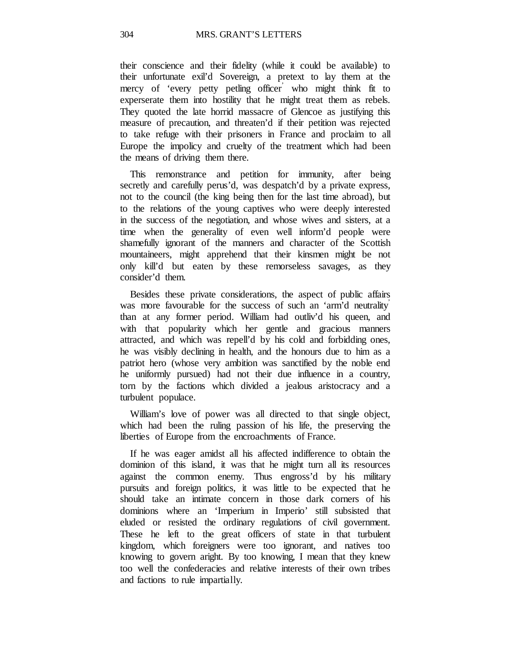their conscience and their fidelity (while it could be available) to their unfortunate exil'd Sovereign, a pretext to lay them at the mercy of 'every petty petling officer' who might think fit to experserate them into hostility that he might treat them as rebels. They quoted the late horrid massacre of Glencoe as justifying this measure of precaution, and threaten'd if their petition was rejected to take refuge with their prisoners in France and proclaim to all Europe the impolicy and cruelty of the treatment which had been the means of driving them there.

This remonstrance and petition for immunity, after being secretly and carefully perus'd, was despatch'd by a private express, not to the council (the king being then for the last time abroad), but to the relations of the young captives who were deeply interested in the success of the negotiation, and whose wives and sisters, at a time when the generality of even well inform'd people were shamefully ignorant of the manners and character of the Scottish mountaineers, might apprehend that their kinsmen might be not only kill'd but eaten by these remorseless savages, as they consider'd them.

Besides these private considerations, the aspect of public affairs was more favourable for the success of such an 'arm'd neutrality' than at any former period. William had outliv'd his queen, and with that popularity which her gentle and gracious manners attracted, and which was repell'd by his cold and forbidding ones, he was visibly declining in health, and the honours due to him as a patriot hero (whose very ambition was sanctified by the noble end he uniformly pursued) had not their due influence in a country, torn by the factions which divided a jealous aristocracy and a turbulent populace.

William's love of power was all directed to that single object, which had been the ruling passion of his life, the preserving the liberties of Europe from the encroachments of France.

If he was eager amidst all his affected indifference to obtain the dominion of this island, it was that he might turn all its resources against the common enemy. Thus engross'd by his military pursuits and foreign politics, it was little to be expected that he should take an intimate concern in those dark corners of his dominions where an 'Imperium in Imperio' still subsisted that eluded or resisted the ordinary regulations of civil government. These he left to the great officers of state in that turbulent kingdom, which foreigners were too ignorant, and natives too knowing to govern aright. By too knowing, I mean that they knew too well the confederacies and relative interests of their own tribes and factions to rule impartially.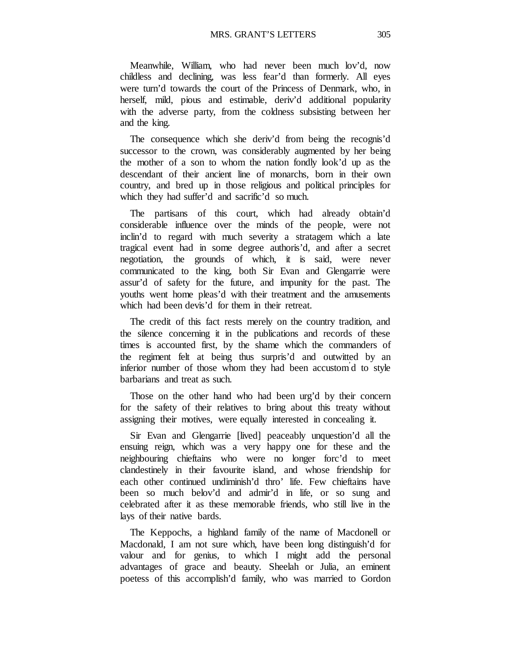Meanwhile, William, who had never been much lov'd, now childless and declining, was less fear'd than formerly. All eyes were turn'd towards the court of the Princess of Denmark, who, in herself, mild, pious and estimable, deriv'd additional popularity with the adverse party, from the coldness subsisting between her and the king.

The consequence which she deriv'd from being the recognis'd successor to the crown, was considerably augmented by her being the mother of a son to whom the nation fondly look'd up as the descendant of their ancient line of monarchs, born in their own country, and bred up in those religious and political principles for which they had suffer'd and sacrific'd so much.

The partisans of this court, which had already obtain'd considerable influence over the minds of the people, were not inclin'd to regard with much severity a stratagem which a late tragical event had in some degree authoris'd, and after a secret negotiation, the grounds of which, it is said, were never communicated to the king, both Sir Evan and Glengarrie were assur'd of safety for the future, and impunity for the past. The youths went home pleas'd with their treatment and the amusements which had been devis'd for them in their retreat.

The credit of this fact rests merely on the country tradition, and the silence concerning it in the publications and records of these times is accounted first, by the shame which the commanders of the regiment felt at being thus surpris'd and outwitted by an inferior number of those whom they had been accustom' d to style barbarians and treat as such.

Those on the other hand who had been urg'd by their concern for the safety of their relatives to bring about this treaty without assigning their motives, were equally interested in concealing it.

Sir Evan and Glengarrie [lived] peaceably unquestion'd all the ensuing reign, which was a very happy one for these and the neighbouring chieftains who were no longer forc'd to meet clandestinely in their favourite island, and whose friendship for each other continued undiminish'd thro' life. Few chieftains have been so much belov'd and admir'd in life, or so sung and celebrated after it as these memorable friends, who still live in the lays of their native bards.

The Keppochs, a highland family of the name of Macdonell or Macdonald, I am not sure which, have been long distinguish'd for valour and for genius, to which I might add the personal advantages of grace and beauty. Sheelah or Julia, an eminent poetess of this accomplish'd family, who was married to Gordon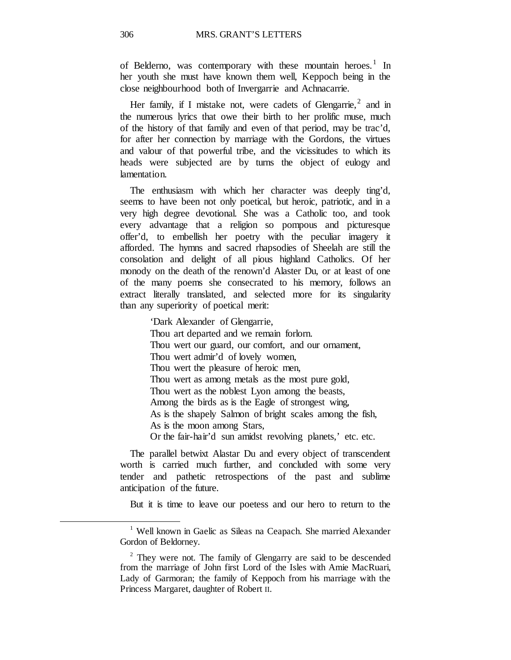of Belderno, was contemporary with these mountain heroes.<sup>[1](#page-61-0)</sup> In her youth she must have known them well, Keppoch being in the close neighbourhood both of Invergarrie and Achnacarrie.

Her family, if I mistake not, were cadets of Glengarrie,<sup>[2](#page-61-1)</sup> and in the numerous lyrics that owe their birth to her prolific muse, much of the history of that family and even of that period, may be trac'd, for after her connection by marriage with the Gordons, the virtues and valour of that powerful tribe, and the vicissitudes to which its heads were subjected are by turns the object of eulogy and lamentation.

The enthusiasm with which her character was deeply ting'd, seems to have been not only poetical, but heroic, patriotic, and in a very high degree devotional. She was a Catholic too, and took every advantage that a religion so pompous and picturesque offer'd, to embellish her poetry with the peculiar imagery it afforded. The hymns and sacred rhapsodies of Sheelah are still the consolation and delight of all pious highland Catholics. Of her monody on the death of the renown'd Alaster Du, or at least of one of the many poems she consecrated to his memory, follows an extract literally translated, and selected more for its singularity than any superiority of poetical merit:

> 'Dark Alexander of Glengarrie, Thou art departed and we remain forlorn. Thou wert our guard, our comfort, and our ornament, Thou wert admir'd of lovely women, Thou wert the pleasure of heroic men, Thou wert as among metals as the most pure gold, Thou wert as the noblest Lyon among the beasts, Among the birds as is the Eagle of strongest wing, As is the shapely Salmon of bright scales among the fish, As is the moon among Stars, Or the fair-hair'd sun amidst revolving planets,' etc. etc.

The parallel betwixt Alastar Du and every object of transcendent worth is carried much further, and concluded with some very tender and pathetic retrospections of the past and sublime anticipation of the future.

But it is time to leave our poetess and our hero to return to the

<span id="page-61-0"></span><sup>&</sup>lt;sup>1</sup> Well known in Gaelic as Sileas na Ceapach. She married Alexander Gordon of Beldorney.

<span id="page-61-1"></span> $2$  They were not. The family of Glengarry are said to be descended from the marriage of John first Lord of the Isles with Amie MacRuari, Lady of Garmoran; the family of Keppoch from his marriage with the Princess Margaret, daughter of Robert II.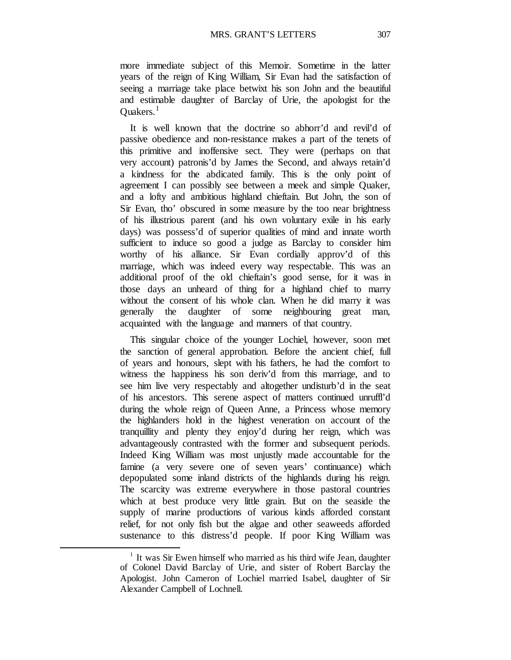more immediate subject of this Memoir. Sometime in the latter years of the reign of King William, Sir Evan had the satisfaction of seeing a marriage take place betwixt his son John and the beautiful and estimable daughter of Barclay of Urie, the apologist for the Ouakers. $<sup>1</sup>$  $<sup>1</sup>$  $<sup>1</sup>$ </sup>

It is well known that the doctrine so abhorr'd and revil'd of passive obedience and non-resistance makes a part of the tenets of this primitive and inoffensive sect. They were (perhaps on that very account) patronis'd by James the Second, and always retain'd a kindness for the abdicated family. This is the only point of agreement I can possibly see between a meek and simple Quaker, and a lofty and ambitious highland chieftain. But John, the son of Sir Evan, tho' obscured in some measure by the too near brightness of his illustrious parent (and his own voluntary exile in his early days) was possess'd of superior qualities of mind and innate worth sufficient to induce so good a judge as Barclay to consider him worthy of his alliance. Sir Evan cordially approv'd of this marriage, which was indeed every way respectable. This was an additional proof of the old chieftain's good sense, for it was in those days an unheard of thing for a highland chief to marry without the consent of his whole clan. When he did marry it was generally the daughter of some neighbouring great man, acquainted with the language and manners of that country.

This singular choice of the younger Lochiel, however, soon met the sanction of general approbation. Before the ancient chief, full of years and honours, slept with his fathers, he had the comfort to witness the happiness his son deriv'd from this marriage, and to see him live very respectably and altogether undisturb'd in the seat of his ancestors. This serene aspect of matters continued unruffl'd during the whole reign of Queen Anne, a Princess whose memory the highlanders hold in the highest veneration on account of the tranquillity and plenty they enjoy'd during her reign, which was advantageously contrasted with the former and subsequent periods. Indeed King William was most unjustly made accountable for the famine (a very severe one of seven years' continuance) which depopulated some inland districts of the highlands during his reign. The scarcity was extreme everywhere in those pastoral countries which at best produce very little grain. But on the seaside the supply of marine productions of various kinds afforded constant relief, for not only fish but the algae and other seaweeds afforded sustenance to this distress'd people. If poor King William was

<span id="page-62-0"></span><sup>1</sup> It was Sir Ewen himself who married as his third wife Jean, daughter of Colonel David Barclay of Urie, and sister of Robert Barclay the Apologist. John Cameron of Lochiel married Isabel, daughter of Sir Alexander Campbell of Lochnell.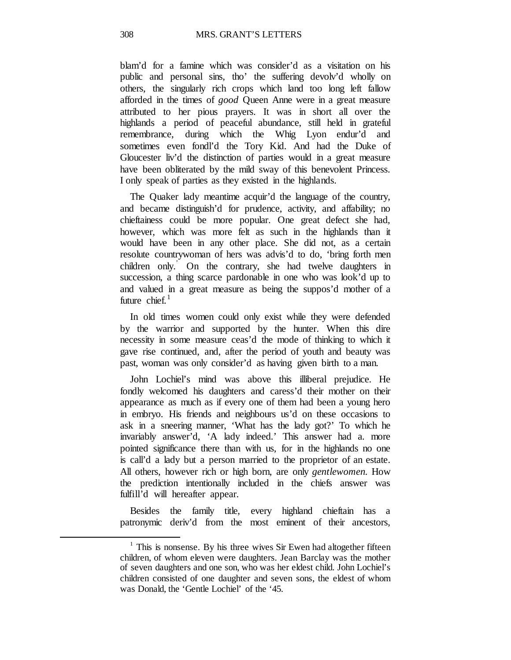blam'd for a famine which was consider'd as a visitation on his public and personal sins, tho' the suffering devolv'd wholly on others, the singularly rich crops which land too long left fallow afforded in the times of *good* Queen Anne were in a great measure attributed to her pious prayers. It was in short all over the highlands a period of peaceful abundance, still held in grateful remembrance, during which the Whig Lyon endur'd and sometimes even fondl'd the Tory Kid. And had the Duke of Gloucester liv'd the distinction of parties would in a great measure have been obliterated by the mild sway of this benevolent Princess. I only speak of parties as they existed in the highlands.

The Quaker lady meantime acquir'd the language of the country, and became distinguish'd for prudence, activity, and affability; no chieftainess could be more popular. One great defect she had, however, which was more felt as such in the highlands than it would have been in any other place. She did not, as a certain resolute countrywoman of hers was advis'd to do, 'bring forth men children only.' On the contrary, she had twelve daughters in succession, a thing scarce pardonable in one who was look'd up to and valued in a great measure as being the suppos'd mother of a future chief. $<sup>1</sup>$  $<sup>1</sup>$  $<sup>1</sup>$ </sup>

In old times women could only exist while they were defended by the warrior and supported by the hunter. When this dire necessity in some measure ceas'd the mode of thinking to which it gave rise continued, and, after the period of youth and beauty was past, woman was only consider'd as having given birth to a man.

John Lochiel's mind was above this illiberal prejudice. He fondly welcomed his daughters and caress'd their mother on their appearance as much as if every one of them had been a young hero in embryo. His friends and neighbours us'd on these occasions to ask in a sneering manner, 'What has the lady got?' To which he invariably answer'd, 'A lady indeed.' This answer had a. more pointed significance there than with us, for in the highlands no one is call'd a lady but a person married to the proprietor of an estate. All others, however rich or high born, are only *gentlewomen.* How the prediction intentionally included in the chiefs answer was fulfill'd will hereafter appear.

Besides the family title, every highland chieftain has a patronymic deriv'd from the most eminent of their ancestors,

<span id="page-63-0"></span><sup>&</sup>lt;sup>1</sup> This is nonsense. By his three wives Sir Ewen had altogether fifteen children, of whom eleven were daughters. Jean Barclay was the mother of seven daughters and one son, who was her eldest child. John Lochiel's children consisted of one daughter and seven sons, the eldest of whom was Donald, the 'Gentle Lochiel' of the '45.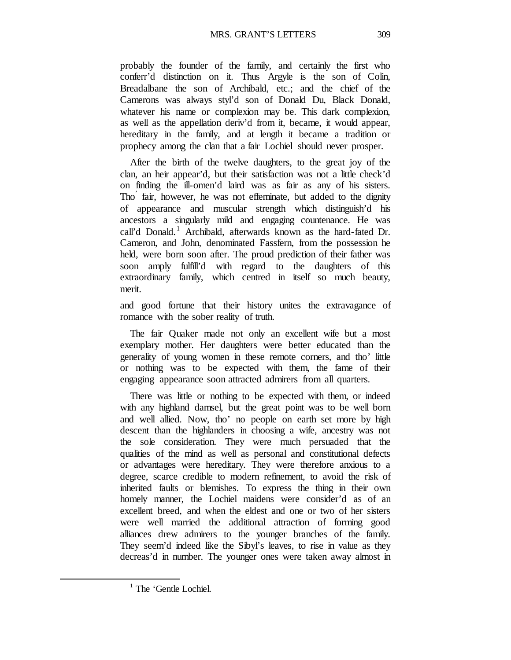probably the founder of the family, and certainly the first who conferr'd distinction on it. Thus Argyle is the son of Colin, Breadalbane the son of Archibald, etc.; and the chief of the Camerons was always styl'd son of Donald Du, Black Donald, whatever his name or complexion may be. This dark complexion, as well as the appellation deriv'd from it, became, it would appear, hereditary in the family, and at length it became a tradition or prophecy among the clan that a fair Lochiel should never prosper.

After the birth of the twelve daughters, to the great joy of the clan, an heir appear'd, but their satisfaction was not a little check'd on finding the ill-omen'd laird was as fair as any of his sisters. Tho' fair, however, he was not effeminate, but added to the dignity of appearance and muscular strength which distinguish'd his ancestors a singularly mild and engaging countenance. He was call'd Donald.<sup>[1](#page-64-0)</sup> Archibald, afterwards known as the hard-fated Dr. Cameron, and John, denominated Fassfern, from the possession he held, were born soon after. The proud prediction of their father was soon amply fulfill'd with regard to the daughters of this extraordinary family, which centred in itself so much beauty, merit.

and good fortune that their history unites the extravagance of romance with the sober reality of truth.

The fair Quaker made not only an excellent wife but a most exemplary mother. Her daughters were better educated than the generality of young women in these remote corners, and tho' little or nothing was to be expected with them, the fame of their engaging appearance soon attracted admirers from all quarters.

There was little or nothing to be expected with them, or indeed with any highland damsel, but the great point was to be well born and well allied. Now, tho' no people on earth set more by high descent than the highlanders in choosing a wife, ancestry was not the sole consideration. They were much persuaded that the qualities of the mind as well as personal and constitutional defects or advantages were hereditary. They were therefore anxious to a degree, scarce credible to modern refinement, to avoid the risk of inherited faults or blemishes. To express the thing in their own homely manner, the Lochiel maidens were consider'd as of an excellent breed, and when the eldest and one or two of her sisters were well married the additional attraction of forming good alliances drew admirers to the younger branches of the family. They seem'd indeed like the Sibyl's leaves, to rise in value as they decreas'd in number. The younger ones were taken away almost in

<span id="page-64-0"></span><sup>&</sup>lt;sup>1</sup> The 'Gentle Lochiel.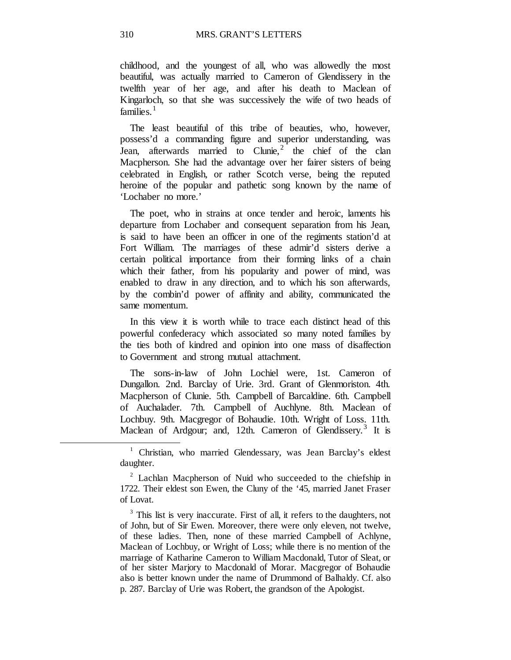childhood, and the youngest of all, who was allowedly the most beautiful, was actually married to Cameron of Glendissery in the twelfth year of her age, and after his death to Maclean of Kingarloch, so that she was successively the wife of two heads of families. $<sup>1</sup>$  $<sup>1</sup>$  $<sup>1</sup>$ </sup>

The least beautiful of this tribe of beauties, who, however, possess'd a commanding figure and superior understanding, was Jean, afterwards married to Clunie,<sup>[2](#page-65-1)</sup> the chief of the clan Macpherson. She had the advantage over her fairer sisters of being celebrated in English, or rather Scotch verse, being the reputed heroine of the popular and pathetic song known by the name of 'Lochaber no more.'

The poet, who in strains at once tender and heroic, laments his departure from Lochaber and consequent separation from his Jean, is said to have been an officer in one of the regiments station'd at Fort William. The marriages of these admir'd sisters derive a certain political importance from their forming links of a chain which their father, from his popularity and power of mind, was enabled to draw in any direction, and to which his son afterwards, by the combin'd power of affinity and ability, communicated the same momentum.

In this view it is worth while to trace each distinct head of this powerful confederacy which associated so many noted families by the ties both of kindred and opinion into one mass of disaffection to Government and strong mutual attachment.

The sons-in-law of John Lochiel were, 1st. Cameron of Dungallon. 2nd. Barclay of Urie. 3rd. Grant of Glenmoriston. 4th. Macpherson of Clunie. 5th. Campbell of Barcaldine. 6th. Campbell of Auchalader. 7th. Campbell of Auchlyne. 8th. Maclean of Lochbuy. 9th. Macgregor of Bohaudie. 10th. Wright of Loss. 11th. Maclean of Ardgour; and, 12th. Cameron of Glendissery.<sup>[3](#page-65-2)</sup> It is

<span id="page-65-0"></span><sup>&</sup>lt;sup>1</sup> Christian, who married Glendessary, was Jean Barclay's eldest daughter.

<span id="page-65-1"></span> $2$  Lachlan Macpherson of Nuid who succeeded to the chiefship in 1722. Their eldest son Ewen, the Cluny of the '45, married Janet Fraser of Lovat.

<span id="page-65-2"></span> $3$  This list is very inaccurate. First of all, it refers to the daughters, not of John, but of Sir Ewen. Moreover, there were only eleven, not twelve, of these ladies. Then, none of these married Campbell of Achlyne, Maclean of Lochbuy, or Wright of Loss; while there is no mention of the marriage of Katharine Cameron to William Macdonald, Tutor of Sleat, or of her sister Marjory to Macdonald of Morar. Macgregor of Bohaudie also is better known under the name of Drummond of Balhaldy. Cf. also p. 287. Barclay of Urie was Robert, the grandson of the Apologist.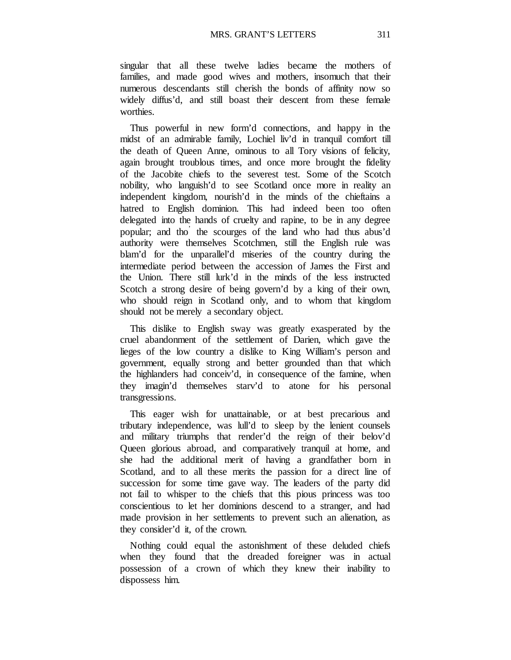singular that all these twelve ladies became the mothers of families, and made good wives and mothers, insomuch that their numerous descendants still cherish the bonds of affinity now so widely diffus'd, and still boast their descent from these female worthies.

Thus powerful in new form'd connections, and happy in the midst of an admirable family, Lochiel liv'd in tranquil comfort till the death of Queen Anne, ominous to all Tory visions of felicity, again brought troublous times, and once more brought the fidelity of the Jacobite chiefs to the severest test. Some of the Scotch nobility, who languish'd to see Scotland once more in reality an independent kingdom, nourish'd in the minds of the chieftains a hatred to English dominion. This had indeed been too often delegated into the hands of cruelty and rapine, to be in any degree popular; and tho' the scourges of the land who had thus abus'd authority were themselves Scotchmen, still the English rule was blam'd for the unparallel'd miseries of the country during the intermediate period between the accession of James the First and the Union. There still lurk'd in the minds of the less instructed Scotch a strong desire of being govern'd by a king of their own, who should reign in Scotland only, and to whom that kingdom should not be merely a secondary object.

This dislike to English sway was greatly exasperated by the cruel abandonment of the settlement of Darien, which gave the lieges of the low country a dislike to King William's person and government, equally strong and better grounded than that which the highlanders had conceiv'd, in consequence of the famine, when they imagin'd themselves starv'd to atone for his personal transgressions.

This eager wish for unattainable, or at best precarious and tributary independence, was lull'd to sleep by the lenient counsels and military triumphs that render'd the reign of their belov'd Queen glorious abroad, and comparatively tranquil at home, and she had the additional merit of having a grandfather born in Scotland, and to all these merits the passion for a direct line of succession for some time gave way. The leaders of the party did not fail to whisper to the chiefs that this pious princess was too conscientious to let her dominions descend to a stranger, and had made provision in her settlements to prevent such an alienation, as they consider'd it, of the crown.

Nothing could equal the astonishment of these deluded chiefs when they found that the dreaded foreigner was in actual possession of a crown of which they knew their inability to dispossess him.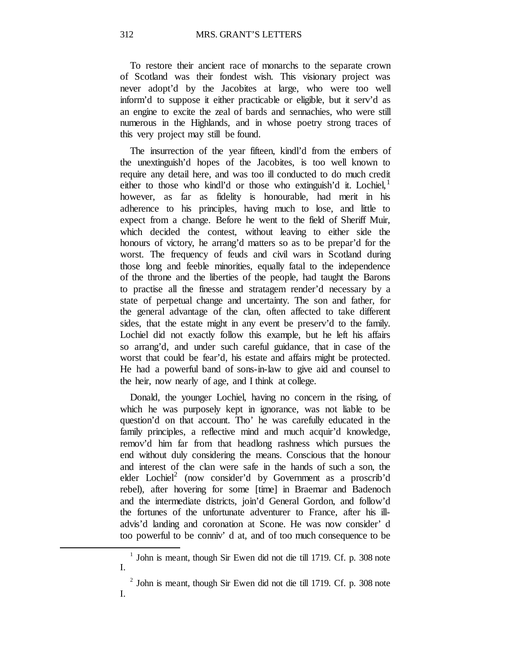To restore their ancient race of monarchs to the separate crown of Scotland was their fondest wish. This visionary project was never adopt'd by the Jacobites at large, who were too well inform'd to suppose it either practicable or eligible, but it serv'd as an engine to excite the zeal of bards and sennachies, who were still numerous in the Highlands, and in whose poetry strong traces of this very project may still be found.

The insurrection of the year fifteen, kindl'd from the embers of the unextinguish'd hopes of the Jacobites, is too well known to require any detail here, and was too ill conducted to do much credit either to those who kindl'd or those who extinguish'd it. Lochiel, $<sup>1</sup>$  $<sup>1</sup>$  $<sup>1</sup>$ </sup> however, as far as fidelity is honourable, had merit in his adherence to his principles, having much to lose, and little to expect from a change. Before he went to the field of Sheriff Muir, which decided the contest, without leaving to either side the honours of victory, he arrang'd matters so as to be prepar'd for the worst. The frequency of feuds and civil wars in Scotland during those long and feeble minorities, equally fatal to the independence of the throne and the liberties of the people, had taught the Barons to practise all the finesse and stratagem render'd necessary by a state of perpetual change and uncertainty. The son and father, for the general advantage of the clan, often affected to take different sides, that the estate might in any event be preserv'd to the family. Lochiel did not exactly follow this example, but he left his affairs so arrang'd, and under such careful guidance, that in case of the worst that could be fear'd, his estate and affairs might be protected. He had a powerful band of sons-in-law to give aid and counsel to the heir, now nearly of age, and I think at college.

Donald, the younger Lochiel, having no concern in the rising, of which he was purposely kept in ignorance, was not liable to be question'd on that account. Tho' he was carefully educated in the family principles, a reflective mind and much acquir'd knowledge, remov'd him far from that headlong rashness which pursues the end without duly considering the means. Conscious that the honour and interest of the clan were safe in the hands of such a son, the elder Lochiel<sup>2</sup> (now consider'd by Government as a proscrib'd rebel), after hovering for some [time] in Braemar and Badenoch and the intermediate districts, join'd General Gordon, and follow'd the fortunes of the unfortunate adventurer to France, after his illadvis'd landing and coronation at Scone. He was now consider' d too powerful to be conniv' d at, and of too much consequence to be

<span id="page-67-0"></span> $1$  John is meant, though Sir Ewen did not die till 1719. Cf. p. 308 note I.

<span id="page-67-1"></span> $2$  John is meant, though Sir Ewen did not die till 1719. Cf. p. 308 note I.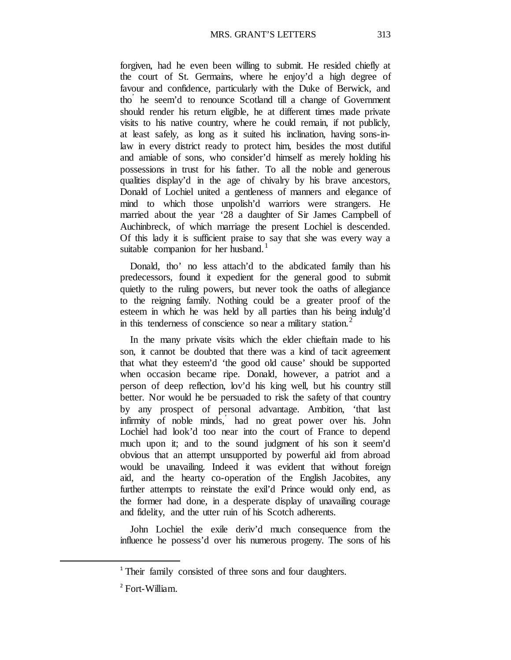forgiven, had he even been willing to submit. He resided chiefly at the court of St. Germains, where he enjoy'd a high degree of favour and confidence, particularly with the Duke of Berwick, and tho' he seem'd to renounce Scotland till a change of Government should render his return eligible, he at different times made private visits to his native country, where he could remain, if not publicly, at least safely, as long as it suited his inclination, having sons-inlaw in every district ready to protect him, besides the most dutiful and amiable of sons, who consider'd himself as merely holding his possessions in trust for his father. To all the noble and generous qualities display'd in the age of chivalry by his brave ancestors, Donald of Lochiel united a gentleness of manners and elegance of mind to which those unpolish'd warriors were strangers. He married about the year '28 a daughter of Sir James Campbell of Auchinbreck, of which marriage the present Lochiel is descended. Of this lady it is sufficient praise to say that she was every way a suitable companion for her husband.<sup>[1](#page-68-0)</sup>

Donald, tho' no less attach'd to the abdicated family than his predecessors, found it expedient for the general good to submit quietly to the ruling powers, but never took the oaths of allegiance to the reigning family. Nothing could be a greater proof of the esteem in which he was held by all parties than his being indulg'd in this tenderness of conscience so near a military station. $<sup>2</sup>$  $<sup>2</sup>$  $<sup>2</sup>$ </sup>

In the many private visits which the elder chieftain made to his son, it cannot be doubted that there was a kind of tacit agreement that what they esteem'd 'the good old cause' should be supported when occasion became ripe. Donald, however, a patriot and a person of deep reflection, lov'd his king well, but his country still better. Nor would he be persuaded to risk the safety of that country by any prospect of personal advantage. Ambition, 'that last infirmity of noble minds, had no great power over his. John Lochiel had look'd too near into the court of France to depend much upon it; and to the sound judgment of his son it seem'd obvious that an attempt unsupported by powerful aid from abroad would be unavailing. Indeed it was evident that without foreign aid, and the hearty co-operation of the English Jacobites, any further attempts to reinstate the exil'd Prince would only end, as the former had done, in a desperate display of unavailing courage and fidelity, and the utter ruin of his Scotch adherents.

John Lochiel the exile deriv'd much consequence from the influence he possess'd over his numerous progeny. The sons of his

<span id="page-68-0"></span><sup>&</sup>lt;sup>1</sup> Their family consisted of three sons and four daughters.

<span id="page-68-1"></span><sup>2</sup> Fort-William.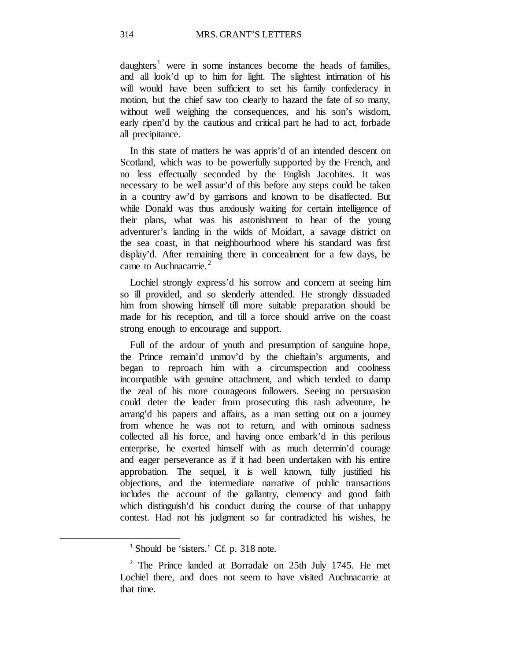daughters<sup>[1](#page-69-0)</sup> were in some instances become the heads of families, and all look'd up to him for light. The slightest intimation of his will would have been sufficient to set his family confederacy in motion, but the chief saw too clearly to hazard the fate of so many, without well weighing the consequences, and his son's wisdom, early ripen'd by the cautious and critical part he had to act, forbade all precipitance.

In this state of matters he was appris'd of an intended descent on Scotland, which was to be powerfully supported by the French, and no less effectually seconded by the English Jacobites. It was necessary to be well assur'd of this before any steps could be taken in a country aw'd by garrisons and known to be disaffected. But while Donald was thus anxiously waiting for certain intelligence of their plans, what was his astonishment to hear of the young adventurer's landing in the wilds of Moidart, a savage district on the sea coast, in that neighbourhood where his standard was first display'd. After remaining there in concealment for a few days, he came to Auchnacarrie. $2$ 

Lochiel strongly express'd his sorrow and concern at seeing him so ill provided, and so slenderly attended. He strongly dissuaded him from showing himself till more suitable preparation should be made for his reception, and till a force should arrive on the coast strong enough to encourage and support.

Full of the ardour of youth and presumption of sanguine hope, the Prince remain'd unmov'd by the chieftain's arguments, and began to reproach him with a circumspection and coolness incompatible with genuine attachment, and which tended to damp the zeal of his more courageous followers. Seeing no persuasion could deter the leader from prosecuting this rash adventure, he arrang'd his papers and affairs, as a man setting out on a journey from whence he was not to return, and with ominous sadness collected all his force, and having once embark'd in this perilous enterprise, he exerted himself with as much determin'd courage and eager perseverance as if it had been undertaken with his entire approbation. The sequel, it is well known, fully justified his objections, and the intermediate narrative of public transactions includes the account of the gallantry, clemency and good faith which distinguish'd his conduct during the course of that unhappy contest. Had not his judgment so far contradicted his wishes, he

<sup>&</sup>lt;sup>1</sup> Should be 'sisters.' Cf. p. 318 note.

<span id="page-69-1"></span><span id="page-69-0"></span><sup>&</sup>lt;sup>2</sup> The Prince landed at Borradale on 25th July 1745. He met Lochiel there, and does not seem to have visited Auchnacarrie at that time.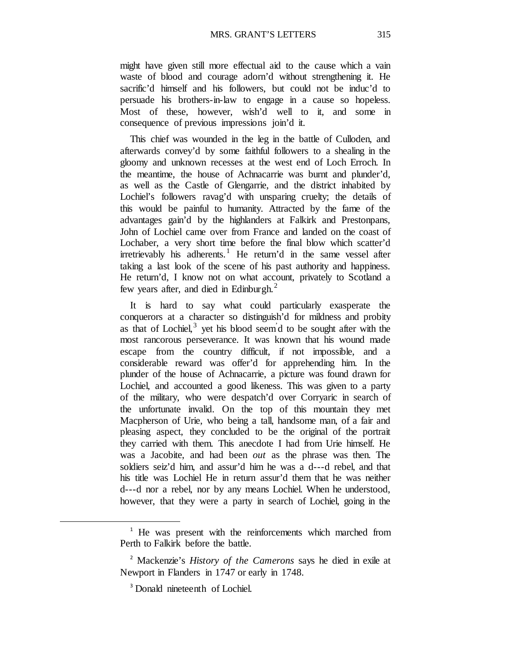might have given still more effectual aid to the cause which a vain waste of blood and courage adorn'd without strengthening it. He sacrific'd himself and his followers, but could not be induc'd to persuade his brothers-in-law to engage in a cause so hopeless. Most of these, however, wish'd well to it, and some in consequence of previous impressions join'd it.

This chief was wounded in the leg in the battle of Culloden, and afterwards convey'd by some faithful followers to a shealing in the gloomy and unknown recesses at the west end of Loch Erroch. In the meantime, the house of Achnacarrie was burnt and plunder'd, as well as the Castle of Glengarrie, and the district inhabited by Lochiel's followers ravag'd with unsparing cruelty; the details of this would be painful to humanity. Attracted by the fame of the advantages gain'd by the highlanders at Falkirk and Prestonpans, John of Lochiel came over from France and landed on the coast of Lochaber, a very short time before the final blow which scatter'd irretrievably his adherents.<sup>[1](#page-70-0)</sup> He return'd in the same vessel after taking a last look of the scene of his past authority and happiness. He return'd, I know not on what account, privately to Scotland a few years after, and died in Edinburgh. $^2$  $^2$ 

It is hard to say what could particularly exasperate the conquerors at a character so distinguish'd for mildness and probity as that of Lochiel, $3$  yet his blood seem d to be sought after with the most rancorous perseverance. It was known that his wound made escape from the country difficult, if not impossible, and a considerable reward was offer'd for apprehending him. In the plunder of the house of Achnacarrie, a picture was found drawn for Lochiel, and accounted a good likeness. This was given to a party of the military, who were despatch'd over Corryaric in search of the unfortunate invalid. On the top of this mountain they met Macpherson of Urie, who being a tall, handsome man, of a fair and pleasing aspect, they concluded to be the original of the portrait they carried with them. This anecdote I had from Urie himself. He was a Jacobite, and had been *out* as the phrase was then. The soldiers seiz'd him, and assur'd him he was a d---d rebel, and that his title was Lochiel He in return assur'd them that he was neither d---d nor a rebel, nor by any means Lochiel. When he understood, however, that they were a party in search of Lochiel, going in the

<span id="page-70-0"></span><sup>&</sup>lt;sup>1</sup> He was present with the reinforcements which marched from Perth to Falkirk before the battle.

<span id="page-70-2"></span><span id="page-70-1"></span><sup>2</sup> Mackenzie's *History of the Camerons* says he died in exile at Newport in Flanders in 1747 or early in 1748.

<sup>&</sup>lt;sup>3</sup> Donald nineteenth of Lochiel.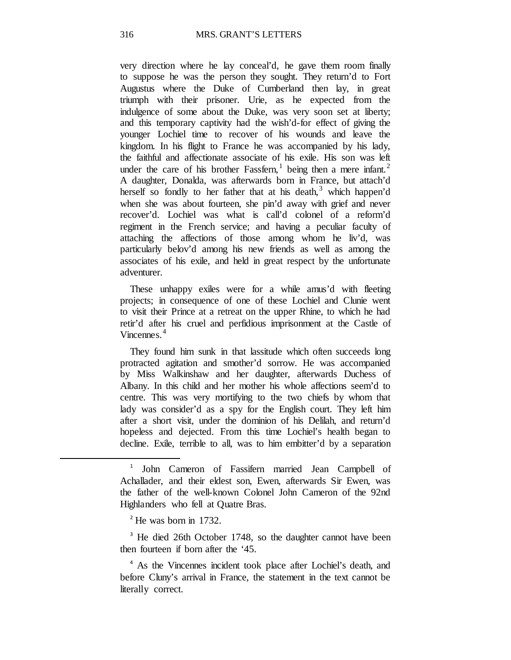very direction where he lay conceal'd, he gave them room finally to suppose he was the person they sought. They return'd to Fort Augustus where the Duke of Cumberland then lay, in great triumph with their prisoner. Urie, as he expected from the indulgence of some about the Duke, was very soon set at liberty; and this temporary captivity had the wish'd-for effect of giving the younger Lochiel time to recover of his wounds and leave the kingdom. In his flight to France he was accompanied by his lady, the faithful and affectionate associate of his exile. His son was left under the care of his brother Fassfern, being then a mere infant.<sup>[2](#page-71-1)</sup> A daughter, Donalda, was afterwards born in France, but attach'd herself so fondly to her father that at his death,<sup>[3](#page-71-2)</sup> which happen'd when she was about fourteen, she pin'd away with grief and never recover'd. Lochiel was what is call'd colonel of a reform'd regiment in the French service; and having a peculiar faculty of attaching the affections of those among whom he liv'd, was particularly belov'd among his new friends as well as among the associates of his exile, and held in great respect by the unfortunate adventurer.

These unhappy exiles were for a while amus'd with fleeting projects; in consequence of one of these Lochiel and Clunie went to visit their Prince at a retreat on the upper Rhine, to which he had retir'd after his cruel and perfidious imprisonment at the Castle of Vincennes.<sup>[4](#page-71-3)</sup>

They found him sunk in that lassitude which often succeeds long protracted agitation and smother'd sorrow. He was accompanied by Miss Walkinshaw and her daughter, afterwards Duchess of Albany. In this child and her mother his whole affections seem'd to centre. This was very mortifying to the two chiefs by whom that lady was consider'd as a spy for the English court. They left him after a short visit, under the dominion of his Delilah, and return'd hopeless and dejected. From this time Lochiel's health began to decline. Exile, terrible to all, was to him embitter'd by a separation

 $2$ <sup>2</sup> He was born in 1732.

<span id="page-71-2"></span><span id="page-71-1"></span><span id="page-71-0"></span> $\overline{a}$ 

<sup>3</sup> He died 26th October 1748, so the daughter cannot have been then fourteen if born after the '45.

<span id="page-71-3"></span><sup>4</sup> As the Vincennes incident took place after Lochiel's death, and before Cluny's arrival in France, the statement in the text cannot be literally correct.

<sup>1</sup> John Cameron of Fassifern married Jean Campbell of Achallader, and their eldest son, Ewen, afterwards Sir Ewen, was the father of the well-known Colonel John Cameron of the 92nd Highlanders who fell at Quatre Bras.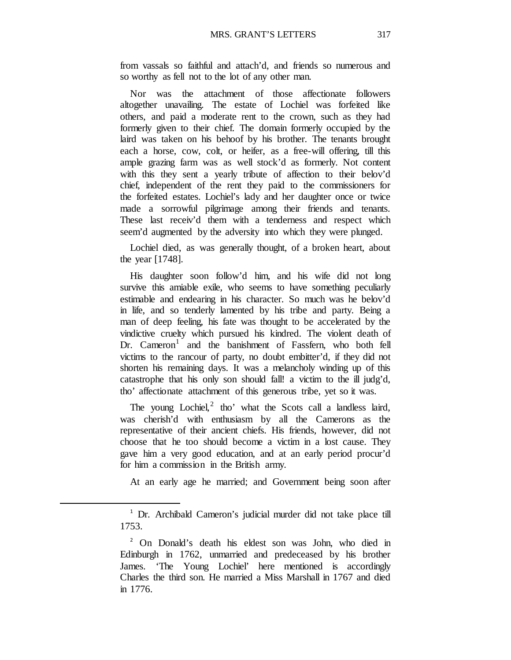from vassals so faithful and attach'd, and friends so numerous and so worthy as fell not to the lot of any other man.

Nor was the attachment of those affectionate followers altogether unavailing. The estate of Lochiel was forfeited like others, and paid a moderate rent to the crown, such as they had formerly given to their chief. The domain formerly occupied by the laird was taken on his behoof by his brother. The tenants brought each a horse, cow, colt, or heifer, as a free-will offering, till this ample grazing farm was as well stock'd as formerly. Not content with this they sent a yearly tribute of affection to their belov'd chief, independent of the rent they paid to the commissioners for the forfeited estates. Lochiel's lady and her daughter once or twice made a sorrowful pilgrimage among their friends and tenants. These last receiv'd them with a tenderness and respect which seem'd augmented by the adversity into which they were plunged.

Lochiel died, as was generally thought, of a broken heart, about the year [1748].

His daughter soon follow'd him, and his wife did not long survive this amiable exile, who seems to have something peculiarly estimable and endearing in his character. So much was he belov'd in life, and so tenderly lamented by his tribe and party. Being a man of deep feeling, his fate was thought to be accelerated by the vindictive cruelty which pursued his kindred. The violent death of  $Dr.$  Cameron<sup>[1](#page-72-0)</sup> and the banishment of Fassfern, who both fell victims to the rancour of party, no doubt embitter'd, if they did not shorten his remaining days. It was a melancholy winding up of this catastrophe that his only son should fall! a victim to the ill judg'd, tho' affectionate attachment of this generous tribe, yet so it was.

The young  $Lochiel<sub>i</sub><sup>2</sup>$  $Lochiel<sub>i</sub><sup>2</sup>$  $Lochiel<sub>i</sub><sup>2</sup>$  tho' what the Scots call a landless laird, was cherish'd with enthusiasm by all the Camerons as the representative of their ancient chiefs. His friends, however, did not choose that he too should become a victim in a lost cause. They gave him a very good education, and at an early period procur'd for him a commission in the British army.

At an early age he married; and Government being soon after

<span id="page-72-1"></span><span id="page-72-0"></span> $\overline{a}$ 

<sup>1</sup> Dr. Archibald Cameron's judicial murder did not take place till 1753.

<sup>2</sup> On Donald's death his eldest son was John, who died in Edinburgh in 1762, unmarried and predeceased by his brother James. 'The Young Lochiel' here mentioned is accordingly Charles the third son. He married a Miss Marshall in 1767 and died in 1776.